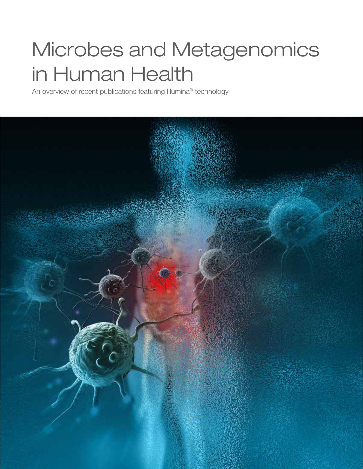# Microbes and Metagenomics in Human Health

An overview of recent publications featuring Illumina® technology

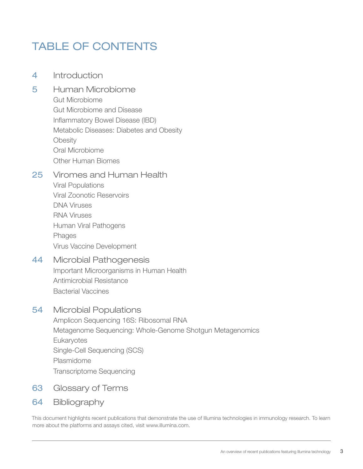# TABLE OF CONTENTS

- 4 [Introduction](#page-2-0)
- 5 [Human Microbiome](#page-3-0) [Gut Microbiome](#page-4-0) [Gut Microbiome and Disease](#page-9-0) [Inflammatory Bowel Disease \(IBD\)](#page-12-0) [Metabolic Diseases: Diabetes and Obesity](#page-14-0) **[Obesity](#page-15-0)** [Oral Microbiome](#page-17-0) [Other Human Biomes](#page-19-0)

### 25 [Viromes and Human Health](#page-23-0)

[Viral Populations](#page-23-0)  [Viral Zoonotic Reservoirs](#page-24-0)  [DNA Viruses](#page-28-0) [RNA Viruses](#page-29-0) [Human Viral Pathogens](#page-33-0) [Phages](#page-38-0) [Virus Vaccine Development](#page-39-0)

# 44 [Microbial Pathogenesis](#page-42-0)

[Important Microorganisms in Human Health](#page-43-0) [Antimicrobial Resistance](#page-49-0) [Bacterial Vaccines](#page-51-0)

### 54 [Microbial Populations](#page-52-0)

Amplicon Sequencing 16S: Ribosomal RNA [Metagenome Sequencing: Whole-Genome Shotgun Metagenomics](#page-55-0) **[Eukaryotes](#page-56-0)** [Single-Cell Sequencing \(SCS\)](#page-57-0) [Plasmidome](#page-58-0) [Transcriptome Sequencing](#page-59-0) 

- 63 [Glossary of Terms](#page-61-0)
- [64](#page-61-0) Bibliography

This document highlights recent publications that demonstrate the use of Illumina technologies in immunology research. To learn more about the platforms and assays cited, visit [www.illumina.com](http://www.illumina.com).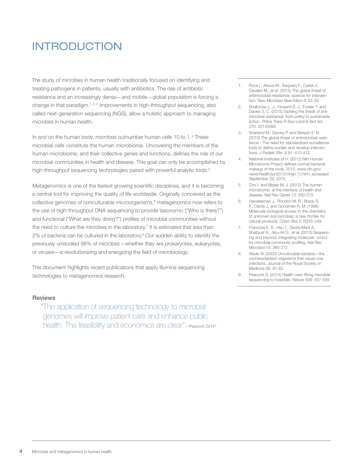# <span id="page-2-0"></span>INTRODUCTION

The study of microbes in human health traditionally focused on identifying and treating pathogens in patients, usually with antibiotics. The rise of antibiotic resistance and an increasingly dense—and mobile—global population is forcing a change in that paradigm.<sup>1, 2, 3</sup> Improvements in high-throughput sequencing, also called next-generation sequencing (NGS), allow a holistic approach to managing microbes in human health.

In and on the human body, microbes outnumber human cells 10 to 1.4 These microbial cells constitute the human microbiome. Uncovering the members of the human microbiome, and their collective genes and functions, defines the role of our microbial communities in health and disease. This goal can only be accomplished by high-throughput sequencing technologies paired with powerful analytic tools.<sup>5</sup>

Metagenomics is one of the fastest growing scientific disciplines, and it is becoming a central tool for improving the quality of life worldwide. Originally conceived as the collective genomes of nonculturable microorganisms,<sup>6</sup> metagenomics now refers to the use of high-throughput DNA sequencing to provide taxonomic ("Who is there?") and functional ("What are they doing?") profiles of microbial communities without the need to culture the microbes in the laboratory.<sup>7</sup> It is estimated that less than 2% of bacteria can be cultured in the laboratory.<sup>8</sup> Our sudden ability to identify the previously unstudied 98% of microbes—whether they are prokaryotes, eukaryotes, or viruses—is revolutionizing and energizing the field of microbiology.

This document highlights recent publications that apply Illumina sequencing technologies to metagenomics research.

#### Reviews

"The application of sequencing technology to microbial genomes will improve patient care and enhance public health. The feasibility and economics are clear." - Peacock 2014<sup>9</sup>

- 1. Roca I., Akova M., Baquero F., Carlet J., Cavaleri M., et al. (2015) The global threat of antimicrobial resistance: science for intervention. New Microbes New Infect 6: 22-29
- 2. Shallcross L. J., Howard S. J., Fowler T. and Davies S. C. (2015) Tackling the threat of antimicrobial resistance: from policy to sustainable action. Philos Trans R Soc Lond B Biol Sci 370: 20140082
- 3. Sharland M., Saroey P. and Berezin E. N. (2015) The global threat of antimicrobial resistance - The need for standardized surveillance tools to define burden and develop interventions. J Pediatr (Rio J) 91: 410-412
- 4. National Institutes of H. (2012) NIH Human Microbiome Project defines normal bacterial makeup of the body. 2015: www.nih.gov/ news/health/jun2012/nhgri-13.htm; accessed September 29, 2015
- 5. Cho I. and Blaser M. J. (2012) The human microbiome: at the interface of health and disease. Nat Rev Genet 13: 260-270
- 6. Handelsman J., Rondon M. R., Brady S. F., Clardy J. and Goodman R. M. (1998) Molecular biological access to the chemistry of unknown soil microbes: a new frontier for natural products. Chem Biol 5: R245-249
- 7. Franzosa E. A., Hsu T., Sirota-Madi A., Shafquat A., Abu-Ali G., et al. (2015) Sequencing and beyond: integrating molecular 'omics' for microbial community profiling. Nat Rev Microbiol 13: 360-372
- 8. Wade W. (2002) Unculturable bacteria—the uncharacterized organisms that cause oral infections. Journal of the Royal Society of Medicine 95: 81-83
- 9. Peacock S. (2014) Health care: Bring microbial sequencing to hospitals. Nature 509: 557-559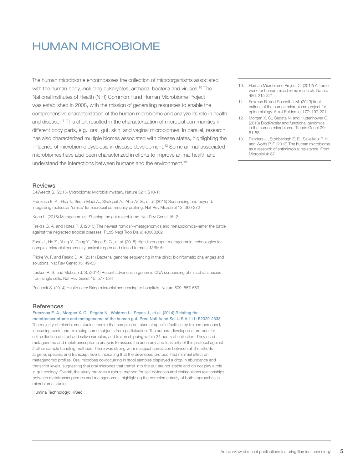# <span id="page-3-0"></span>HUMAN MICROBIOME

The human microbiome encompasses the collection of microorganisms associated with the human body, including eukaryotes, archaea, bacteria and viruses.<sup>10</sup> The National Institutes of Health (NIH) Common Fund Human Microbiome Project was established in 2008, with the mission of generating resources to enable the comprehensive characterization of the human microbiome and analyze its role in health and disease.11 This effort resulted in the characterization of microbial communities in different body parts, e.g., oral, gut, skin, and vaginal microbiomes. In parallel, research has also characterized multiple biomes associated with disease states, highlighting the influence of microbiome dysbiosis in disease development.12 Some animal-associated microbiomes have also been characterized in efforts to improve animal health and understand the interactions between humans and the environment.13

#### **Reviews**

DeWeerdt S. (2015) Microbiome: Microbial mystery. Nature 521: S10-11

Franzosa E. A., Hsu T., Sirota-Madi A., Shafquat A., Abu-Ali G., et al. (2015) Sequencing and beyond: integrating molecular 'omics' for microbial community profiling. Nat Rev Microbiol 13: 360-372

Koch L. (2015) Metagenomics: Shaping the gut microbiome. Nat Rev Genet 16: 2

Preidis G. A. and Hotez P. J. (2015) The newest "omics"--metagenomics and metabolomics--enter the battle against the neglected tropical diseases. PLoS Negl Trop Dis 9: e0003382

Zhou J., He Z., Yang Y., Deng Y., Tringe S. G., et al. (2015) High-throughput metagenomic technologies for complex microbial community analysis: open and closed formats. MBio 6:

Fricke W. F. and Rasko D. A. (2014) Bacterial genome sequencing in the clinic: bioinformatic challenges and solutions. Nat Rev Genet 15: 49-55

Lasken R. S. and McLean J. S. (2014) Recent advances in genomic DNA sequencing of microbial species from single cells. Nat Rev Genet 15: 577-584

Peacock S. (2014) Health care: Bring microbial sequencing to hospitals. Nature 509: 557-559

#### **References**

#### Franzosa E. A., Morgan X. C., Segata N., Waldron L., Reyes J., et al. (2014) Relating the metatranscriptome and metagenome of the human gut. Proc Natl Acad Sci U S A 111: E2329-2338

The majority of microbiome studies require that samples be taken at specific facilities by trained personnel, increasing costs and excluding some subjects from participation. The authors developed a protocol for self-collection of stool and saliva samples, and frozen shipping within 24 hours of collection. They used metagenome and metatranscriptome analysis to assess the accuracy and feasibility of this protocol against 2 other sample handling methods. There was strong within-subject correlation between all 3 methods at gene, species, and transcript levels, indicating that the developed protocol had minimal effect on metagenomic profiles. Oral microbes co-occurring in stool samples displayed a drop in abundance and transcript levels, suggesting that oral microbes that transit into the gut are not stable and do not play a role in gut ecology. Overall, the study provides a robust method for self-collection and distinguishes relationships between metatranscriptomes and metagenomes, highlighting the complementarity of both approaches in microbiome studies.

Illumina Technology: HiSeq

- 10. Human Microbiome Project C. (2012) A framework for human microbiome research. Nature 486: 215-221
- 11. Foxman B. and Rosenthal M. (2013) Implications of the human microbiome project for epidemiology. Am J Epidemiol 177: 197-201
- 12. Morgan X. C., Segata N. and Huttenhower C. (2013) Biodiversity and functional genomics in the human microbiome. Trends Genet 29: 51-58
- 13. Penders J., Stobberingh E. E., Savelkoul P. H. and Wolffs P. F. (2013) The human microbiome as a reservoir of antimicrobial resistance. Front Microbiol 4: 87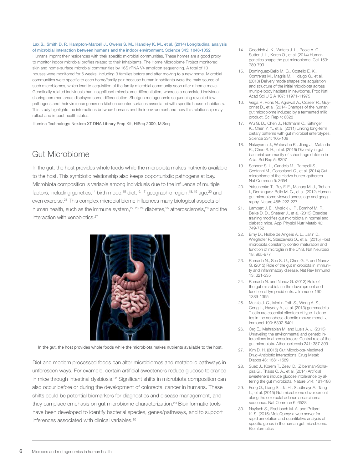<span id="page-4-0"></span>Lax S., Smith D. P., Hampton-Marcell J., Owens S. M., Handley K. M., et al. (2014) Longitudinal analysis of microbial interaction between humans and the indoor environment. Science 345: 1048-1052

Humans imprint their residences with their specific microbial communities. These homes are a good proxy to monitor indoor microbial profiles related to their inhabitants. The Home Microbiome Project monitored skin and home-surface microbial communities by 16S rRNA V4 amplicon sequencing. A total of 10 houses were monitored for 6 weeks, including 3 families before and after moving to a new home. Microbial communities were specific to each home/family pair because human inhabitants were the main source of such microbiomes, which lead to acquisition of the family microbial community soon after a home move. Genetically related individuals had insignificant microbiome differentiation, whereas a nonrelated individual sharing common areas displayed some differentiation. Shotgun metagenomic sequencing revealed few pathogens and their virulence genes on kitchen counter surfaces associated with specific house inhabitants. This study highlights the interactions between humans and their environment and how this relationship may reflect and impact health status.

Illumina Technology: Nextera XT DNA Library Prep Kit, HiSeq 2000, MiSeq

# Gut Microbiome

In the gut, the host provides whole foods while the microbiota makes nutrients available to the host. This symbiotic relationship also keeps opportunistic pathogens at bay. Microbiota composition is variable among individuals due to the influence of multiple factors, including genetics,<sup>14</sup> birth mode,<sup>15</sup> diet,<sup>16,17</sup> geographic region,<sup>18,19</sup> age,<sup>20</sup> and even exercise.<sup>21</sup> This complex microbial biome influences many biological aspects of human health, such as the immune system, $22, 23, 24$  diabetes, $25$  atherosclerosis, $26$  and the interaction with xenobiotics.<sup>27</sup>



In the gut, the host provides whole foods while the microbiota makes nutrients available to the host.

Diet and modern processed foods can alter microbiomes and metabolic pathways in unforeseen ways. For example, certain artificial sweeteners reduce glucose tolerance in mice through intestinal dysbiosis.<sup>28</sup> Significant shifts in microbiota composition can also occur before or during the development of colorectal cancer in humans. These shifts could be potential biomarkers for diagnostics and disease management, and they can place emphasis on gut microbiome characterization.<sup>29</sup> Bioinformatic tools have been developed to identify bacterial species, genes/pathways, and to support inferences associated with clinical variables.<sup>30</sup>

- 14. Goodrich J. K., Waters J. L., Poole A. C., Sutter J. L., Koren O., et al. (2014) Human genetics shape the gut microbiome. Cell 159: 789-799
- 15. Dominguez-Bello M. G., Costello E. K., Contreras M., Magris M., Hidalgo G., et al. (2010) Delivery mode shapes the acquisition and structure of the initial microbiota across multiple body habitats in newborns. Proc Natl Acad Sci U S A 107: 11971-11975
- 16. Veiga P., Pons N., Agrawal A., Oozeer R., Guyonnet D., et al. (2014) Changes of the human gut microbiome induced by a fermented milk product. Sci Rep 4: 6328
- 17. Wu G. D., Chen J., Hoffmann C., Bittinger K., Chen Y. Y., et al. (2011) Linking long-term dietary patterns with gut microbial enterotypes. Science 334: 105-108
- 18. Nakayama J., Watanabe K., Jiang J., Matsuda K., Chao S. H., et al. (2015) Diversity in gut bacterial community of school-age children in Asia. Sci Rep 5: 8397
- 19. Schnorr S. L., Candela M., Rampelli S., Centanni M., Consolandi C., et al. (2014) Gut microbiome of the Hadza hunter-gatherers. Nat Commun 5: 3654
- 20. Yatsunenko T., Rey F. E., Manary M. J., Trehan I., Dominguez-Bello M. G., et al. (2012) Human gut microbiome viewed across age and geography. Nature 486: 222-227
- 21. Lambert J. E., Myslicki J. P., Bomhof M. R., Belke D. D., Shearer J., et al. (2015) Exercise training modifies gut microbiota in normal and diabetic mice. Appl Physiol Nutr Metab 40: 749-752
- 22. Erny D., Hrabe de Angelis A. L., Jaitin D., Wieghofer P., Staszewski O., et al. (2015) Host microbiota constantly control maturation and function of microglia in the CNS. Nat Neurosci 18: 965-977
- 23. Kamada N., Seo S. U., Chen G. Y. and Nunez G. (2013) Role of the gut microbiota in immunity and inflammatory disease. Nat Rev Immunol 13: 321-335
- 24. Kamada N. and Nunez G. (2013) Role of the gut microbiota in the development and function of lymphoid cells. J Immunol 190: 1389-1395
- 25. Markle J. G., Mortin-Toth S., Wong A. S., Geng L., Hayday A., et al. (2013) gammadelta T cells are essential effectors of type 1 diabetes in the nonobese diabetic mouse model. J Immunol 190: 5392-5401
- 26. Org E., Mehrabian M. and Lusis A. J. (2015) Unraveling the environmental and genetic interactions in atherosclerosis: Central role of the gut microbiota. Atherosclerosis 241: 387-399
- 27. Kim D. H. (2015) Gut Microbiota-Mediated Drug-Antibiotic Interactions. Drug Metab Dispos 43: 1581-1589
- 28. Suez J., Korem T., Zeevi D., Zilberman-Schapira G., Thaiss C. A., et al. (2014) Artificial sweeteners induce glucose intolerance by altering the gut microbiota. Nature 514: 181-186
- 29. Feng Q., Liang S., Jia H., Stadlmayr A., Tang L., et al. (2015) Gut microbiome development along the colorectal adenoma-carcinoma sequence. Nat Commun 6: 6528
- 30. Nayfach S., Fischbach M. A. and Pollard K. S. (2015) MetaQuery: a web server for rapid annotation and quantitative analysis of specific genes in the human gut microbiome. **Bioinformatics**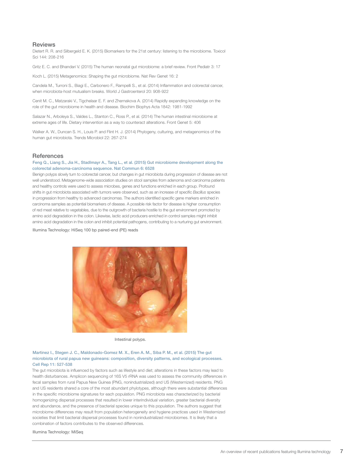#### Reviews

Dietert R. R. and Silbergeld E. K. (2015) Biomarkers for the 21st century: listening to the microbiome. Toxicol Sci 144: 208-216

Gritz E. C. and Bhandari V. (2015) The human neonatal gut microbiome: a brief review. Front Pediatr 3: 17

Koch L. (2015) Metagenomics: Shaping the gut microbiome. Nat Rev Genet 16: 2

Candela M., Turroni S., Biagi E., Carbonero F., Rampelli S., et al. (2014) Inflammation and colorectal cancer, when microbiota-host mutualism breaks. World J Gastroenterol 20: 908-922

Cenit M. C., Matzaraki V., Tigchelaar E. F. and Zhernakova A. (2014) Rapidly expanding knowledge on the role of the gut microbiome in health and disease. Biochim Biophys Acta 1842: 1981-1992

Salazar N., Arboleya S., Valdes L., Stanton C., Ross P., et al. (2014) The human intestinal microbiome at extreme ages of life. Dietary intervention as a way to counteract alterations. Front Genet 5: 406

Walker A. W., Duncan S. H., Louis P. and Flint H. J. (2014) Phylogeny, culturing, and metagenomics of the human gut microbiota. Trends Microbiol 22: 267-274

#### **References**

#### Feng Q., Liang S., Jia H., Stadlmayr A., Tang L., et al. (2015) Gut microbiome development along the colorectal adenoma-carcinoma sequence. Nat Commun 6: 6528

Benign polyps slowly turn to colorectal cancer, but changes in gut microbiota during progression of disease are not well understood. Metagenome-wide association studies on stool samples from adenoma and carcinoma patients and healthy controls were used to assess microbes, genes and functions enriched in each group. Profound shifts in gut microbiota associated with tumors were observed, such as an increase of specific *Bacillus* species in progression from healthy to advanced carcinomas. The authors identified specific gene markers enriched in carcinoma samples as potential biomarkers of disease. A possible risk factor for disease is higher consumption of red meat relative to vegetables, due to the outgrowth of bacteria hostile to the gut environment promoted by amino acid degradation in the colon. Likewise, lactic acid producers enriched in control samples might inhibit amino acid degradation in the colon and inhibit potential pathogens, contributing to a nurturing gut environment.

Illumina Technology: HiSeq 100 bp paired-end (PE) reads



Intestinal polyps.

#### Martinez I., Stegen J. C., Maldonado-Gomez M. X., Eren A. M., Siba P. M., et al. (2015) The gut microbiota of rural papua new guineans: composition, diversity patterns, and ecological processes. Cell Rep 11: 527-538

The gut microbiota is influenced by factors such as lifestyle and diet; alterations in these factors may lead to health disturbances. Amplicon sequencing of 16S V5 rRNA was used to assess the community differences in fecal samples from rural Papua New Guinea (PNG, nonindustrialized) and US (Westernized) residents. PNG and US residents shared a core of the most abundant phylotypes, although there were substantial differences in the specific microbiome signatures for each population. PNG microbiota was characterized by bacterial homogenizing dispersal processes that resulted in lower interindividual variation, greater bacterial diversity and abundance, and the presence of bacterial species unique to this population. The authors suggest that microbiome differences may result from population heterogeneity and hygiene practices used in Westernized societies that limit bacterial dispersal processes found in nonindustrialized microbiomes. It is likely that a combination of factors contributes to the observed differences.

Illumina Technology: MiSeq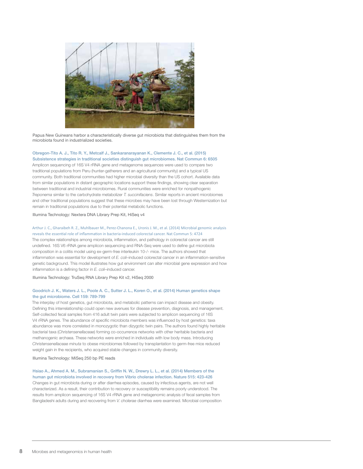

Papua New Guineans harbor a characteristically diverse gut microbiota that distinguishes them from the microbiota found in industrialized societies.

#### Obregon-Tito A. J., Tito R. Y., Metcalf J., Sankaranarayanan K., Clemente J. C., et al. (2015) Subsistence strategies in traditional societies distinguish gut microbiomes. Nat Commun 6: 6505

Amplicon sequencing of 16S V4 rRNA gene and metagenome sequences were used to compare two traditional populations from Peru (hunter-gatherers and an agricultural community) and a typical US community. Both traditional communities had higher microbial diversity than the US cohort. Available data from similar populations in distant geographic locations support these findings, showing clear separation between traditional and industrial microbiomes. Rural communities were enriched for nonpathogenic *Treponema* similar to the carbohydrate metabolizer *T. succinifaciens*. Similar reports in ancient microbiomes and other traditional populations suggest that these microbes may have been lost through Westernization but remain in traditional populations due to their potential metabolic functions.

Illumina Technology: Nextera DNA Library Prep Kit, HiSeq v4

#### Arthur J. C., Gharaibeh R. Z., Muhlbauer M., Perez-Chanona E., Uronis J. M., et al. (2014) Microbial genomic analysis

reveals the essential role of inflammation in bacteria-induced colorectal cancer. Nat Commun 5: 4724 The complex relationships among microbiota, inflammation, and pathology in colorectal cancer are still undefined. 16S V6 rRNA gene amplicon sequencing and RNA-Seq were used to define gut microbiota composition in a colitis model using ex-germ-free interleukin 10-/- mice. The authors showed that inflammation was essential for development of *E. coli*–induced colorectal cancer in an inflammation-sensitive genetic background. This model illustrates how gut environment can alter microbial gene expression and how inflammation is a defining factor in *E. coli*–induced cancer.

Illumina Technology: TruSeq RNA Library Prep Kit v2, HiSeq 2000

#### Goodrich J. K., Waters J. L., Poole A. C., Sutter J. L., Koren O., et al. (2014) Human genetics shape the gut microbiome. Cell 159: 789-799

The interplay of host genetics, gut microbiota, and metabolic patterns can impact disease and obesity. Defining this interrelationship could open new avenues for disease prevention, diagnosis, and management. Self-collected fecal samples from 416 adult twin pairs were subjected to amplicon sequencing of 16S V4 rRNA genes. The abundance of specific microbiota members was influenced by host genetics: taxa abundance was more correlated in monozygotic than dizygotic twin pairs. The authors found highly heritable bacterial taxa (*Christensenellaceae*) forming co-occurrence networks with other heritable bacteria and methanogenic archaea. These networks were enriched in individuals with low body mass. Introducing *Christensenellaceae minuta* to obese microbiomes followed by transplantation to germ-free mice reduced weight gain in the recipients, who acquired stable changes in community diversity.

Illumina Technology: MiSeq 250 bp PE reads

#### Hsiao A., Ahmed A. M., Subramanian S., Griffin N. W., Drewry L. L., et al. (2014) Members of the human gut microbiota involved in recovery from Vibrio cholerae infection. Nature 515: 423-426

Changes in gut microbiota during or after diarrhea episodes, caused by infectious agents, are not well characterized. As a result, their contribution to recovery or susceptibility remains poorly understood. The results from amplicon sequencing of 16S V4 rRNA gene and metagenomic analysis of fecal samples from Bangladeshi adults during and recovering from *V. cholerae* diarrhea were examined. Microbial composition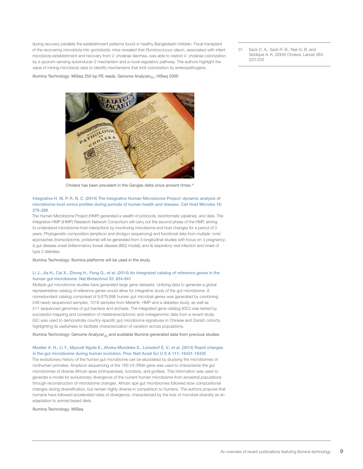during recovery parallels the establishment patterns found in healthy Bangladeshi children. Fecal transplant of the recovering microbiota into gnotobiotic mice revealed that *Ruminococcus oleum*, associated with infant microbiota establishment and recovery from *V. cholerae* diarrhea, was able to restrict *V. cholerae* colonization by a quorum-sensing autoinducer-2 mechanism and a novel regulatory pathway. The authors highlight the value of mining microbiota data to identify mechanisms that limit colonization by enteropathogens.

Illumina Technology: MiSeq 250 bp PE reads, Genome Analyzer*IIx*, HiSeq 2000



Cholera has been prevalent in the Ganges delta since ancient times.<sup>31</sup>

#### Integrative H. M. P. R. N. C. (2014) The Integrative Human Microbiome Project: dynamic analysis of microbiome-host omics profiles during periods of human health and disease. Cell Host Microbe 16: 276-289

The Human Microbiome Project (HMP) generated a wealth of protocols, bioinformatic pipelines, and data. The Integrative HMP (iHMP) Research Network Consortium will carry out the second phase of the HMP, aiming to understand microbiome-host interactions by monitoring microbiome and host changes for a period of 3 years. Phylogenetic composition (amplicon and shotgun sequencing) and functional data from multiple 'omic approaches (transcriptome, proteome) will be generated from 3 longitudinal studies with focus on: i) pregnancy; ii) gut disease onset (inflammatory bowel disease (IBD) model); and iii) respiratory viral infection and onset of type 2 diabetes.

Illumina Technology: Illumina platforms will be used in the study

#### Li J., Jia H., Cai X., Zhong H., Feng Q., et al. (2014) An integrated catalog of reference genes in the human gut microbiome. Nat Biotechnol 32: 834-841

Multiple gut microbiome studies have generated large gene datasets. Unifying data to generate a global representative catalog of reference genes would allow for integrative study of the gut microbiome. A nonredundant catalog comprised of 9,879,896 human gut microbial genes was generated by combining 249 newly sequenced samples, 1018 samples from MetaHit, HMP and a diabetes study, as well as 511 sequenced genomes of gut bacteria and archaea. The integrated gene catalog (IGC) was tested by successful mapping and correlation of metatranscriptomic and metagenomic data from a recent study. IGC was used to demonstrate country-specific gut microbiome signatures in Chinese and Danish cohorts, highlighting its usefulness to facilitate characterization of variation across populations.

Illumina Technology: Genome Analyzer*IIx* and available Illumina-generated data from previous studies

#### Moeller A. H., Li Y., Mpoudi Ngole E., Ahuka-Mundeke S., Lonsdorf E. V., et al. (2014) Rapid changes in the gut microbiome during human evolution. Proc Natl Acad Sci U S A 111: 16431-16435

The evolutionary history of the human gut microbiome can be elucidated by studying the microbiomes of nonhuman primates. Amplicon sequencing of the 16S V4 rRNA gene was used to characterize the gut microbiomes of diverse African apes (chimpanzees, bonobos, and gorillas). This information was used to generate a model for evolutionary divergence of the current human microbiome from ancestral populations through reconstruction of microbiome changes. African ape gut microbiomes followed slow compositional changes during diversification, but remain highly diverse in comparison to humans. The authors propose that humans have followed accelerated rates of divergence, characterized by the loss of microbial diversity as an adaptation to animal-based diets.

Illumina Technology: MiSeq

31. Sack D. A., Sack R. B., Nair G. B. and Siddique A. K. (2004) Cholera. Lancet 363: 223-233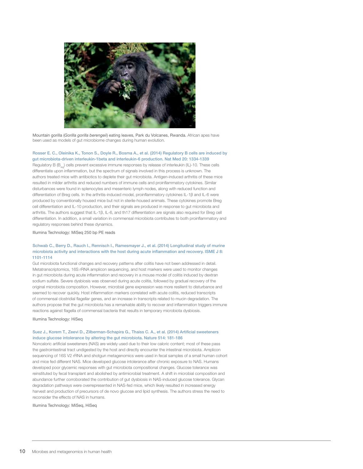

Mountain gorilla (*Gorilla gorilla berengeii*) eating leaves, Park du Volcanes, Rwanda. African apes have been used as models of gut microbiome changes during human evolution.

#### Rosser E. C., Oleinika K., Tonon S., Doyle R., Bosma A., et al. (2014) Regulatory B cells are induced by gut microbiota-driven interleukin-1beta and interleukin-6 production. Nat Med 20: 1334-1339

Regulatory B (B<sub>rea</sub>) cells prevent excessive immune responses by release of interleukin (IL)-10. These cells differentiate upon inflammation, but the spectrum of signals involved in this process is unknown. The authors treated mice with antibiotics to deplete their gut microbiota. Antigen-induced arthritis of these mice resulted in milder arthritis and reduced numbers of immune cells and proinflammatory cytokines. Similar disturbances were found in splenocytes and mesenteric lymph nodes, along with reduced function and differentiation of Breg cells. In the arthritis-induced model, proinflammatory cytokines IL-1β and IL-6 were produced by conventionally housed mice but not in sterile-housed animals. These cytokines promote Breg cell differentiation and IL-10 production, and their signals are produced in response to gut microbiota and arthritis. The authors suggest that IL-1β, IL-6, and th17 differentiation are signals also required for Breg cell differentiation. In addition, a small variation in commensal microbiota contributes to both proinflammatory and regulatory responses behind these dynamics.

Illumina Technology: MiSeq 250 bp PE reads

#### Schwab C., Berry D., Rauch I., Rennisch I., Ramesmayer J., et al. (2014) Longitudinal study of murine microbiota activity and interactions with the host during acute inflammation and recovery. ISME J 8: 1101-1114

Gut microbiota functional changes and recovery patterns after colitis have not been addressed in detail. Metatranscriptomics, 16S rRNA amplicon sequencing, and host markers were used to monitor changes in gut microbiota during acute inflammation and recovery in a mouse model of colitis induced by dextran sodium sulfate. Severe dysbiosis was observed during acute colitis, followed by gradual recovery of the original microbiota composition. However, microbial gene expression was more resilient to disturbance and seemed to recover quickly. Host inflammation markers correlated with acute colitis, reduced transcripts of commensal clostridial flagellar genes, and an increase in transcripts related to mucin degradation. The authors propose that the gut microbiota has a remarkable ability to recover and inflammation triggers immune reactions against flagella of commensal bacteria that results in temporary microbiota dysbiosis.

Illumina Technology: HiSeq

#### Suez J., Korem T., Zeevi D., Zilberman-Schapira G., Thaiss C. A., et al. (2014) Artificial sweeteners induce glucose intolerance by altering the gut microbiota. Nature 514: 181-186

Noncaloric artificial sweeteners (NAS) are widely used due to their low caloric content; most of these pass the gastrointestinal tract undigested by the host and directly encounter the intestinal microbiota. Amplicon sequencing of 16S V2 rRNA and shotgun metagenomics were used in fecal samples of a small human cohort and mice fed different NAS. Mice developed glucose intolerance after chronic exposure to NAS. Humans developed poor glycemic responses with gut microbiota compositional changes. Glucose tolerance was reinstituted by fecal transplant and abolished by antimicrobial treatment. A shift in microbial composition and abundance further corroborated the contribution of gut dysbiosis in NAS-induced glucose tolerance. Glycan degradation pathways were overrepresented in NAS-fed mice, which likely resulted in increased energy harvest and production of precursors of de novo glucose and lipid synthesis. The authors stress the need to reconsider the effects of NAS in humans.

Illumina Technology: MiSeq, HiSeq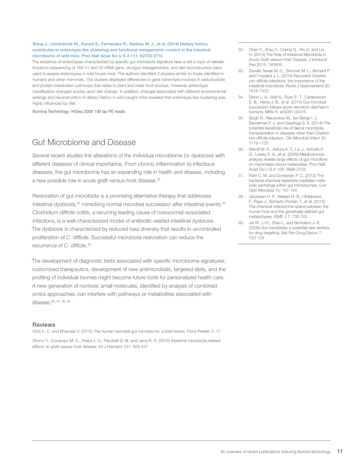#### <span id="page-9-0"></span>Wang J., Linnenbrink M., Kunzel S., Fernandes R., Nadeau M. J., et al. (2014) Dietary history contributes to enterotype-like clustering and functional metagenomic content in the intestinal microbiome of wild mice. Proc Natl Acad Sci U S A 111: E2703-2710

The existence of enterotypes characterized by specific gut microbiota signature taxa is still a topic of debate. Amplicon sequencing of 16S V1 and V2 rRNA gene, shotgun metagenomics, and diet reconstruction were used to assess enterotypes in wild house mice. The authors identified 2 clusters similar to those identified in humans and other mammals. The clusters displayed differences in gene transcripts involved in carbohydrate and protein metabolism pathways that relate to plant and meat food sources. However, enterotype classification changed quickly upon diet change. In addition, changes associated with different environmental settings and reconstruction of dietary history in wild-caught mice revealed that enterotype-like clustering was highly influenced by diet.

Illumina Technology: HiSeq 2000 100 bp PE reads

# Gut Microbiome and Disease

Several recent studies link alterations of the individual microbiome (or dysbiosis) with different diseases of clinical importance. From chronic inflammation to infectious diseases, the gut microbiome has an expanding role in health and disease, including a new possible role in acute graft-versus-host disease.<sup>32</sup>

Restoration of gut microbiota is a promising alternative therapy that addresses intestinal dysbiosis,<sup>33</sup> mimicking normal microbial succession after intestinal events.<sup>34</sup> *Clostridium difficile* colitis, a recurring leading cause of nosocomial-associated infections, is a well-characterized model of antibiotic-related intestinal dysbiosis. The dysbiosis is characterized by reduced taxa diversity that results in uncontrolled proliferation of *C. difficile*. Successful microbiota restoration can reduce the recurrence of *C. difficile*. 35

The development of diagnostic tests associated with specific microbiome signatures, customized therapeutics, development of new antimicrobials, targeted diets, and the profiling of individual biomes might become future tools for personalized health care. A new generation of nontoxic small molecules, identified by analysis of combined omics approaches, can interfere with pathways or metabolites associated with disease.36, 37, 38, 39

#### **Reviews**

Gritz E. C. and Bhandari V. (2015) The human neonatal gut microbiome: a brief review. Front Pediatr 3: 17

Shono Y., Docampo M. D., Peled J. U., Perobelli S. M. and Jenq R. R. (2015) Intestinal microbiota-related effects on graft-versus-host disease. Int J Hematol 101: 428-437

- 32. Chen Y., Zhao Y., Cheng Q., Wu D. and Liu H. (2015) The Role of Intestinal Microbiota in Acute Graft-versus-Host Disease. J Immunol Res 2015: 145859
- 33. Zanella Terrier M. C., Simonet M. L., Bichard P. and Frossard J. L. (2014) Recurrent Clostridium difficile infections: the importance of the intestinal microbiota. World J Gastroenterol 20: 7416-7423
- 34. David L. A., Weil A., Ryan E. T., Calderwood S. B., Harris J. B., et al. (2015) Gut microbial succession follows acute secretory diarrhea in humans. MBio 6: e00381-00315
- 35. Singh R., Nieuwdorp M., ten Berge I. J., Bemelman F. J. and Geerlings S. E. (2014) The potential beneficial role of faecal microbiota transplantation in diseases other than Clostridium difficile infection. Clin Microbiol Infect 20: 1119-1125
- 36. Wikoff W. R., Anfora A. T., Liu J., Schultz P. G., Lesley S. A., et al. (2009) Metabolomics analysis reveals large effects of gut microflora on mammalian blood metabolites. Proc Natl Acad Sci U S A 106: 3698-3703
- 37. Rath C. M. and Dorrestein P. C. (2012) The bacterial chemical repertoire mediates metabolic exchange within gut microbiomes. Curr Opin Microbiol 15: 147-154
- 38. Jacobsen U. P., Nielsen H. B., Hildebrand F., Raes J., Sicheritz-Ponten T., et al. (2013) The chemical interactome space between the human host and the genetically defined gut metabotypes. ISME J 7: 730-742
- 39. Jia W., Li H., Zhao L. and Nicholson J. K. (2008) Gut microbiota: a potential new territory for drug targeting. Nat Rev Drug Discov 7: 123-129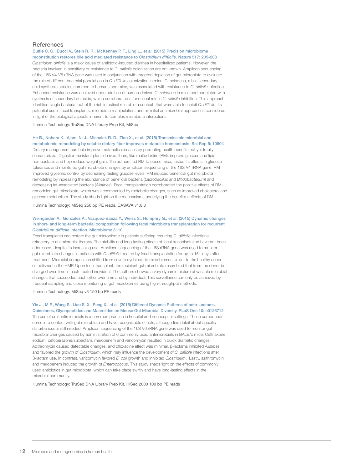#### **References**

Buffie C. G., Bucci V., Stein R. R., McKenney P. T., Ling L., et al. (2015) Precision microbiome reconstitution restores bile acid mediated resistance to *Clostridium difficile*. Nature 517: 205-208 *Clostridium difficile* is a major cause of antibiotic-induced diarrhea in hospitalized patients. However, the bacteria involved in sensitivity or resistance to *C. difficile* colonization are not known. Amplicon sequencing of the 16S V4-V5 rRNA gene was used in conjunction with targeted depletion of gut microbiota to evaluate the role of different bacterial populations in *C. difficile* colonization in mice. C. scindens, a bile secondary acid synthesis species common to humans and mice, was associated with resistance to *C. difficile* infection. Enhanced resistance was achieved upon addition of human-derived *C. scindens* in mice and correlated with synthesis of secondary bile acids, which corroborated a functional role in *C. difficile* inhibition. This approach identified single bacteria, out of the rich intestinal microbiota context, that were able to inhibit *C. difficile*. Its potential use in fecal transplants, microbiota manipulation, and an initial antimicrobial approach is considered in light of the biological aspects inherent to complex microbiota interactions.

Illumina Technology: TruSeq DNA Library Prep Kit, MiSeq

#### He B., Nohara K., Ajami N. J., Michalek R. D., Tian X., et al. (2015) Transmissible microbial and

metabolomic remodeling by soluble dietary fiber improves metabolic homeostasis. Sci Rep 5: 10604 Dietary management can help improve metabolic diseases by promoting health benefits not yet totally characterized. Digestion-resistant plant-derived fibers, like maltodextrin (RM), improve glucose and lipid homeostasis and help reduce weight gain. The authors fed RM to obese mice, tested its effects in glucose tolerance, and monitored gut microbiota changes by amplicon sequencing of the 16S V4 rRNA gene. RM improved glycemic control by decreasing fasting glucose levels. RM induced beneficial gut microbiota remodeling by increasing the abundance of beneficial bacteria (*Lactobacillus* and *Bifidobacterium*) and decreasing fat-associated bacteria (*Alistipes*). Fecal transplantation corroborated the positive effects of RMremodeled gut microbiota, which was accompanied by metabolic changes, such as improved cholesterol and glucose metabolism. The study sheds light on the mechanisms underlying the beneficial effects of RM.

Illumina Technology: MiSeq 250 bp PE reads, CASAVA v1.8.3

#### Weingarden A., Gonzalez A., Vazquez-Baeza Y., Weiss S., Humphry G., et al. (2015) Dynamic changes in short- and long-term bacterial composition following fecal microbiota transplantation for recurrent *Clostridium difficile* infection. Microbiome 3: 10

Fecal transplants can restore the gut microbiome in patients suffering recurring *C. difficile* infections refractory to antimicrobial therapy. The stability and long-lasting effects of fecal transplantation have not been addressed, despite its increasing use. Amplicon sequencing of the 16S rRNA gene was used to monitor gut microbiota changes in patients with *C. difficile* treated by fecal transplantation for up to 151 days after treatment. Microbial composition shifted from severe dysbiosis to microbiomes similar to the healthy cohort established in the HMP. Upon fecal transplant, the recipient gut microbiota resembled that from the donor but diverged over time in each treated individual. The authors showed a very dynamic picture of variable microbial changes that succeeded each other over time and by individual. This surveillance can only be achieved by frequent sampling and close monitoring of gut microbiomes using high-throughput methods.

Illumina Technology: MiSeq v3 150 bp PE reads

#### Yin J., M P., Wang S., Liao S. X., Peng X., et al. (2015) Different Dynamic Patterns of beta-Lactams,

Quinolones, Glycopeptides and Macrolides on Mouse Gut Microbial Diversity. PLoS One 10: e0126712 The use of oral antimicrobials is a common practice in hospital and nonhospital settings. These compounds come into contact with gut microbiota and have recognizable effects, although fine detail about specific disturbances is still needed. Amplicon sequencing of the 16S V6 rRNA gene was used to monitor gut microbial changes caused by administration of 6 commonly used antimicrobials in BALB/c mice. Ceftriaxone sodium, cefoperazone/sulbactam, meropenem and vancomycin resulted in quick dramatic changes. Azithromycin caused detectable changes, and ofloxacine effect was minimal. β-lactams inhibited *Alistipes* and favored the growth of *Clostridium*, which may influence the development of *C. difficile* infections after β-lactam use. In contrast, vancomycin favored *E. coli* growth and inhibited *Clostridium*. Lastly, azithromycin and meropenem induced the growth of *Enterococcus*. This study sheds light on the effects of commonly used antibiotics in gut microbiota, which can take place swiftly and have long-lasting effects in the microbial community.

Illumina Technology: TruSeq DNA Library Prep Kit, HiSeq 2000 100 bp PE reads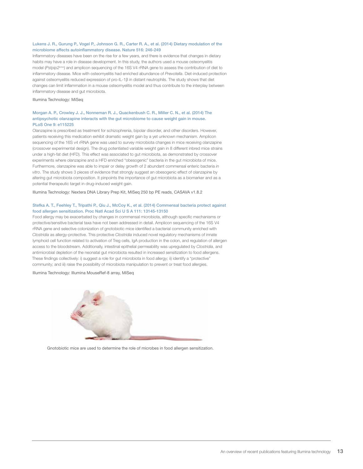#### Lukens J. R., Gurung P., Vogel P., Johnson G. R., Carter R. A., et al. (2014) Dietary modulation of the microbiome affects autoinflammatory disease. Nature 516: 246-249

Inflammatory diseases have been on the rise for a few years, and there is evidence that changes in dietary habits may have a role in disease development. In this study, the authors used a mouse osteomyelitis model (*Pstpip2cmo*) and amplicon sequencing of the 16S V4 rRNA gene to assess the contribution of diet to inflammatory disease. Mice with osteomyelitis had enriched abundance of *Prevotella*. Diet-induced protection against osteomyelitis reduced expression of pro-IL-1β in distant neutrophils. The study shows that diet changes can limit inflammation in a mouse osteomyelitis model and thus contribute to the interplay between inflammatory disease and gut microbiota.

#### Illumina Technology: MiSeq

#### Morgan A. P., Crowley J. J., Nonneman R. J., Quackenbush C. R., Miller C. N., et al. (2014) The antipsychotic olanzapine interacts with the gut microbiome to cause weight gain in mouse. PLoS One 9: e115225

Olanzapine is prescribed as treatment for schizophrenia, bipolar disorder, and other disorders. However, patients receiving this medication exhibit dramatic weight gain by a yet unknown mechanism. Amplicon sequencing of the 16S v4 rRNA gene was used to survey microbiota changes in mice receiving olanzapine (crossover experimental design). The drug potentiated variable weight gain in 8 different inbred mice strains under a high-fat diet (HFD). This effect was associated to gut microbiota, as demonstrated by crossover experiments where olanzapine and a HFD enriched "obesogenic" bacteria in the gut microbiota of mice. Furthermore, olanzapine was able to impair or delay growth of 2 abundant commensal enteric bacteria *in vitro*. The study shows 3 pieces of evidence that strongly suggest an obesogenic effect of olanzapine by altering gut microbiota composition. It pinpoints the importance of gut microbiota as a biomarker and as a potential therapeutic target in drug-induced weight gain.

Illumina Technology: Nextera DNA Library Prep Kit, MiSeq 250 bp PE reads, CASAVA v1.8.2

#### Stefka A. T., Feehley T., Tripathi P., Qiu J., McCoy K., et al. (2014) Commensal bacteria protect against food allergen sensitization. Proc Natl Acad Sci U S A 111: 13145-13150

Food allergy may be exacerbated by changes in commensal microbiota, although specific mechanisms or protective/sensitive bacterial taxa have not been addressed in detail. Amplicon sequencing of the 16S V4 rRNA gene and selective colonization of gnotobiotic mice identified a bacterial community enriched with *Clostridia* as allergy-protective. This protective *Clostridia* induced novel regulatory mechanisms of innate lymphoid cell function related to activation of Treg cells, IgA production in the colon, and regulation of allergen access to the bloodstream. Additionally, intestinal epithelial permeability was upregulated by *Clostridia*, and antimicrobial depletion of the neonatal gut microbiota resulted in increased sensitization to food allergens. These findings collectively: i) suggest a role for gut microbiota in food allergy; ii) identify a "protective" community; and iii) raise the possibility of microbiota manipulation to prevent or treat food allergies.

#### Illumina Technology: Illumina MouseRef-8 array, MiSeq



Gnotobiotic mice are used to determine the role of microbes in food allergen sensitization.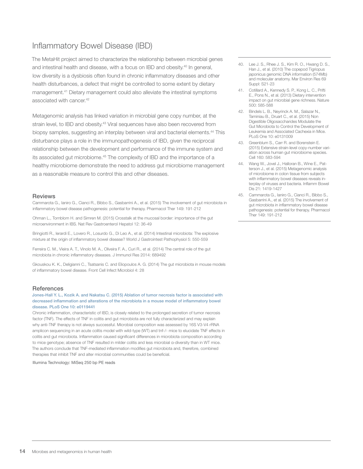# <span id="page-12-0"></span>Inflammatory Bowel Disease (IBD)

The MetaHit project aimed to characterize the relationship between microbial genes and intestinal health and disease, with a focus on IBD and obesity.40 In general, low diversity is a dysbiosis often found in chronic inflammatory diseases and other health disturbances, a defect that might be controlled to some extent by dietary management.<sup>41</sup> Dietary management could also alleviate the intestinal symptoms associated with cancer.<sup>42</sup>

Metagenomic analysis has linked variation in microbial gene copy number, at the strain level, to IBD and obesity.<sup>43</sup> Viral sequences have also been recovered from biopsy samples, suggesting an interplay between viral and bacterial elements.<sup>44</sup> This disturbance plays a role in the immunopathogenesis of IBD, given the reciprocal relationship between the development and performance of the immune system and its associated gut microbiome.45 The complexity of IBD and the importance of a healthy microbiome demonstrate the need to address gut microbiome management as a reasonable measure to control this and other diseases.

#### Reviews

Cammarota G., Ianiro G., Cianci R., Bibbo S., Gasbarrini A., et al. (2015) The involvement of gut microbiota in inflammatory bowel disease pathogenesis: potential for therapy. Pharmacol Ther 149: 191-212

Ohman L., Tornblom H. and Simren M. (2015) Crosstalk at the mucosal border: importance of the gut microenvironment in IBS. Nat Rev Gastroenterol Hepatol 12: 36-49

Bringiotti R., Ierardi E., Lovero R., Losurdo G., Di Leo A., et al. (2014) Intestinal microbiota: The explosive mixture at the origin of inflammatory bowel disease? World J Gastrointest Pathophysiol 5: 550-559

Ferreira C. M., Vieira A. T., Vinolo M. A., Oliveira F. A., Curi R., et al. (2014) The central role of the gut microbiota in chronic inflammatory diseases. J Immunol Res 2014: 689492

Gkouskou K. K., Deligianni C., Tsatsanis C. and Eliopoulos A. G. (2014) The gut microbiota in mouse models of inflammatory bowel disease. Front Cell Infect Microbiol 4: 28

#### **References**

Jones-Hall Y. L., Kozik A. and Nakatsu C. (2015) Ablation of tumor necrosis factor is associated with decreased inflammation and alterations of the microbiota in a mouse model of inflammatory bowel disease. PLoS One 10: e0119441

Chronic inflammation, characteristic of IBD, is closely related to the prolonged secretion of tumor necrosis factor (TNF). The effects of TNF in colitis and gut microbiota are not fully characterized and may explain why anti-TNF therapy is not always successful. Microbial composition was assessed by 16S V3-V4 rRNA amplicon sequencing in an acute colitis model with wild-type (WT) and tnf-/- mice to elucidate TNF effects in colitis and gut microbiota. Inflammation caused significant differences in microbiota composition according to mice genotype; absence of TNF resulted in milder colitis and less microbial α-diversity than in WT mice. The authors conclude that TNF-mediated inflammation modifies gut microbiota and, therefore, combined therapies that inhibit TNF and alter microbial communities could be beneficial.

Illumina Technology: MiSeq 250 bp PE reads

- 40. Lee J. S., Rhee J. S., Kim R. O., Hwang D. S., Han J., et al. (2010) The copepod Tigriopus japonicus genomic DNA information (574Mb) and molecular anatomy. Mar Environ Res 69 Suppl: S21-23
- 41. Cotillard A., Kennedy S. P., Kong L. C., Prifti E., Pons N., et al. (2013) Dietary intervention impact on gut microbial gene richness. Nature 500: 585-588
- 42. Bindels L. B., Neyrinck A. M., Salazar N., Taminiau B., Druart C., et al. (2015) Non Digestible Oligosaccharides Modulate the Gut Microbiota to Control the Development of Leukemia and Associated Cachexia in Mice. PLoS One 10: e0131009
- 43. Greenblum S., Carr R. and Borenstein E. (2015) Extensive strain-level copy-number variation across human gut microbiome species. Cell 160: 583-594
- 44. Wang W., Jovel J., Halloran B., Wine E., Patterson J., et al. (2015) Metagenomic analysis of microbiome in colon tissue from subjects with inflammatory bowel diseases reveals interplay of viruses and bacteria. Inflamm Bowel Dis 21: 1419-1427
- 45. Cammarota G., Ianiro G., Cianci R., Bibbo S., Gasbarrini A., et al. (2015) The involvement of gut microbiota in inflammatory bowel disease pathogenesis: potential for therapy. Pharmacol Ther 149: 191-212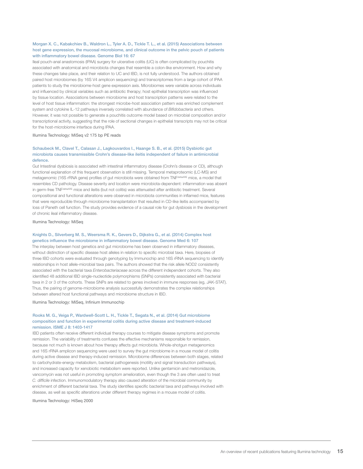#### Morgan X. C., Kabakchiev B., Waldron L., Tyler A. D., Tickle T. L., et al. (2015) Associations between host gene expression, the mucosal microbiome, and clinical outcome in the pelvic pouch of patients with inflammatory bowel disease. Genome Biol 16: 67

Ileal pouch-anal anastomosis (IPAA) surgery for ulcerative colitis (UC) is often complicated by pouchitis associated with anatomical and microbiota changes that resemble a colon-like environment. How and why these changes take place, and their relation to UC and IBD, is not fully understood. The authors obtained paired host microbiomes (by 16S V4 amplicon sequencing) and transcriptomes from a large cohort of IPAA patients to study the microbiome-host gene expression axis. Microbiomes were variable across individuals and influenced by clinical variables such as antibiotic therapy; host epithelial transcription was influenced by tissue location. Associations between microbiome and host transcription patterns were related to the level of host tissue inflammation: the strongest microbe-host association pattern was enriched complement system and cytokine IL-12 pathways inversely correlated with abundance of *Bifidobacteria* and others. However, it was not possible to generate a pouchitis outcome model based on microbial composition and/or transcriptional activity, suggesting that the role of sectional changes in epithelial transcripts may not be critical for the host-microbiome interface during IPAA.

Illumina Technology: MiSeq v2 175 bp PE reads

#### Schaubeck M., Clavel T., Calasan J., Lagkouvardos I., Haange S. B., et al. (2015) Dysbiotic gut microbiota causes transmissible Crohn's disease-like ileitis independent of failure in antimicrobial defence.

Gut Intestinal dysbiosis is associated with intestinal inflammatory disease (Crohn's disease or CD), although functional explanation of this frequent observation is still missing. Temporal metaproteomic (LC-MS) and metagenomic (16S rRNA gene) profiles of gut microbiota were obtained from TNF<sup>deltaARE</sup> mice, a model that resembles CD pathology. Disease severity and location were microbiota-dependent: inflammation was absent in germ-free TNF<sup>deltaARE</sup> mice and ileitis (but not colitis) was attenuated after antibiotic treatment. Several compositional and functional alterations were observed in microbiota communities in inflamed mice, features that were reproducible through microbiome transplantation that resulted in CD-like ileitis accompanied by loss of Paneth cell function. The study provides evidence of a causal role for gut dysbiosis in the development of chronic ileal inflammatory disease.

Illumina Technology: MiSeq

#### Knights D., Silverberg M. S., Weersma R. K., Gevers D., Dijkstra G., et al. (2014) Complex host genetics influence the microbiome in inflammatory bowel disease. Genome Med 6: 107

The interplay between host genetics and gut microbiome has been observed in inflammatory diseases, without distinction of specific disease host alleles in relation to specific microbial taxa. Here, biopsies of three IBD cohorts were evaluated through genotyping by Immunochip and 16S rRNA sequencing to identify relationships in host allele-microbial taxa pairs. The authors showed that the risk allele NOD2 consistently associated with the bacterial taxa *Enterobacteriaceae* across the different independent cohorts. They also identified 48 additional IBD single-nucleotide polymorphisms (SNPs) consistently associated with bacterial taxa in 2 or 3 of the cohorts. These SNPs are related to genes involved in immune responses (eg, JAK-STAT). Thus, the pairing of genome-microbiome analysis successfully demonstrates the complex relationships between altered host functional pathways and microbiome structure in IBD.

Illumina Technology: MiSeq, Infinium Immunochip

#### Rooks M. G., Veiga P., Wardwell-Scott L. H., Tickle T., Segata N., et al. (2014) Gut microbiome composition and function in experimental colitis during active disease and treatment-induced remission. ISME J 8: 1403-1417

IBD patients often receive different individual therapy courses to mitigate disease symptoms and promote remission. The variability of treatments confuses the effective mechanisms responsible for remission, because not much is known about how therapy affects gut microbiota. Whole-shotgun metagenomics and 16S rRNA amplicon sequencing were used to survey the gut microbiome in a mouse model of colitis during active disease and therapy-induced remission. Microbiome differences between both stages, related to carbohydrate-energy metabolism, bacterial pathogenesis (motility and signal transduction pathways), and increased capacity for xenobiotic metabolism were reported. Unlike gentamicin and metronidazole, vancomycin was not useful in promoting symptom amelioration, even though the 3 are often used to treat *C. difficile* infection. Immunomodulatory therapy also caused alteration of the microbial community by enrichment of different bacterial taxa. The study identifies specific bacterial taxa and pathways involved with disease, as well as specific alterations under different therapy regimes in a mouse model of colitis.

Illumina Technology: HiSeq 2000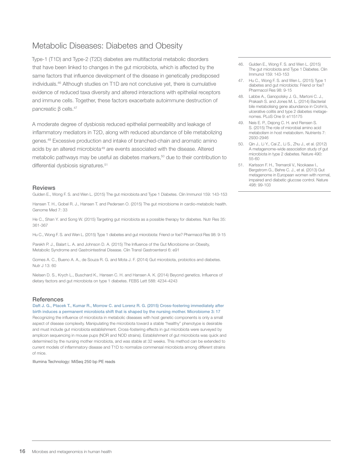# <span id="page-14-0"></span>Metabolic Diseases: Diabetes and Obesity

Type-1 (T1D) and Type-2 (T2D) diabetes are multifactorial metabolic disorders that have been linked to changes in the gut microbiota, which is affected by the same factors that influence development of the disease in genetically predisposed individuals.46 Although studies on T1D are not conclusive yet, there is cumulative evidence of reduced taxa diversity and altered interactions with epithelial receptors and immune cells. Together, these factors exacerbate autoimmune destruction of pancreatic β cells.47

A moderate degree of dysbiosis reduced epithelial permeability and leakage of inflammatory mediators in T2D, along with reduced abundance of bile metabolizing genes.48 Excessive production and intake of branched-chain and aromatic amino acids by an altered microbiota<sup>49</sup> are events associated with the disease. Altered metabolic pathways may be useful as diabetes markers,<sup>50</sup> due to their contribution to differential dysbiosis signatures.<sup>51</sup>

#### **Reviews**

Gulden E., Wong F. S. and Wen L. (2015) The gut microbiota and Type 1 Diabetes. Clin Immunol 159: 143-153

Hansen T. H., Gobel R. J., Hansen T. and Pedersen O. (2015) The gut microbiome in cardio-metabolic health. Genome Med 7: 33

He C., Shan Y. and Song W. (2015) Targeting gut microbiota as a possible therapy for diabetes. Nutr Res 35: 361-367

Hu C., Wong F. S. and Wen L. (2015) Type 1 diabetes and gut microbiota: Friend or foe? Pharmacol Res 98: 9-15

Parekh P. J., Balart L. A. and Johnson D. A. (2015) The Influence of the Gut Microbiome on Obesity, Metabolic Syndrome and Gastrointestinal Disease. Clin Transl Gastroenterol 6: e91

Gomes A. C., Bueno A. A., de Souza R. G. and Mota J. F. (2014) Gut microbiota, probiotics and diabetes. Nutr J 13: 60

Nielsen D. S., Krych L., Buschard K., Hansen C. H. and Hansen A. K. (2014) Beyond genetics. Influence of dietary factors and gut microbiota on type 1 diabetes. FEBS Lett 588: 4234-4243

#### References

Daft J. G., Ptacek T., Kumar R., Morrow C. and Lorenz R. G. (2015) Cross-fostering immediately after birth induces a permanent microbiota shift that is shaped by the nursing mother. Microbiome 3: 17 Recognizing the influence of microbiota in metabolic diseases with host genetic components is only a small aspect of disease complexity. Manipulating the microbiota toward a stable "healthy" phenotype is desirable and must include gut microbiota establishment. Cross-fostering effects in gut microbiota were surveyed by amplicon sequencing in mouse pups (NOR and NOD strains). Establishment of gut microbiota was quick and determined by the nursing mother microbiota, and was stable at 32 weeks. This method can be extended to current models of inflammatory disease and T1D to normalize commensal microbiota among different strains of mice.

Illumina Technology: MiSeq 250 bp PE reads

- 46. Gulden E., Wong F. S. and Wen L. (2015) The gut microbiota and Type 1 Diabetes. Clin Immunol 159: 143-153
- 47. Hu C., Wong F. S. and Wen L. (2015) Type 1 diabetes and gut microbiota: Friend or foe? Pharmacol Res 98: 9-15
- 48. Labbe A., Ganopolsky J. G., Martoni C. J., Prakash S. and Jones M. L. (2014) Bacterial bile metabolising gene abundance in Crohn's, ulcerative colitis and type 2 diabetes metagenomes. PLoS One 9: e115175
- 49. Neis E. P., Dejong C. H. and Rensen S. S. (2015) The role of microbial amino acid metabolism in host metabolism. Nutrients 7: 2930-2946
- 50. Qin J., Li Y., Cai Z., Li S., Zhu J., et al. (2012) A metagenome-wide association study of gut microbiota in type 2 diabetes. Nature 490: 55-60
- 51. Karlsson F. H., Tremaroli V., Nookaew I., Bergstrom G., Behre C. J., et al. (2013) Gut metagenome in European women with normal, impaired and diabetic glucose control. Nature 498: 99-103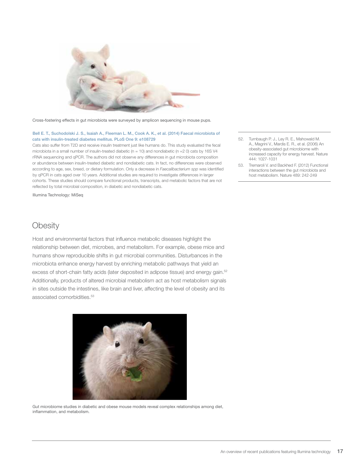<span id="page-15-0"></span>

Cross-fostering effects in gut microbiota were surveyed by amplicon sequencing in mouse pups.

#### Bell E. T., Suchodolski J. S., Isaiah A., Fleeman L. M., Cook A. K., et al. (2014) Faecal microbiota of cats with insulin-treated diabetes mellitus. PLoS One 9: e108729

Cats also suffer from T2D and receive insulin treatment just like humans do. This study evaluated the fecal microbiota in a small number of insulin-treated diabetic ( $n = 10$ ) and nondiabetic ( $n = 20$ ) cats by 16S V4 rRNA sequencing and qPCR. The authors did not observe any differences in gut microbiota composition or abundance between insulin-treated diabetic and nondiabetic cats. In fact, no differences were observed according to age, sex, breed, or dietary formulation. Only a decrease in *Faecalibacterium spp* was identified by qPCR in cats aged over 10 years. Additional studies are required to investigate differences in larger cohorts. These studies should compare functional products, transcripts, and metabolic factors that are not reflected by total microbial composition, in diabetic and nondiabetic cats.

Illumina Technology: MiSeq

- 52. Turnbaugh P. J., Ley R. E., Mahowald M. A., Magrini V., Mardis E. R., et al. (2006) An obesity-associated gut microbiome with increased capacity for energy harvest. Nature 444: 1027-1031
- 53. Tremaroli V. and Backhed F. (2012) Functional interactions between the gut microbiota and host metabolism. Nature 489: 242-249

### **Obesity**

Host and environmental factors that influence metabolic diseases highlight the relationship between diet, microbes, and metabolism. For example, obese mice and humans show reproducible shifts in gut microbial communities. Disturbances in the microbiota enhance energy harvest by enriching metabolic pathways that yield an excess of short-chain fatty acids (later deposited in adipose tissue) and energy gain.52 Additionally, products of altered microbial metabolism act as host metabolism signals in sites outside the intestines, like brain and liver, affecting the level of obesity and its associated comorbidities.<sup>53</sup>



Gut microbiome studies in diabetic and obese mouse models reveal complex relationships among diet, inflammation, and metabolism.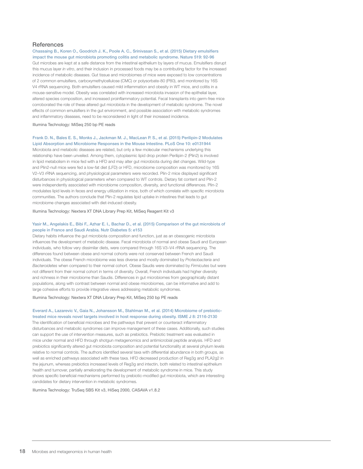#### **References**

Chassaing B., Koren O., Goodrich J. K., Poole A. C., Srinivasan S., et al. (2015) Dietary emulsifiers impact the mouse gut microbiota promoting colitis and metabolic syndrome. Nature 519: 92-96 Gut microbes are kept at a safe distance from the intestinal epithelium by layers of mucus. Emulsifiers disrupt this mucus layer *in vitro*, and their inclusion in processed foods may be a contributing factor for the increased incidence of metabolic diseases. Gut tissue and microbiomes of mice were exposed to low concentrations of 2 common emulsifiers, carboxymethylcellulose (CMC) or polysorbate-80 (P80), and monitored by 16S V4 rRNA sequencing. Both emulsifiers caused mild inflammation and obesity in WT mice, and colitis in a mouse-sensitive model. Obesity was correlated with increased microbiota invasion of the epithelial layer, altered species composition, and increased proinflammatory potential. Fecal transplants into germ-free mice corroborated the role of these altered gut microbiota in the development of metabolic syndrome. The novel effects of common emulsifiers in the gut environment, and possible association with metabolic syndromes and inflammatory diseases, need to be reconsidered in light of their increased incidence.

Illumina Technology: MiSeq 250 bp PE reads

#### Frank D. N., Bales E. S., Monks J., Jackman M. J., MacLean P. S., et al. (2015) Perilipin-2 Modulates Lipid Absorption and Microbiome Responses in the Mouse Intestine. PLoS One 10: e0131944

Microbiota and metabolic diseases are related, but only a few molecular mechanisms underlying this relationship have been unveiled. Among them, cytoplasmic lipid drop protein Perilipin-2 (Plin2) is involved in lipid metabolism in mice fed with a HFD and may alter gut microbiota during diet changes. Wild-type and Plin2-null mice were fed a low-fat diet (LFD) or HFD, microbiome composition was monitored by 16S V2–V3 rRNA sequencing, and physiological parameters were recorded. Plin-2 mice displayed significant disturbances in physiological parameters when compared to WT controls. Dietary fat content and Plin-2 were independently associated with microbiome composition, diversity, and functional differences. Plin-2 modulates lipid levels in feces and energy utilization in mice, both of which correlate with specific microbiota communities. The authors conclude that Plin-2 regulates lipid uptake in intestines that leads to gut microbiome changes associated with diet-induced obesity.

Illumina Technology: Nextera XT DNA Library Prep Kit, MiSeq Reagent Kit v3

#### Yasir M., Angelakis E., Bibi F., Azhar E. I., Bachar D., et al. (2015) Comparison of the gut microbiota of people in France and Saudi Arabia. Nutr Diabetes 5: e153

Dietary habits influence the gut microbiota composition and function, just as an obesogenic microbiota influences the development of metabolic disease. Fecal microbiota of normal and obese Saudi and European individuals, who follow very dissimilar diets, were compared through 16S V3–V4 rRNA sequencing. The differences found between obese and normal cohorts were not conserved between French and Saudi individuals. The obese French microbiome was less diverse and mostly dominated by *Proteobacteria* and *Bacteroidetes* when compared to their normal cohort. Obese Saudis were dominated by *Firmicutes* but were not different from their normal cohort in terms of diversity. Overall, French individuals had higher diversity and richness in their microbiome than Saudis. Differences in gut microbiomes from geographically distant populations, along with contrast between normal and obese microbiomes, can be informative and add to large cohesive efforts to provide integrative views addressing metabolic syndromes.

Illumina Technology: Nextera XT DNA Library Prep Kit, MiSeq 250 bp PE reads

#### Everard A., Lazarevic V., Gaia N., Johansson M., Stahlman M., et al. (2014) Microbiome of prebiotictreated mice reveals novel targets involved in host response during obesity. ISME J 8: 2116-2130

The identification of beneficial microbes and the pathways that prevent or counteract inflammatory disturbances and metabolic syndromes can improve management of these cases. Additionally, such studies can support the use of intervention measures, such as prebiotics. Prebiotic treatment was evaluated in mice under normal and HFD through shotgun metagenomics and antimicrobial peptide analysis. HFD and prebiotics significantly altered gut microbiota composition and potential functionality at several phylum levels relative to normal controls. The authors identified several taxa with differential abundance in both groups, as well as enriched pathways associated with these taxa. HFD decreased production of Reg3g and PLA2g2 in the jejunum, whereas prebiotics increased levels of Reg3g and intectin, both related to intestinal epithelium health and turnover, partially ameliorating the development of metabolic syndrome in mice. This study shows specific beneficial mechanisms performed by prebiotic-modified gut microbiota, which are interesting candidates for dietary intervention in metabolic syndromes.

Illumina Technology: TruSeq SBS Kit v3, HiSeq 2000, CASAVA v1.8.2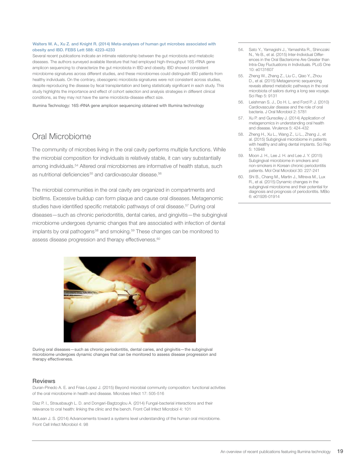#### <span id="page-17-0"></span>Walters W. A., Xu Z. and Knight R. (2014) Meta-analyses of human gut microbes associated with obesity and IBD. FEBS Lett 588: 4223-4233

Several recent publications indicate an intimate relationship between the gut microbiota and metabolic diseases. The authors surveyed available literature that had employed high-throughput 16S rRNA gene amplicon sequencing to characterize the gut microbiota in IBD and obesity. IBD showed consistent microbiome signatures across different studies, and these microbiomes could distinguish IBD patients from healthy individuals. On the contrary, obesogenic microbiota signatures were not consistent across studies, despite reproducing the disease by fecal transplantation and being statistically significant in each study. This study highlights the importance and effect of cohort selection and analysis strategies in different clinical conditions, as they may not have the same microbiota-disease effect size.

Illumina Technology: 16S rRNA gene amplicon sequencing obtained with Illumina technology

# Oral Microbiome

The community of microbes living in the oral cavity performs multiple functions. While the microbial composition for individuals is relatively stable, it can vary substantially among individuals.<sup>54</sup> Altered oral microbiomes are informative of health status, such as nutritional deficiencies<sup>55</sup> and cardiovascular disease.<sup>56</sup>

The microbial communities in the oral cavity are organized in compartments and biofilms. Excessive buildup can form plaque and cause oral diseases. Metagenomic studies have identified specific metabolic pathways of oral disease.<sup>57</sup> During oral diseases—such as chronic periodontitis, dental caries, and gingivitis—the subgingival microbiome undergoes dynamic changes that are associated with infection of dental implants by oral pathogens<sup>58</sup> and smoking.<sup>59</sup> These changes can be monitored to assess disease progression and therapy effectiveness.<sup>60</sup>



During oral diseases—such as chronic periodontitis, dental caries, and gingivitis—the subgingival microbiome undergoes dynamic changes that can be monitored to assess disease progression and therapy effectiveness.

#### **Reviews**

Duran-Pinedo A. E. and Frias-Lopez J. (2015) Beyond microbial community composition: functional activities of the oral microbiome in health and disease. Microbes Infect 17: 505-516

Diaz P. I., Strausbaugh L. D. and Dongari-Bagtzoglou A. (2014) Fungal-bacterial interactions and their relevance to oral health: linking the clinic and the bench. Front Cell Infect Microbiol 4: 101

McLean J. S. (2014) Advancements toward a systems level understanding of the human oral microbiome. Front Cell Infect Microbiol 4: 98

- 54. Sato Y., Yamagishi J., Yamashita R., Shinozaki N., Ye B., et al. (2015) Inter-Individual Differences in the Oral Bacteriome Are Greater than Intra-Day Fluctuations in Individuals. PLoS One 10: e0131607
- 55. Zheng W., Zhang Z., Liu C., Qiao Y., Zhou D., et al. (2015) Metagenomic sequencing reveals altered metabolic pathways in the oral microbiota of sailors during a long sea voyage. Sci Rep 5: 9131
- 56. Leishman S. J., Do H. L. and Ford P. J. (2010) Cardiovascular disease and the role of oral bacteria. J Oral Microbiol 2: 5781
- 57. Xu P. and Gunsolley J. (2014) Application of metagenomics in understanding oral health and disease. Virulence 5: 424-432
- 58. Zheng H., Xu L., Wang Z., Li L., Zhang J., et al. (2015) Subgingival microbiome in patients with healthy and ailing dental implants. Sci Rep 5: 10948
- 59. Moon J. H., Lee J. H. and Lee J. Y. (2015) Subgingival microbiome in smokers and non-smokers in Korean chronic periodontitis patients. Mol Oral Microbiol 30: 227-241
- 60. Shi B., Chang M., Martin J., Mitreva M., Lux R., et al. (2015) Dynamic changes in the subgingival microbiome and their potential for diagnosis and prognosis of periodontitis. MBio 6: e01926-01914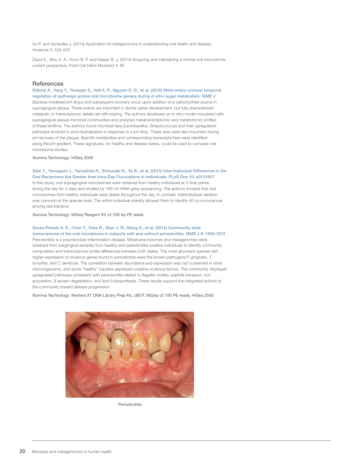Xu P. and Gunsolley J. (2014) Application of metagenomics in understanding oral health and disease. Virulence 5: 424-432

Zaura E., Nicu E. A., Krom B. P. and Keijser B. J. (2014) Acquiring and maintaining a normal oral microbiome: current perspective. Front Cell Infect Microbiol 4: 85

#### **References**

Edlund A., Yang Y., Yooseph S., Hall A. P., Nguyen D. D., et al. (2015) Meta-omics uncover temporal regulation of pathways across oral microbiome genera during *in vitro* sugar metabolism. ISME J Bacteria-mediated pH drops and subsequent recovery occur upon addition of a carbohydrate source in supragingival plaque. These events are important in dental caries development, but fully characterized metabolic or transcriptomic details are still missing. The authors developed an *in vitro* model inoculated with supragingival plaque microbial communities and analyzed metatranscriptomic and metabolomic profiles of these biofilms. The authors found microbial taxa (*Lactobacillus, Streptococcus*) and their upregulated pathways involved in acid neutralization in response to a pH drop. These taxa were also important during pH recovery of the plaque. Specific metabolites and corresponding transcripts/taxa were identified along the pH gradient. These signatures, for healthy and disease states, could be used to compare oral microbiome studies.

Illumina Technology: HiSeq 2000

Sato Y., Yamagishi J., Yamashita R., Shinozaki N., Ye B., et al. (2015) Inter-Individual Differences in the Oral Bacteriome Are Greater than Intra-Day Fluctuations in Individuals. PLoS One 10: e0131607 In this study, oral supragingival microbiomes were obtained from healthy individuals at 3 time points during the day for 3 days and studied by 16S V4 rRNA gene sequencing. The authors showed that oral microbiomes from healthy individuals were stable throughout the day. In contrast, interindividual variation was common at the species level. The within-individual stability allowed them to identify 40 co-occurrences among rare bacteria.

Illumina Technology: MiSeq Reagent Kit v2 250 bp PE reads

Duran-Pinedo A. E., Chen T., Teles R., Starr J. R., Wang X., et al. (2014) Community-wide transcriptome of the oral microbiome in subjects with and without periodontitis. ISME J 8: 1659-1672 Periodontitis is a polymicrobial inflammation disease. Metatranscriptomes and metagenomes were obtained from subgingival samples from healthy and periodontitis-positive individuals to identify community composition and transcriptome profile differences between both states. The most abundant species with higher expression of virulence genes found in periodontitis were the known pathogens *P. gingivalis*, *T. forsythia*, and *T. denticola*. The correlation between abundance and expression was not conserved in other microorganisms, and some "healthy" bacteria expressed putative virulence factors. The community displayed upregulated pathways consistent with periodontitis related to flagellar motility, peptide transport, iron acquisition, β-lactam degradation, and lipid A biosynthesis. These results support the integrated actions of the community toward disease progression.

Illumina Technology: Nextera XT DNA Library Prep Kit, cBOT, MiSeq v2 150 PE reads, HiSeq 2500



**Periodontitis**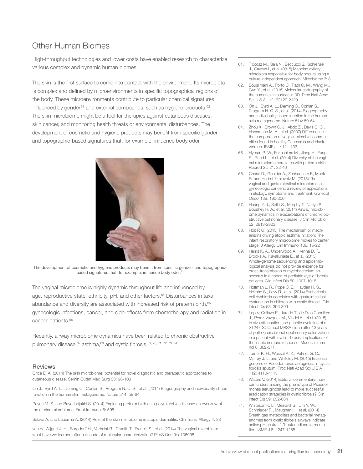# <span id="page-19-0"></span>Other Human Biomes

High-throughput technologies and lower costs have enabled research to characterize various complex and dynamic human biomes.

The skin is the first surface to come into contact with the environment. Its microbiota is complex and defined by microenvironments in specific topographical regions of the body. These microenvironments contribute to particular chemical signatures influenced by gender $61$  and external compounds, such as hygiene products. $62$ The skin microbiome might be a tool for therapies against cutaneous diseases, skin cancer, and monitoring health threats or environmental disturbances. The development of cosmetic and hygiene products may benefit from specific genderand topographic-based signatures that, for example, influence body odor.



The development of cosmetic and hygiene products may benefit from specific gender- and topographicbased signatures that, for example, influence body odor.<sup>6</sup>

The vaginal microbiome is highly dynamic throughout life and influenced by age, reproductive state, ethnicity, pH, and other factors.<sup>64</sup> Disturbances in taxa abundance and diversity are associated with increased risk of preterm birth,<sup>65</sup> gynecologic infections, cancer, and side-effects from chemotherapy and radiation in cancer patients.<sup>66</sup>

Recently, airway microbiome dynamics have been related to chronic obstructive pulmonary disease, 67 asthma, 68 and cystic fibrosis. 69, 70, 71, 72, 73, 74

#### **Reviews**

Grice E. A. (2014) The skin microbiome: potential for novel diagnostic and therapeutic approaches to cutaneous disease. Semin Cutan Med Surg 33: 98-103

Oh J., Byrd A. L., Deming C., Conlan S., Program N. C. S., et al. (2014) Biogeography and individuality shape function in the human skin metagenome. Nature 514: 59-64

Payne M. S. and Bayatibojakhi S. (2014) Exploring preterm birth as a polymicrobial disease: an overview of the uterine microbiome. Front Immunol 5: 595

Salava A. and Lauerma A. (2014) Role of the skin microbiome in atopic dermatitis. Clin Transl Allergy 4: 33

van de Wijgert J. H., Borgdorff H., Verhelst R., Crucitti T., Francis S., et al. (2014) The vaginal microbiota: what have we learned after a decade of molecular characterization? PLoS One 9: e105998

- 61. Troccaz M., Gaia N., Beccucci S., Schrenzel J., Cayeux I., et al. (2015) Mapping axillary microbiota responsible for body odours using a culture-independent approach. Microbiome 3: 3
- 62. Bouslimani A., Porto C., Rath C. M., Wang M., Guo Y., et al. (2015) Molecular cartography of the human skin surface in 3D. Proc Natl Acad Sci U S A 112: E2120-2129
- 63. Oh J., Byrd A. L., Deming C., Conlan S., Program N. C. S., et al. (2014) Biogeography and individuality shape function in the human skin metagenome. Nature 514: 59-64
- 64. Zhou X., Brown C. J., Abdo Z., Davis C. C., Hansmann M. A., et al. (2007) Differences in the composition of vaginal microbial communities found in healthy Caucasian and black women. ISME J 1: 121-133
- 65. Hyman R. W., Fukushima M., Jiang H., Fung E., Rand L., et al. (2014) Diversity of the vaginal microbiome correlates with preterm birth. Reprod Sci 21: 32-40
- 66. Chase D., Goulder A., Zenhausern F., Monk B. and Herbst-Kralovetz M. (2015) The vaginal and gastrointestinal microbiomes in gynecologic cancers: a review of applications in etiology, symptoms and treatment. Gynecol Oncol 138: 190-200
- 67. Huang Y. J., Sethi S., Murphy T., Nariya S., Boushey H. A., et al. (2014) Airway microbiome dynamics in exacerbations of chronic obstructive pulmonary disease. J Clin Microbiol 52: 2813-2823
- 68. Holt P. G. (2015) The mechanism or mechanisms driving atopic asthma initiation: The infant respiratory microbiome moves to center stage. J Allergy Clin Immunol 136: 15-22
- 69. Harris K. A., Underwood A., Kenna D. T., Brooks A., Kavaliunaite E., et al. (2015) Whole-genome sequencing and epidemiological analysis do not provide evidence for cross-transmission of mycobacterium abscessus in a cohort of pediatric cystic fibrosis patients. Clin Infect Dis 60: 1007-1016
- 70. Hoffman L. R., Pope C. E., Hayden H. S., Heltshe S., Levy R., et al. (2014) Escherichia coli dysbiosis correlates with gastrointestinal dysfunction in children with cystic fibrosis. Clin Infect Dis 58: 396-399
- 71. Lopez-Collazo E., Jurado T., de Dios Caballero J. Perez-Vazquez M. Vindel A., et al. (2015). In vivo attenuation and genetic evolution of a ST247-SCCmecI MRSA clone after 13 years of pathogenic bronchopulmonary colonization in a patient with cystic fibrosis: implications of the innate immune response. Mucosal Immunol 8: 362-371
- 72. Turner K. H., Wessel A. K., Palmer G. C., Murray J. L. and Whiteley M. (2015) Essential genome of Pseudomonas aeruginosa in cystic fibrosis sputum. Proc Natl Acad Sci U S A 112: 4110-4115
- 73. Waters V. (2014) Editorial commentary: how can understanding the phenotype of Pseudomonas aeruginosa lead to more successful eradication strategies in cystic fibrosis? Clin Infect Dis 59: 632-634
- 74. Whiteson K. L., Meinardi S., Lim Y. W., Schmieder R., Maughan H., et al. (2014) Breath gas metabolites and bacterial metagenomes from cystic fibrosis airways indicate active pH neutral 2,3-butanedione fermentation. ISME J 8: 1247-1258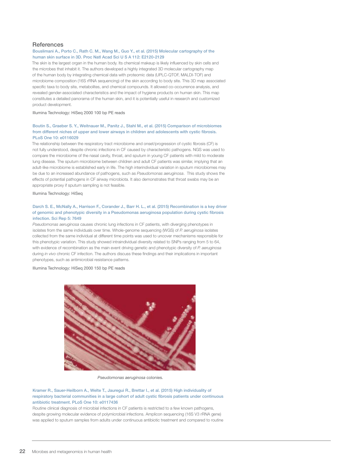#### **References**

#### Bouslimani A., Porto C., Rath C. M., Wang M., Guo Y., et al. (2015) Molecular cartography of the human skin surface in 3D. Proc Natl Acad Sci U S A 112: E2120-2129

The skin is the largest organ in the human body. Its chemical makeup is likely influenced by skin cells and the microbes that inhabit it. The authors developed a highly integrated 3D molecular cartography map of the human body by integrating chemical data with proteomic data (UPLC-QTOF, MALDI-TOF) and microbiome composition (16S rRNA sequencing) of the skin according to body site. This 3D map associated specific taxa to body site, metabolites, and chemical compounds. It allowed co-occurrence analysis, and revealed gender-associated characteristics and the impact of hygiene products on human skin. This map constitutes a detailed panorama of the human skin, and it is potentially useful in research and customized product development.

Illumina Technology: HiSeq 2000 100 bp PE reads

#### Boutin S., Graeber S. Y., Weitnauer M., Panitz J., Stahl M., et al. (2015) Comparison of microbiomes from different niches of upper and lower airways in children and adolescents with cystic fibrosis. PLoS One 10: e0116029

The relationship between the respiratory tract microbiome and onset/progression of cystic fibrosis (CF) is not fully understood, despite chronic infections in CF caused by characteristic pathogens. NGS was used to compare the microbiome of the nasal cavity, throat, and sputum in young CF patients with mild to moderate lung disease. The sputum microbiome between children and adult CF patients was similar, implying that an adult-like microbiome is established early in life. The high interindividual variation in sputum microbiomes may be due to an increased abundance of pathogens, such as *Pseudomonas aeruginosa*. This study shows the effects of potential pathogens in CF airway microbiota. It also demonstrates that throat swabs may be an appropriate proxy if sputum sampling is not feasible.

Illumina Technology: HiSeq

#### Darch S. E., McNally A., Harrison F., Corander J., Barr H. L., et al. (2015) Recombination is a key driver of genomic and phenotypic diversity in a Pseudomonas aeruginosa population during cystic fibrosis infection. Sci Rep 5: 7649

*Pseudomonas aeruginosa* causes chronic lung infections in CF patients, with diverging phenotypes in isolates from the same individuals over time. Whole-genome sequencing (WGS) of *P. aeruginosa* isolates collected from the same individual at different time points was used to uncover mechanisms responsible for this phenotypic variation. This study showed intraindividual diversity related to SNPs ranging from 5 to 64, with evidence of recombination as the main event driving genetic and phenotypic diversity of *P. aeruginosa* during *in vivo* chronic CF infection. The authors discuss these findings and their implications in important phenotypes, such as antimicrobial resistance patterns.

Illumina Technology: HiSeq 2000 150 bp PE reads



*Pseudomonas aeruginosa* colonies.

Kramer R., Sauer-Heilborn A., Welte T., Jauregui R., Brettar I., et al. (2015) High individuality of respiratory bacterial communities in a large cohort of adult cystic fibrosis patients under continuous antibiotic treatment. PLoS One 10: e0117436

Routine clinical diagnosis of microbial infections in CF patients is restricted to a few known pathogens, despite growing molecular evidence of polymicrobial infections. Amplicon sequencing (16S V3 rRNA gene) was applied to sputum samples from adults under continuous antibiotic treatment and compared to routine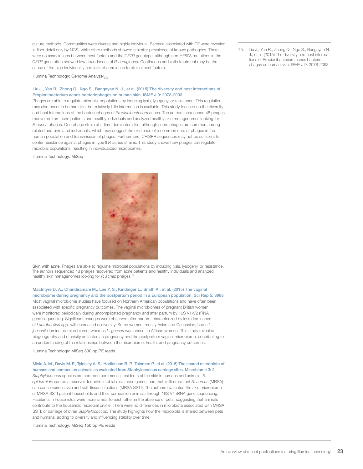culture methods. Communities were diverse and highly individual. Bacteria associated with CF were revealed in finer detail only by NGS, while other methods showed a similar prevalence of known pathogens. There were no associations between host factors and the *CFTR* genotype, although non-ΔF508 mutations in the *CFTR* gene often showed low abundances of *P. aeruginosa*. Continuous antibiotic treatment may be the cause of the high individuality and lack of correlation to clinical host factors.

Illumina Technology: Genome Analyzer*IIx*

#### Liu J., Yan R., Zhong Q., Ngo S., Bangayan N. J., et al. (2015) The diversity and host interactions of Propionibacterium acnes bacteriophages on human skin. ISME J 9: 2078-2093

Phages are able to regulate microbial populations by inducing lysis, lysogeny, or resistance. This regulation may also occur in human skin, but relatively little information is available. This study focused on the diversity and host interactions of the bacteriophages of *Propionibacterium* acnes. The authors sequenced 48 phages recovered from acne patients and healthy individuals and analyzed healthy skin metagenomes looking for *P. acnes* phages. One phage strain at a time dominates skin, although some phages are common among related and unrelated individuals, which may suggest the existence of a common core of phages in the human population and transmission of phages. Furthermore, CRISPR sequences may not be sufficient to confer resistance against phages in type II *P. acnes* strains. This study shows how phages can regulate microbial populations, resulting in individualized microbiomes.

Illumina Technology: MiSeq



Skin with acne. Phages are able to regulate microbial populations by inducing lysis, lysogeny, or resistance. The authors sequenced 48 phages recovered from acne patients and healthy individuals and analyzed healthy skin metagenomes looking for *P. acnes* phages.75

MacIntyre D. A., Chandiramani M., Lee Y. S., Kindinger L., Smith A., et al. (2015) The vaginal microbiome during pregnancy and the postpartum period in a European population. Sci Rep 5: 8988 Most vaginal microbiome studies have focused on Northern American populations and have often been associated with specific pregnancy outcomes. The vaginal microbiomes of pregnant British women were monitored periodically during uncomplicated pregnancy and after partum by 16S V1-V2 rRNA gene sequencing. Significant changes were observed after partum, characterized by less dominance of *Lactobacillus spp.* with increased α-diversity. Some women, mostly Asian and Caucasian, had a *L. jensenii*-dominated microbiome; whereas *L. gasseri* was absent in African women. This study revealed biogeography and ethnicity as factors in pregnancy and the postpartum vaginal microbiome, contributing to an understanding of the relationships between the microbiome, health, and pregnancy outcomes.

#### Illumina Technology: MiSeq 300 bp PE reads

#### Misic A. M., Davis M. F., Tyldsley A. S., Hodkinson B. P., Tolomeo P., et al. (2015) The shared microbiota of humans and companion animals as evaluated from Staphylococcus carriage sites. Microbiome 3: 2

*Staphylococcus* species are common commensal residents of the skin in humans and animals. *S. epidermidis* can be a reservoir for antimicrobial resistance genes, and methicillin-resistant *S. aureus* (MRSA) can cause serious skin and soft-tissue infections (MRSA SSTI). The authors evaluated the skin microbiome of MRSA SSTI patient households and their companion animals through 16S V4 rRNA gene sequencing. Habitants in households were more similar to each other in the absence of pets, suggesting that animals contribute to the household microbial profile. There were no differences in microbiota associated with MRSA SSTI, or carriage of other *Staphylococcus*. The study highlights how the microbiota is shared between pets and humans, adding to diversity and influencing stability over time.

Illumina Technology: MiSeq 150 bp PE reads

75. Liu J., Yan R., Zhong Q., Ngo S., Bangayan N. J., et al. (2015) The diversity and host interactions of Propionibacterium acnes bacteriophages on human skin. ISME J 9: 2078-2093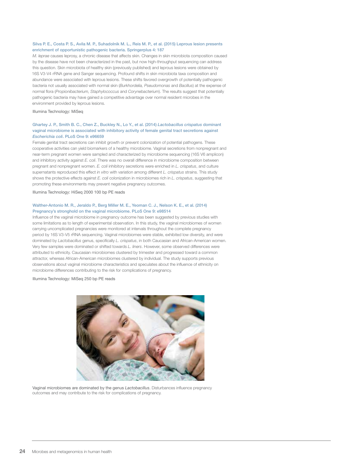#### Silva P. E., Costa P. S., Avila M. P., Suhadolnik M. L., Reis M. P., et al. (2015) Leprous lesion presents enrichment of opportunistic pathogenic bacteria. Springerplus 4: 187

*M. leprae* causes leprosy, a chronic disease that affects skin. Changes in skin microbiota composition caused by the disease have not been characterized in the past, but now high-throughput sequencing can address this question. Skin microbiota of healthy skin (previously published) and leprous lesions were obtained by 16S V3-V4 rRNA gene and Sanger sequencing. Profound shifts in skin microbiota taxa composition and abundance were associated with leprous lesions. These shifts favored overgrowth of potentially pathogenic bacteria not usually associated with normal skin (*Burkhordelia, Pseudomonas* and *Bacillus*) at the expense of normal flora (*Propionibacterium, Staphylococcus* and *Corynebacterium*). The results suggest that potentially pathogenic bacteria may have gained a competitive advantage over normal resident microbes in the environment provided by leprous lesions.

#### Illumina Technology: MiSeq

#### Ghartey J. P., Smith B. C., Chen Z., Buckley N., Lo Y., et al. (2014) *Lactobacillus crispatus* dominant vaginal microbiome is associated with inhibitory activity of female genital tract secretions against *Escherichia coli*. PLoS One 9: e96659

Female genital tract secretions can inhibit growth or prevent colonization of potential pathogens. These cooperative activities can yield biomarkers of a healthy microbiome. Vaginal secretions from nonpregnant and near-term pregnant women were sampled and characterized by microbiome sequencing (16S V6 amplicon) and inhibitory activity against *E. coli*. There was no overall difference in microbiome composition between pregnant and nonpregnant women. *E. coli* inhibitory secretions were enriched in *L. crispatus*, and culture supernatants reproduced this effect *in vitro* with variation among different *L. crispatus* strains. This study shows the protective effects against *E. coli* colonization in microbiomes rich in *L. crispatus*, suggesting that promoting these environments may prevent negative pregnancy outcomes.

Illumina Technology: HiSeq 2000 100 bp PE reads

#### Walther-Antonio M. R., Jeraldo P., Berg Miller M. E., Yeoman C. J., Nelson K. E., et al. (2014) Pregnancy's stronghold on the vaginal microbiome. PLoS One 9: e98514

Influence of the vaginal microbiome in pregnancy outcome has been suggested by previous studies with some limitations as to length of experimental observation. In this study, the vaginal microbiomes of women carrying uncomplicated pregnancies were monitored at intervals throughout the complete pregnancy period by 16S V3-V5 rRNA sequencing. Vaginal microbiomes were stable, exhibited low diversity, and were dominated by *Lactobacillus* genus, specifically *L. crispatus*, in both Caucasian and African-American women. Very few samples were dominated or shifted towards *L. liners*. However, some observed differences were attributed to ethnicity. Caucasian microbiomes clustered by trimester and progressed toward a common attractor, whereas African-American microbiomes clustered by individual. The study supports previous observations about vaginal microbiome characteristics and speculates about the influence of ethnicity on microbiome differences contributing to the risk for complications of pregnancy.

Illumina Technology: MiSeq 250 bp PE reads



Vaginal microbiomes are dominated by the genus *Lactobacillus*. Disturbances influence pregnancy outcomes and may contribute to the risk for complications of pregnancy.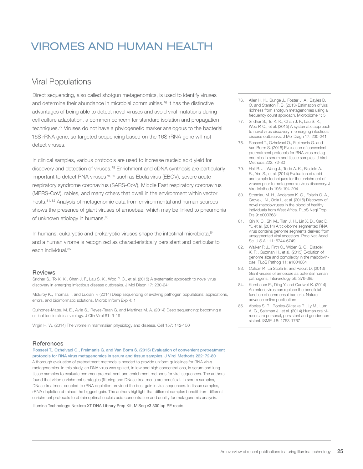# <span id="page-23-0"></span>VIROMES AND HUMAN HEALTH

# Viral Populations

Direct sequencing, also called shotgun metagenomics, is used to identify viruses and determine their abundance in microbial communities.76 It has the distinctive advantages of being able to detect novel viruses and avoid viral mutations during cell culture adaptation, a common concern for standard isolation and propagation techniques.<sup>77</sup> Viruses do not have a phylogenetic marker analogous to the bacterial 16S rRNA gene, so targeted sequencing based on the 16S rRNA gene will not detect viruses.

In clinical samples, various protocols are used to increase nucleic acid yield for discovery and detection of viruses.78 Enrichment and cDNA synthesis are particularly important to detect RNA viruses<sup>79, 80</sup> such as Ebola virus (EBOV), severe acute respiratory syndrome coronavirus (SARS-CoV), Middle East respiratory coronavirus (MERS-CoV), rabies, and many others that dwell in the environment within vector hosts.81, 82 Analysis of metagenomic data from environmental and human sources shows the presence of giant viruses of amoebae, which may be linked to pneumonia of unknown etiology in humans.<sup>83</sup>

In humans, eukaryotic and prokaryotic viruses shape the intestinal microbiota, 84 and a human virome is recognized as characteristically persistent and particular to each individual.<sup>85</sup>

#### Reviews

Sridhar S., To K. K., Chan J. F., Lau S. K., Woo P. C., et al. (2015) A systematic approach to novel virus discovery in emerging infectious disease outbreaks. J Mol Diagn 17: 230-241

McElroy K., Thomas T. and Luciani F. (2014) Deep sequencing of evolving pathogen populations: applications, errors, and bioinformatic solutions. Microb Inform Exp 4: 1

Quinones-Mateu M. E., Avila S., Reyes-Teran G. and Martinez M. A. (2014) Deep sequencing: becoming a critical tool in clinical virology. J Clin Virol 61: 9-19

Virgin H. W. (2014) The virome in mammalian physiology and disease. Cell 157: 142-150

#### References

Rosseel T., Ozhelvaci O., Freimanis G. and Van Borm S. (2015) Evaluation of convenient pretreatment protocols for RNA virus metagenomics in serum and tissue samples. J Virol Methods 222: 72-80 A thorough evaluation of pretreatment methods is needed to provide uniform guidelines for RNA virus metagenomics. In this study, an RNA virus was spiked, in low and high concentrations, in serum and lung tissue samples to evaluate common pretreatment and enrichment methods for viral sequences. The authors found that virion enrichment strategies (filtering and DNase treatment) are beneficial. In serum samples, DNase treatment coupled to rRNA depletion provided the best gain in viral sequences. In tissue samples, rRNA depletion obtained the biggest gain. The authors highlight that different samples benefit from different enrichment protocols to obtain optimal nucleic acid concentration and quality for metagenomic analysis.

Illumina Technology: Nextera XT DNA Library Prep Kit, MiSeq v3 300 bp PE reads

- 76. Allen H. K., Bunge J., Foster J. A., Bayles D. O. and Stanton T. B. (2013) Estimation of viral richness from shotgun metagenomes using a frequency count approach. Microbiome 1: 5
- 77. Sridhar S., To K. K., Chan J. F., Lau S. K., Woo P. C., et al. (2015) A systematic approach to novel virus discovery in emerging infectious disease outbreaks. J Mol Diagn 17: 230-241
- 78. Rosseel T., Ozhelvaci O., Freimanis G. and Van Borm S. (2015) Evaluation of convenient pretreatment protocols for RNA virus metagenomics in serum and tissue samples. J Virol Methods 222: 72-80
- 79. Hall R. J., Wang J., Todd A. K., Bissielo A. B., Yen S., et al. (2014) Evaluation of rapid and simple techniques for the enrichment of viruses prior to metagenomic virus discovery. J Virol Methods 195: 194-204
- 80. Stremlau M. H., Andersen K. G., Folarin O. A., Grove J. N., Odia I., et al. (2015) Discovery of novel rhabdoviruses in the blood of healthy individuals from West Africa. PLoS Negl Trop Dis 9: e0003631
- 81. Qin X. C., Shi M., Tian J. H., Lin X. D., Gao D. Y., et al. (2014) A tick-borne segmented RNA virus contains genome segments derived from unsegmented viral ancestors. Proc Natl Acad Sci U S A 111: 6744-6749
- 82. Walker P. J., Firth C., Widen S. G., Blasdell K. R., Guzman H., et al. (2015) Evolution of genome size and complexity in the rhabdoviridae. PLoS Pathog 11: e1004664
- 83. Colson P., La Scola B. and Raoult D. (2013) Giant viruses of amoebae as potential human pathogens. Intervirology 56: 376-385
- 84. Kernbauer E., Ding Y. and Cadwell K. (2014) An enteric virus can replace the beneficial function of commensal bacteria. Nature advance online publication:
- 85. Abeles S. R., Robles-Sikisaka R., Ly M., Lum A. G., Salzman J., et al. (2014) Human oral viruses are personal, persistent and gender-consistent. ISME J 8: 1753-1767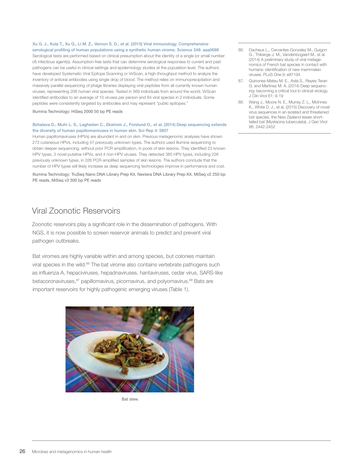<span id="page-24-0"></span>Xu G. J., Kula T., Xu Q., Li M. Z., Vernon S. D., et al. (2015) Viral immunology. Comprehensive serological profiling of human populations using a synthetic human virome. Science 348: aaa0698

Serological tests are performed based on clinical presumption about the identity of a single (or small number of) infectious agent(s). Assumption-free tests that can determine serological responses to current and past pathogens can be useful in clinical settings and epidemiology studies at the population level. The authors have developed Systematic Viral Epitope Scanning or VirScan, a high-throughput method to analyze the inventory of antiviral antibodies using single drop of blood. The method relies on immunoprecipitation and massively parallel sequencing of phage libraries displaying viral peptides from all currently known human viruses, representing 206 human viral species. Tested in 569 individuals from around the world, VirScan identified antibodies to an average of 10 viruses per person and 84 viral species in 2 individuals. Some peptides were consistently targeted by antibodies and may represent "public epitopes."

Illumina Technology: HiSeq 2000 50 bp PE reads

#### Bzhalava D., Muhr L. S., Lagheden C., Ekstrom J., Forslund O., et al. (2014) Deep sequencing extends the diversity of human papillomaviruses in human skin. Sci Rep 4: 5807

Human papillomaviruses (HPVs) are abundant in and on skin. Previous metagenomic analyses have shown 273 cutaneous HPVs, including 47 previously unknown types. The authors used Illumina sequencing to obtain deeper sequencing, without prior PCR amplification, in pools of skin lesions. They identified 23 known HPV types, 3 novel putative HPVs, and 4 non-HPV viruses. They detected 385 HPV types, including 226 previously unknown types, in 326 PCR-amplified samples of skin lesions. The authors conclude that the number of HPV types will likely increase as deep sequencing technologies improve in performance and cost.

Illumina Technology: TruSeq Nano DNA Library Prep Kit, Nextera DNA Library Prep Kit, MiSeq v2 250 bp PE reads, MiSeq v3 300 bp PE reads

# Viral Zoonotic Reservoirs

Zoonotic reservoirs play a significant role in the dissemination of pathogens. With NGS, it is now possible to screen reservoir animals to predict and prevent viral pathogen outbreaks.

Bat viromes are highly variable within and among species, but colonies maintain viral species in the wild.<sup>86</sup> The bat virome also contains vertebrate pathogens such as influenza A, hepaciviruses, hepadnaviruses, hantaviruses, cedar virus, SARS-like betacoronaviruses,<sup>87</sup> papillomavirus, picornavirus, and polyomavirus.<sup>88</sup> Bats are important reservoirs for highly pathogenic emerging viruses (Table 1).



Bat stew.

- 86. Dacheux L., Cervantes-Gonzalez M., Guigon G., Thiberge J. M., Vandenbogaert M., et al. (2014) A preliminary study of viral metagenomics of French bat species in contact with humans: identification of new mammalian viruses. PLoS One 9: e87194
- 87. Quinones-Mateu M. E., Avila S., Reyes-Teran G. and Martinez M. A. (2014) Deep sequencing: becoming a critical tool in clinical virology. J Clin Virol 61: 9-19
- 88. Wang J., Moore N. E., Murray Z. L., McInnes K., White D. J., et al. (2015) Discovery of novel virus sequences in an isolated and threatened bat species, the New Zealand lesser shorttailed bat (Mystacina tuberculata). J Gen Virol 96: 2442-2452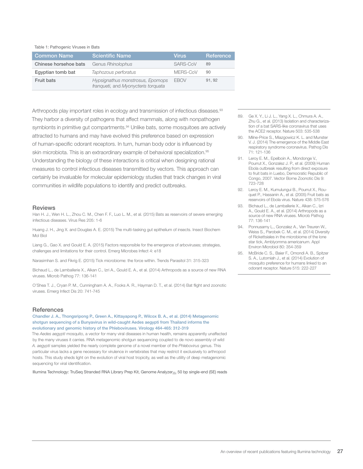Table 1: Pathogenic Viruses in Bats

| <b>Common Name</b>    | 'Scientific Name                                                        | <b>Virus</b> | Reference |
|-----------------------|-------------------------------------------------------------------------|--------------|-----------|
| Chinese horsehoe bats | Genus Rhinolophus                                                       | SARS-CoV     | 89        |
| Eqyptian tomb bat     | Taphozous perforatus                                                    | MERS-CoV     | 90        |
| Fruit bats            | Hypsignathus monstrosus, Epomops<br>franqueti, and Myonycteris torquata | <b>FROV</b>  | 91.92     |

Arthropods play important roles in ecology and transmission of infectious diseases.<sup>93</sup> They harbor a diversity of pathogens that affect mammals, along with nonpathogen symbionts in primitive gut compartments.<sup>94</sup> Unlike bats, some mosquitoes are actively attracted to humans and may have evolved this preference based on expression of human-specific odorant receptors. In turn, human body odor is influenced by skin microbiota. This is an extraordinary example of behavioral specialization.<sup>95</sup> Understanding the biology of these interactions is critical when designing rational measures to control infectious diseases transmitted by vectors. This approach can certainly be invaluable for molecular epidemiology studies that track changes in viral communities in wildlife populations to identify and predict outbreaks.

#### **Reviews**

Han H. J., Wen H. L., Zhou C. M., Chen F. F., Luo L. M., et al. (2015) Bats as reservoirs of severe emerging infectious diseases. Virus Res 205: 1-6

Huang J. H., Jing X. and Douglas A. E. (2015) The multi-tasking gut epithelium of insects. Insect Biochem Mol Biol

Liang G., Gao X. and Gould E. A. (2015) Factors responsible for the emergence of arboviruses; strategies, challenges and limitations for their control. Emerg Microbes Infect 4: e18

Narasimhan S. and Fikrig E. (2015) Tick microbiome: the force within. Trends Parasitol 31: 315-323

Bichaud L., de Lamballerie X., Alkan C., Izri A., Gould E. A., et al. (2014) Arthropods as a source of new RNA viruses. Microb Pathog 77: 136-141

O'Shea T. J., Cryan P. M., Cunningham A. A., Fooks A. R., Hayman D. T., et al. (2014) Bat flight and zoonotic viruses. Emerg Infect Dis 20: 741-745

#### **References**

Chandler J. A., Thongsripong P., Green A., Kittayapong P., Wilcox B. A., et al. (2014) Metagenomic shotgun sequencing of a Bunyavirus in wild-caught Aedes aegypti from Thailand informs the evolutionary and genomic history of the Phleboviruses. Virology 464-465: 312-319

The *Aedes aegypti* mosquito, a vector for many viral diseases in human health, remains apparently unaffected by the many viruses it carries. RNA metagenomic shotgun sequencing coupled to de novo assembly of wild *A. aegypti* samples yielded the nearly complete genome of a novel member of the *Phlebovirus* genus. This particular virus lacks a gene necessary for virulence in vertebrates that may restrict it exclusively to arthropod hosts. This study sheds light on the evolution of viral host tropicity, as well as the utility of deep metagenomic sequencing for viral identification.

Illumina Technology: TruSeq Stranded RNA Library Prep Kit, Genome Analyzer*IIx* 50 bp single-end (SE) reads

- 89. Ge X. Y., Li J. L., Yang X. L., Chmura A. A., Zhu G., et al. (2013) Isolation and characterization of a bat SARS-like coronavirus that uses the ACE2 receptor. Nature 503: 535-538
- 90. Milne-Price S., Miazgowicz K. L. and Munster V. J. (2014) The emergence of the Middle East respiratory syndrome coronavirus. Pathog Dis 71: 121-136
- 91. Leroy E. M., Epelboin A., Mondonge V., Pourrut X., Gonzalez J. P., et al. (2009) Human Ebola outbreak resulting from direct exposure to fruit bats in Luebo, Democratic Republic of Congo, 2007. Vector Borne Zoonotic Dis 9: 723-728
- 92. Leroy E. M., Kumulungui B., Pourrut X., Rouquet P., Hassanin A., et al. (2005) Fruit bats as reservoirs of Ebola virus. Nature 438: 575-576
- 93. Bichaud L., de Lamballerie X., Alkan C., Izri A., Gould E. A., et al. (2014) Arthropods as a source of new RNA viruses. Microb Pathog 77: 136-141
- 94. Ponnusamy L., Gonzalez A., Van Treuren W., Weiss S., Parobek C. M., et al. (2014) Diversity of Rickettsiales in the microbiome of the lone star tick, Amblyomma americanum. Appl Environ Microbiol 80: 354-359
- 95. McBride C. S., Baier F., Omondi A. B., Spitzer S. A., Lutomiah J., et al. (2014) Evolution of mosquito preference for humans linked to an odorant receptor. Nature 515: 222-227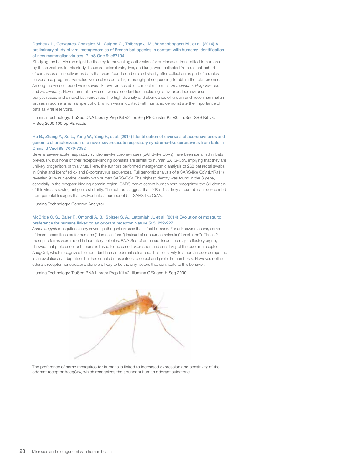#### Dacheux L., Cervantes-Gonzalez M., Guigon G., Thiberge J. M., Vandenbogaert M., et al. (2014) A preliminary study of viral metagenomics of French bat species in contact with humans: identification of new mammalian viruses. PLoS One 9: e87194

Studying the bat virome might be the key to preventing outbreaks of viral diseases transmitted to humans by these vectors. In this study, tissue samples (brain, liver, and lung) were collected from a small cohort of carcasses of insectivorous bats that were found dead or died shortly after collection as part of a rabies surveillance program. Samples were subjected to high-throughput sequencing to obtain the total viromes. Among the viruses found were several known viruses able to infect mammals (*Retroviridae*, *Herpesviridae*, and *Flaviviridae*). New mammalian viruses were also identified, including rotaviruses, bornaviruses, bunyaviruses, and a novel bat nairovirus. The high diversity and abundance of known and novel mammalian viruses in such a small sample cohort, which was in contact with humans, demonstrate the importance of bats as viral reservoirs.

Illumina Technology: TruSeq DNA Library Prep Kit v2, TruSeq PE Cluster Kit v3, TruSeq SBS Kit v3, HiSeq 2000 100 bp PE reads

#### He B., Zhang Y., Xu L., Yang W., Yang F., et al. (2014) Identification of diverse alphacoronaviruses and genomic characterization of a novel severe acute respiratory syndrome-like coronavirus from bats in China. J Virol 88: 7070-7082

Several severe acute respiratory syndrome-like coronaviruses (SARS-like CoVs) have been identified in bats previously, but none of their receptor-binding domains are similar to human SARS-CoV, implying that they are unlikely progenitors of this virus. Here, the authors performed metagenomic analysis of 268 bat rectal swabs in China and identified α- and β-coronavirus sequences. Full genomic analysis of a SARS-like CoV (LYRa11) revealed 91% nucleotide identity with human SARS-CoV. The highest identity was found in the S gene, especially in the receptor-binding domain region. SARS-convalescent human sera recognized the S1 domain of this virus, showing antigenic similarity. The authors suggest that LYRa11 is likely a recombinant descended from parental lineages that evolved into a number of bat SARS-like CoVs.

#### Illumina Technology: Genome Analyzer

#### McBride C. S., Baier F., Omondi A. B., Spitzer S. A., Lutomiah J., et al. (2014) Evolution of mosquito preference for humans linked to an odorant receptor. Nature 515: 222-227

*Aedes aegypti* mosquitoes carry several pathogenic viruses that infect humans. For unknown reasons, some of these mosquitoes prefer humans ("domestic form") instead of nonhuman animals ("forest form"). These 2 mosquito forms were raised in laboratory colonies. RNA-Seq of antennae tissue, the major olfactory organ, showed that preference for humans is linked to increased expression and sensitivity of the odorant receptor AaegOr4, which recognizes the abundant human odorant sulcatone. This sensitivity to a human odor compound is an evolutionary adaptation that has enabled mosquitoes to detect and prefer human hosts. However, neither odorant receptor nor sulcatone alone are likely to be the only factors that contribute to this behavior.

Illumina Technology: TruSeq RNA Library Prep Kit v2, Illumina GEX and HiSeq 2000



The preference of some mosquitos for humans is linked to increased expression and sensitivity of the odorant receptor AaegOr4, which recognizes the abundant human odorant sulcatone.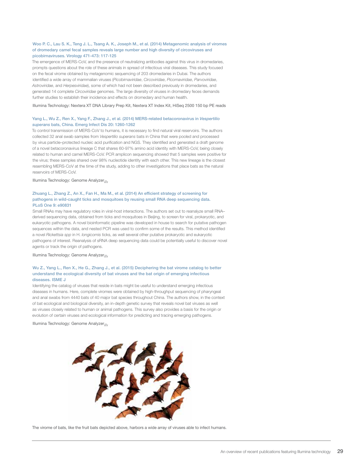#### Woo P. C., Lau S. K., Teng J. L., Tsang A. K., Joseph M., et al. (2014) Metagenomic analysis of viromes of dromedary camel fecal samples reveals large number and high diversity of circoviruses and picobirnaviruses. Virology 471-473: 117-125

The emergence of MERS-CoV, and the presence of neutralizing antibodies against this virus in dromedaries, prompts questions about the role of these animals in spread of infectious viral diseases. This study focused on the fecal virome obtained by metagenomic sequencing of 203 dromedaries in Dubai. The authors identified a wide array of mammalian viruses (*Picobirnaviridae*, *Circoviridae*, *Picornaviridae*, *Parvoviridae*, *Astroviridae*, and *Herpesviridae*), some of which had not been described previously in dromedaries, and generated 14 complete *Circoviridae* genomes. The large diversity of viruses in dromedary feces demands further studies to establish their incidence and effects on dromedary and human health.

Illumina Technology: Nextera XT DNA Library Prep Kit, Nextera XT Index Kit, HiSeq 2500 150 bp PE reads

#### Yang L., Wu Z., Ren X., Yang F., Zhang J., et al. (2014) MERS-related betacoronavirus in *Vespertilio superans* bats, China. Emerg Infect Dis 20: 1260-1262

To control transmission of MERS-CoV to humans, it is necessary to find natural viral reservoirs. The authors collected 32 anal swab samples from *Vespertilio superans* bats in China that were pooled and processed by virus particle–protected nucleic acid purification and NGS. They identified and generated a draft genome of a novel betacoronavirus lineage C that shares 60-97% amino acid identity with MERS-CoV, being closely related to human and camel MERS-CoV. PCR amplicon sequencing showed that 5 samples were positive for the virus; these samples shared over 98% nucleotide identity with each other. This new lineage is the closest resembling MERS-CoV at the time of the study, adding to other investigations that place bats as the natural reservoirs of MERS-CoV.

Illumina Technology: Genome Analyzer*IIx*

#### Zhuang L., Zhang Z., An X., Fan H., Ma M., et al. (2014) An efficient strategy of screening for pathogens in wild-caught ticks and mosquitoes by reusing small RNA deep sequencing data. PLoS One 9: e90831

Small RNAs may have regulatory roles in viral-host interactions. The authors set out to reanalyze small RNA– derived sequencing data, obtained from ticks and mosquitoes in Beijing, to screen for viral, prokaryotic, and eukaryotic pathogens. A novel bioinformatic pipeline was developed in house to search for putative pathogen sequences within the data, and nested PCR was used to confirm some of the results. This method identified a novel *Rickettsia spp* in H. *longicornis* ticks, as well several other putative prokaryotic and eukaryotic pathogens of interest. Reanalysis of sRNA deep sequencing data could be potentially useful to discover novel agents or track the origin of pathogens.

#### Illumina Technology: Genome Analyzer*IIx*

#### Wu Z., Yang L., Ren X., He G., Zhang J., et al. (2015) Deciphering the bat virome catalog to better understand the ecological diversity of bat viruses and the bat origin of emerging infectious diseases. ISME J

Identifying the catalog of viruses that reside in bats might be useful to understand emerging infectious diseases in humans. Here, complete viromes were obtained by high-throughput sequencing of pharyngeal and anal swabs from 4440 bats of 40 major bat species throughout China. The authors show, in the context of bat ecological and biological diversity, an in-depth genetic survey that reveals novel bat viruses as well as viruses closely related to human or animal pathogens. This survey also provides a basis for the origin or evolution of certain viruses and ecological information for predicting and tracing emerging pathogens.

Illumina Technology: Genome Analyzer*IIx*



The virome of bats, like the fruit bats depicted above, harbors a wide array of viruses able to infect humans.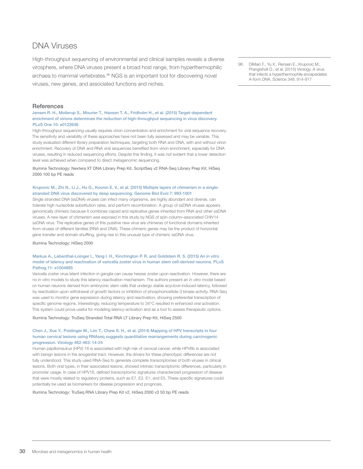# <span id="page-28-0"></span>DNA Viruses

High-throughput sequencing of environmental and clinical samples reveals a diverse virosphere, where DNA viruses present a broad host range, from hyperthermophilic archaea to mammal vertebrates.<sup>96</sup> NGS is an important tool for discovering novel viruses, new genes, and associated functions and niches.

#### **References**

Jensen R. H., Mollerup S., Mourier T., Hansen T. A., Fridholm H., et al. (2015) Target-dependent enrichment of virions determines the reduction of high-throughput sequencing in virus discovery. PLoS One 10: e0122636

High-throughput sequencing usually requires virion concentration and enrichment for viral sequence recovery. The sensitivity and variability of these approaches have not been fully assessed and may be variable. This study evaluated different library preparation techniques, targeting both RNA and DNA, with and without virion enrichment. Recovery of DNA and RNA viral sequences benefited from virion enrichment, especially for DNA viruses, resulting in reduced sequencing efforts. Despite this finding, it was not evident that a lower detection level was achieved when compared to direct metagenomic sequencing.

Illumina Technology: Nextera XT DNA Library Prep Kit, ScriptSeq v2 RNA-Seq Library Prep Kit, HiSeq 2000 100 bp PE reads

#### Krupovic M., Zhi N., Li J., Hu G., Koonin E. V., et al. (2015) Multiple layers of chimerism in a singlestranded DNA virus discovered by deep sequencing. Genome Biol Evol 7: 993-1001

Single stranded DNA (ssDNA) viruses can infect many organisms, are highly abundant and diverse, can tolerate high nucleotide substitution rates, and perform recombination. A group of ssDNA viruses appears genomically chimeric because it combines capsid and replicative genes inherited from RNA and other ssDNA viruses. A new layer of chimerism was exposed in this study by NGS of spin-column–associated CHIV14 ssDNA virus. The replicative genes of this putative new virus are chimeras of functional domains inherited from viruses of different families (RNA and DNA). These chimeric genes may be the product of horizontal gene transfer and domain shuffling, giving rise to this unusual type of chimeric ssDNA virus.

Illumina Technology: HiSeq 2000

#### Markus A., Lebenthal-Loinger I., Yang I. H., Kinchington P. R. and Goldstein R. S. (2015) An *in vitro*  model of latency and reactivation of varicella zoster virus in human stem cell-derived neurons. PLoS Pathog 11: e1004885

Varicella zoster virus latent infection in ganglia can cause herpes zoster upon reactivation. However, there are no *in vitro* models to study this latency-reactivation mechanism. The authors present an *in vitro* model based on human neurons derived from embryonic stem cells that undergo stable acyclovir-induced latency, followed by reactivation upon withdrawal of growth factors or inhibition of phosphoinositide-3 kinase activity. RNA-Seq was used to monitor gene expression during latency and reactivation, showing preferential transcription of specific genome regions. Interestingly, reducing temperature to 34°C resulted in enhanced viral activation. This system could prove useful for modeling latency-activation and as a tool to assess therapeutic options.

Illumina Technology: TruSeq Stranded Total RNA LT Library Prep Kit, HiSeq 2500

#### Chen J., Xue Y., Poidinger M., Lim T., Chew S. H., et al. (2014) Mapping of HPV transcripts in four human cervical lesions using RNAseq suggests quantitative rearrangements during carcinogenic progression. Virology 462-463: 14-24

Human papillomavirus (HPV) 16 is associated with high risk of cervical cancer, while HPV6b is associated with benign lesions in the anogenital tract. However, the drivers for these phenotypic differences are not fully understood. This study used RNA-Seq to generate complete transcriptomes of both viruses in clinical lesions. Both viral types, in their associated lesions, showed intrinsic transcriptomic differences, particularly in promoter usage. In case of HPV16, defined transcriptomic signatures characterized progression of disease that were mostly related to regulatory proteins, such as E7, E2, E1, and E5. These specific signatures could potentially be used as biomarkers for disease progression and prognosis.

Illumina Technology: TruSeq RNA Library Prep Kit v2, HiSeq 2000 v3 50 bp PE reads

96. DiMaio F., Yu X., Rensen E., Krupovic M., Prangishvili D., et al. (2015) Virology. A virus that infects a hyperthermophile encapsidates A-form DNA. Science 348: 914-917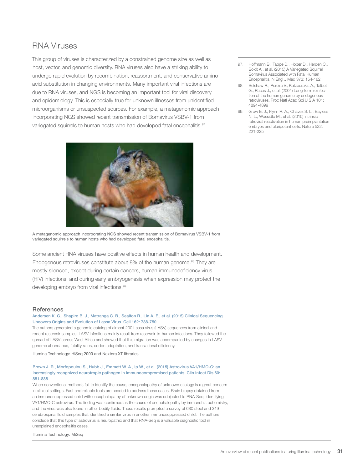## <span id="page-29-0"></span>RNA Viruses

This group of viruses is characterized by a constrained genome size as well as host, vector, and genomic diversity. RNA viruses also have a striking ability to undergo rapid evolution by recombination, reassortment, and conservative amino acid substitution in changing environments. Many important viral infections are due to RNA viruses, and NGS is becoming an important tool for viral discovery and epidemiology. This is especially true for unknown illnesses from unidentified microorganisms or unsuspected sources. For example, a metagenomic approach incorporating NGS showed recent transmission of Bornavirus VSBV-1 from variegated squirrels to human hosts who had developed fatal encephalitis.<sup>97</sup>



A metagenomic approach incorporating NGS showed recent transmission of Bornavirus VSBV-1 from variegated squirrels to human hosts who had developed fatal encephalitis.

Some ancient RNA viruses have positive effects in human health and development. Endogenous retroviruses constitute about 8% of the human genome.<sup>98</sup> They are mostly silenced, except during certain cancers, human immunodeficiency virus (HIV) infections, and during early embryogenesis when expression may protect the developing embryo from viral infections.<sup>99</sup>

#### **References**

#### Andersen K. G., Shapiro B. J., Matranga C. B., Sealfon R., Lin A. E., et al. (2015) Clinical Sequencing Uncovers Origins and Evolution of Lassa Virus. Cell 162: 738-750

The authors generated a genomic catalog of almost 200 Lassa virus (LASV) sequences from clinical and rodent reservoir samples. LASV infections mainly result from reservoir-to-human infections. They followed the spread of LASV across West Africa and showed that this migration was accompanied by changes in LASV genome abundance, fatality rates, codon adaptation, and translational efficiency.

Illumina Technology: HiSeq 2000 and Nextera XT libraries

#### Brown J. R., Morfopoulou S., Hubb J., Emmett W. A., Ip W., et al. (2015) Astrovirus VA1/HMO-C: an increasingly recognized neurotropic pathogen in immunocompromised patients. Clin Infect Dis 60: 881-888

When conventional methods fail to identify the cause, encephalopathy of unknown etiology is a great concern in clinical settings. Fast and reliable tools are needed to address these cases. Brain biopsy obtained from an immunosuppressed child with encephalopathy of unknown origin was subjected to RNA-Seq, identifying VA1/HMO-C astrovirus. The finding was confirmed as the cause of encephalopathy by immunohistochemistry, and the virus was also found in other bodily fluids. These results prompted a survey of 680 stool and 349 cerebrospinal fluid samples that identified a similar virus in another immunosuppressed child. The authors conclude that this type of astrovirus is neuropathic and that RNA-Seq is a valuable diagnostic tool in unexplained encephalitis cases.

Illumina Technology: MiSeq

- 97. Hoffmann B., Tappe D., Hoper D., Herden C., Boldt A., et al. (2015) A Variegated Squirrel Bornavirus Associated with Fatal Human Encephalitis. N Engl J Med 373: 154-162
- 98. Belshaw R., Pereira V., Katzourakis A., Talbot G., Paces J., et al. (2004) Long-term reinfection of the human genome by endogenous retroviruses. Proc Natl Acad Sci U S A 101: 4894-4899
- 99. Grow E. J., Flynn R. A., Chavez S. L., Bayless N. L., Wossidlo M., et al. (2015) Intrinsic retroviral reactivation in human preimplantation embryos and pluripotent cells. Nature 522: 221-225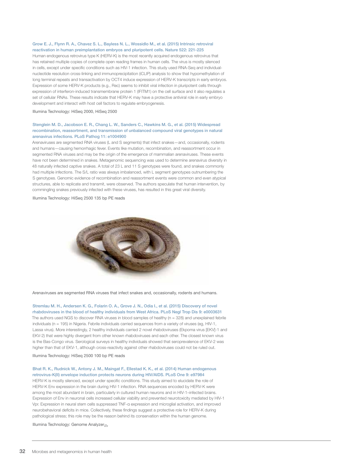#### Grow E. J., Flynn R. A., Chavez S. L., Bayless N. L., Wossidlo M., et al. (2015) Intrinsic retroviral reactivation in human preimplantation embryos and pluripotent cells. Nature 522: 221-225

Human endogenous retrovirus type K (HERV-K) is the most recently acquired endogenous retrovirus that has retained multiple copies of complete open reading frames in human cells. The virus is mostly silenced in cells, except under specific conditions such as HIV-1 infection. This study used RNA-Seq and individualnucleotide resolution cross-linking and immunoprecipitation (iCLIP) analysis to show that hypomethylation of long terminal repeats and transactivation by OCT4 induce expression of HERV-K transcripts in early embryos. Expression of some HERV-K products (e.g., Rec) seems to inhibit viral infection in pluripotent cells through expression of interferon-induced transmembrane protein 1 (IFITM1) on the cell surface and it also regulates a set of cellular RNAs. These results indicate that HERV-K may have a protective antiviral role in early embryo development and interact with host cell factors to regulate embryogenesis.

Illumina Technology: HiSeq 2000, HiSeq 2500

#### Stenglein M. D., Jacobson E. R., Chang L. W., Sanders C., Hawkins M. G., et al. (2015) Widespread recombination, reassortment, and transmission of unbalanced compound viral genotypes in natural arenavirus infections. PLoS Pathog 11: e1004900

Arenaviruses are segmented RNA viruses (L and S segments) that infect snakes—and, occasionally, rodents and humans—causing hemorrhagic fever. Events like mutation, recombination, and reassortment occur in segmented RNA viruses and may be the origin of the emergence of mammalian arenaviruses. These events have not been determined in snakes. Metagenomic sequencing was used to determine arenavirus diversity in 48 naturally infected captive snakes. A total of 23 L and 11 S genotypes were found, and snakes commonly had multiple infections. The S/L ratio was always imbalanced, with L segment genotypes outnumbering the S genotypes. Genomic evidence of recombination and reassortment events were common and even atypical structures, able to replicate and transmit, were observed. The authors speculate that human intervention, by commingling snakes previously infected with these viruses, has resulted in this great viral diversity.

Illumina Technology: HiSeq 2500 135 bp PE reads



Arenaviruses are segmented RNA viruses that infect snakes and, occasionally, rodents and humans.

Stremlau M. H., Andersen K. G., Folarin O. A., Grove J. N., Odia I., et al. (2015) Discovery of novel rhabdoviruses in the blood of healthy individuals from West Africa. PLoS Negl Trop Dis 9: e0003631 The authors used NGS to discover RNA viruses in blood samples of healthy (n = 328) and unexplained febrile individuals (n = 195) in Nigeria. Febrile individuals carried sequences from a variety of viruses (eg, HIV-1, Lassa virus). More interestingly, 2 healthy individuals carried 2 novel rhabdoviruses (Ekpoma virus [EKV]-1 and EKV-2) that were highly divergent from other known rhabdoviruses and each other. The closest known virus is the Bas-Congo virus. Serological surveys in healthy individuals showed that seroprevalence of EKV-2 was higher than that of EKV-1, although cross-reactivity against other rhabdoviruses could not be ruled out.

#### Illumina Technology: HiSeq 2500 100 bp PE reads

#### Bhat R. K., Rudnick W., Antony J. M., Maingat F., Ellestad K. K., et al. (2014) Human endogenous retrovirus-K(II) envelope induction protects neurons during HIV/AIDS. PLoS One 9: e97984

HERV-K is mostly silenced, except under specific conditions. This study aimed to elucidate the role of HERV-K Env expression in the brain during HIV-1 infection. RNA sequences encoded by HERV-K were among the most abundant in brain, particularly in cultured human neurons and in HIV-1–infected brains. Expression of Env in neuronal cells increased cellular viability and prevented neurotoxicity mediated by HIV-1 Vpr. Expression in neural stem cells suppressed TNF-α expression and microglial activation, and improved neurobehavioral deficits in mice. Collectively, these findings suggest a protective role for HERV-K during pathological stress; this role may be the reason behind its conservation within the human genome.

Illumina Technology: Genome Analyzer*IIx*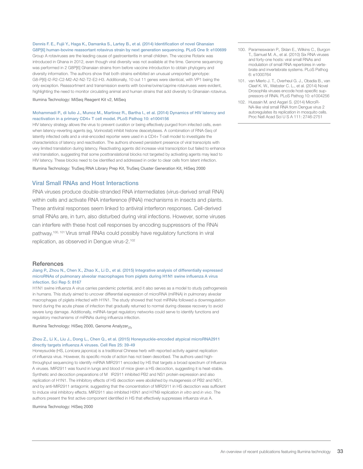Dennis F. E., Fujii Y., Haga K., Damanka S., Lartey B., et al. (2014) Identification of novel Ghanaian G8P[6] human-bovine reassortant rotavirus strain by next generation sequencing. PLoS One 9: e100699

Group A rotaviruses are the leading cause of gastroenteritis in small children. The vaccine Rotarix was introduced in Ghana in 2012, even though viral diversity was not available at the time. Genome sequencing was performed in 2 G8P[6] Ghanaian strains from before vaccine introduction to obtain phylogeny and diversity information. The authors show that both strains exhibited an unusual unreported genotype: G8-P[6]-I2-R2-C2-M2-A2-N2-T2-E2-H3. Additionally, 10 out 11 genes were identical, with VP1 being the only exception. Reassortment and transmission events with bovine/ovine/caprine rotaviruses were evident, highlighting the need to monitor circulating animal and human strains that add diversity to Ghanaian rotavirus.

Illumina Technology: MiSeq Reagent Kit v2, MiSeq

#### Mohammadi P., di Iulio J., Munoz M., Martinez R., Bartha I., et al. (2014) Dynamics of HIV latency and reactivation in a primary CD4+ T cell model. PLoS Pathog 10: e1004156

HIV latency strategy allows the virus to prevent curation or being effectively purged from infected cells, even when latency-reverting agents (eg, Vorinostat) inhibit histone deacetylases. A combination of RNA-Seq of latently infected cells and a viral-encoded reporter were used in a CD4+ T-cell model to investigate the characteristics of latency and reactivation. The authors showed persistent presence of viral transcripts with very limited translation during latency. Reactivating agents did increase viral transcription but failed to enhance viral translation, suggesting that some posttranslational blocks not targeted by activating agents may lead to HIV latency. These blocks need to be identified and addressed in order to clear cells from latent infection.

Illumina Technology: TruSeq RNA Library Prep Kit, TruSeq Cluster Generation Kit, HiSeq 2000

#### Viral Small RNAs and Host Interactions

RNA viruses produce double-stranded RNA intermediates (virus-derived small RNA) within cells and activate RNA interference (RNAi) mechanisms in insects and plants. These antiviral responses seem linked to antiviral interferon responses. Cell-derived small RNAs are, in turn, also disturbed during viral infections. However, some viruses can interfere with these host cell responses by encoding suppressors of the RNAi pathway.100, 101 Virus small RNAs could possibly have regulatory functions in viral replication, as observed in Dengue virus-2.<sup>102</sup>

#### **References**

#### Jiang P., Zhou N., Chen X., Zhao X., Li D., et al. (2015) Integrative analysis of differentially expressed microRNAs of pulmonary alveolar macrophages from piglets during H1N1 swine influenza A virus infection. Sci Rep 5: 8167

H1N1 swine influenza A virus carries pandemic potential, and it also serves as a model to study pathogenesis in humans. This study aimed to uncover differential expression of microRNA (miRNA) in pulmonary alveolar macrophages of piglets infected with H1N1. The study showed that host miRNAs followed a downregulation trend during the acute phase of infection that gradually returned to normal during disease recovery to avoid severe lung damage. Additionally, miRNA-target regulatory networks could serve to identify functions and regulatory mechanisms of miRNAs during influenza infection.

Illumina Technology: HiSeq 2000, Genome Analyzer*IIx*

#### Zhou Z., Li X., Liu J., Dong L., Chen Q., et al. (2015) Honeysuckle-encoded atypical microRNA2911 directly targets influenza A viruses. Cell Res 25: 39-49

Honeysuckle (HS, *Lonicera japonica*) is a traditional Chinese herb with reported activity against replication of influenza virus. However, its specific mode of action has not been described. The authors used highthroughput sequencing to identify miRNA MIR2911 encoded by HS that targets a broad spectrum of Influenza A viruses. MIR2911 was found in lungs and blood of mice given a HS decoction, suggesting it is heat-stable. Synthetic and decoction preparations of M IR2911 inhibited PB2 and NS1 protein expression and also replication of H1N1. The inhibitory effects of HS decoction were abolished by mutagenesis of PB2 and NS1, and by anti-MIR2911 antagomir, suggesting that the concentration of MIR2911 in HS decoction was sufficient to induce viral inhibitory effects. MIR2911 also inhibited H5N1 and H7N9 replication *in vitro* and *in vivo*. The authors present the first active component identified in HS that effectively suppresses influenza virus A.

Illumina Technology: HiSeq 2000

- 100. Parameswaran P., Sklan E., Wilkins C., Burgon T., Samuel M. A., et al. (2010) Six RNA viruses and forty-one hosts: viral small RNAs and modulation of small RNA repertoires in vertebrate and invertebrate systems. PLoS Pathog 6: e1000764
- 101. van Mierlo J. T., Overheul G. J., Obadia B., van Cleef K. W., Webster C. L., et al. (2014) Novel Drosophila viruses encode host-specific suppressors of RNAi. PLoS Pathog 10: e1004256
- 102. Hussain M. and Asgari S. (2014) MicroR-NA-like viral small RNA from Dengue virus 2 autoregulates its replication in mosquito cells. Proc Natl Acad Sci U S A 111: 2746-2751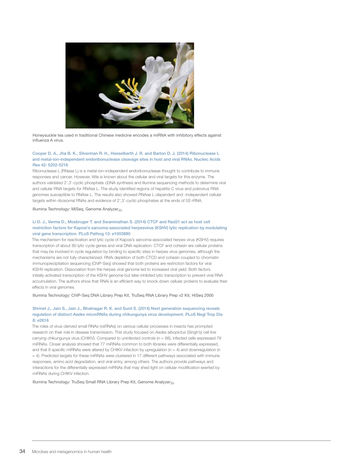

Honeysuckle tea used in traditional Chinese medicine encodes a miRNA with inhibitory effects against influenza A virus.

#### Cooper D. A., Jha B. K., Silverman R. H., Hesselberth J. R. and Barton D. J. (2014) Ribonuclease L and metal-ion-independent endoribonuclease cleavage sites in host and viral RNAs. Nucleic Acids Res 42: 5202-5216

Ribonuclease L (RNase L) is a metal-ion–independent endoribonuclease thought to contribute to immune responses and cancer. However, little is known about the cellular and viral targets for this enzyme. The authors validated 2',3'-cyclic phosphate cDNA synthesis and Illumina sequencing methods to determine viral and cellular RNA targets for RNAse L. The study identified regions of hepatitis C virus and poliovirus RNA genomes susceptible to RNAse L. The results also showed RNAse L-dependent and -independent cellular targets within ribosomal RNAs and evidence of 2',3'-cyclic phosphates at the ends of 5S rRNA.

#### Illumina Technology: MiSeq, Genome Analyzer*IIx*

#### Li D. J., Verma D., Mosbruger T. and Swaminathan S. (2014) CTCF and Rad21 act as host cell restriction factors for Kaposi's sarcoma-associated herpesvirus (KSHV) lytic replication by modulating viral gene transcription. PLoS Pathog 10: e1003880

The mechanism for reactivation and lytic cycle of Kaposi's sarcoma-associated herpes virus (KSHV) requires transcription of about 80 lytic cycle genes and viral DNA replication. CTCF and cohesin are cellular proteins that may be involved in cycle regulation by binding to specific sites in herpes virus genomes, although the mechanisms are not fully characterized. RNAi depletion of both CTCD and cohesin coupled to chromatin immunoprecipitation sequencing (ChIP-Seq) showed that both proteins are restriction factors for viral KSHV replication. Dissociation from the herpes viral genome led to increased viral yield. Both factors initially activated transcription of the KSHV genome but later inhibited lytic transcription to prevent viral RNA accumulation. The authors show that RNAi is an efficient way to knock down cellular proteins to evaluate their effects in viral genomes.

Illumina Technology: ChIP-Seq DNA Library Prep Kit, TruSeq RNA Library Prep v2 Kit, HiSeq 2000

#### Shrinet J., Jain S., Jain J., Bhatnagar R. K. and Sunil S. (2014) Next generation sequencing reveals regulation of distinct *Aedes* microRNAs during chikungunya virus development. PLoS Negl Trop Dis 8: e2616

The roles of virus-derived small RNAs (vsRNAs) on various cellular processes in insects has prompted research on their role in disease transmission. This study focused on *Aedes albopictus* (Singh's) cell line carrying chikungunya virus (CHIKV). Compared to uninfected controls (n = 88), infected cells expressed 79 miRNAs. Closer analysis showed that 77 miRNAs common to both libraries were differentially expressed, and that 8 specific miRNAs were altered by CHIKV infection by upregulation ( $n = 4$ ) and downregulation ( $n$ = 4). Predicted targets for these miRNAs were clustered in 17 different pathways associated with immune responses, amino acid degradation, and viral entry, among others. The authors provide pathways and interactions for the differentially expressed miRNAs that may shed light on cellular modification exerted by miRNAs during CHIKV infection.

Illumina Technology: TruSeq Small RNA Library Prep Kit, Genome Analyzer*IIx*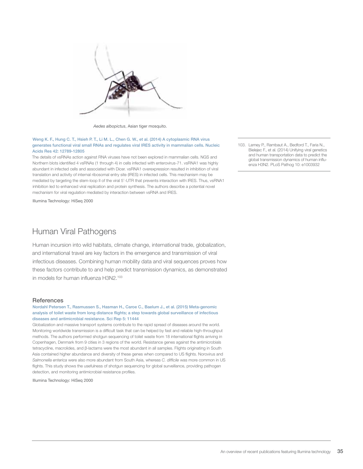<span id="page-33-0"></span>

*Aedes albopictus*, Asian tiger mosquito.

#### Weng K. F., Hung C. T., Hsieh P. T., Li M. L., Chen G. W., et al. (2014) A cytoplasmic RNA virus generates functional viral small RNAs and regulates viral IRES activity in mammalian cells. Nucleic Acids Res 42: 12789-12805

The details of vsRNAs action against RNA viruses have not been explored in mammalian cells. NGS and Northern blots identified 4 vsRNAs (1 through 4) in cells infected with enterovirus-71. vsRNA1 was highly abundant in infected cells and associated with Dicer. vsRNA1 overexpression resulted in inhibition of viral translation and activity of internal ribosomal entry site (IRES) in infected cells. This mechanism may be mediated by targeting the stem-loop II of the viral 5'-UTR that prevents interaction with IRES. Thus, vsRNA1 inhibition led to enhanced viral replication and protein synthesis. The authors describe a potential novel mechanism for viral regulation mediated by interaction between vsRNA and IRES.

Illumina Technology: HiSeq 2000

### Human Viral Pathogens

Human incursion into wild habitats, climate change, international trade, globalization, and international travel are key factors in the emergence and transmission of viral infectious diseases. Combining human mobility data and viral sequences proves how these factors contribute to and help predict transmission dynamics, as demonstrated in models for human influenza H3N2.<sup>103</sup>

#### **References**

#### Nordahl Petersen T., Rasmussen S., Hasman H., Caroe C., Baelum J., et al. (2015) Meta-genomic analysis of toilet waste from long distance flights; a step towards global surveillance of infectious diseases and antimicrobial resistance. Sci Rep 5: 11444

Globalization and massive transport systems contribute to the rapid spread of diseases around the world. Monitoring worldwide transmission is a difficult task that can be helped by fast and reliable high-throughput methods. The authors performed shotgun sequencing of toilet waste from 18 international flights arriving in Copenhagen, Denmark from 9 cities in 3 regions of the world. Resistance genes against the antimicrobials tetracycline, macrolides, and β-lactams were the most abundant in all samples. Flights originating in South Asia contained higher abundance and diversity of these genes when compared to US flights. Norovirus and *Salmonella enterica* were also more abundant from South Asia, whereas *C. difficile* was more common in US flights. This study shows the usefulness of shotgun sequencing for global surveillance, providing pathogen detection, and monitoring antimicrobial resistance profiles.

Illumina Technology: HiSeq 2000

103. Lemey P., Rambaut A., Bedford T., Faria N., Bielejec F., et al. (2014) Unifying viral genetics and human transportation data to predict the global transmission dynamics of human influenza H3N2. PLoS Pathog 10: e1003932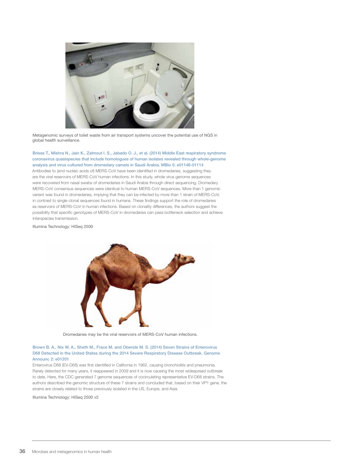

Metagenomic surveys of toilet waste from air transport systems uncover the potential use of NGS in global health surveillance.

Briese T., Mishra N., Jain K., Zalmout I. S., Jabado O. J., et al. (2014) Middle East respiratory syndrome coronavirus quasispecies that include homologues of human isolates revealed through whole-genome analysis and virus cultured from dromedary camels in Saudi Arabia. MBio 5: e01146-01114 Antibodies to (and nucleic acids of) MERS-CoV have been identified in dromedaries, suggesting they are the viral reservoirs of MERS-CoV human infections. In this study, whole virus genome sequences were recovered from nasal swabs of dromedaries in Saudi Arabia through direct sequencing. Dromedary MERS-CoV consensus sequences were identical to human MERS-CoV sequences. More than 1 genomic variant was found in dromedaries, implying that they can be infected by more than 1 strain of MERS-CoV, in contrast to single clonal sequences found in humans. These findings support the role of dromedaries as reservoirs of MERS-CoV in human infections. Based on clonality differences, the authors suggest the possibility that specific genotypes of MERS-CoV in dromedaries can pass bottleneck selection and achieve interspecies transmission.

Illumina Technology: HiSeq 2500



Dromedaries may be the viral reservoirs of MERS-CoV human infections.

#### Brown B. A., Nix W. A., Sheth M., Frace M. and Oberste M. S. (2014) Seven Strains of Enterovirus D68 Detected in the United States during the 2014 Severe Respiratory Disease Outbreak. Genome Announc 2: e01201

Enterovirus D68 (EV-D68) was first identified in California in 1962, causing bronchiolitis and pneumonia. Rarely detected for many years, it reappeared in 2009 and it is now causing the most widespread outbreak to date. Here, the CDC generated 7 genome sequences of cocirculating representative EV-D68 strains. The authors described the genomic structure of these 7 strains and concluded that, based on their VP1 gene, the strains are closely related to those previously isolated in the US, Europe, and Asia.

Illumina Technology: HiSeq 2500 v2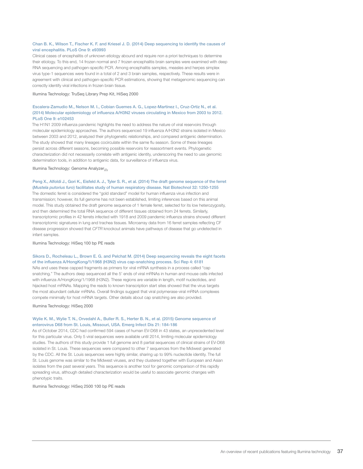#### Chan B. K., Wilson T., Fischer K. F. and Kriesel J. D. (2014) Deep sequencing to identify the causes of viral encephalitis. PLoS One 9: e93993

Clinical cases of encephalitis of unknown etiology abound and require non a priori techniques to determine their etiology. To this end, 14 frozen normal and 7 frozen encephalitis brain samples were examined with deep RNA sequencing and pathogen-specific PCR. Among encephalitis samples, measles and herpes simplex virus type-1 sequences were found in a total of 2 and 3 brain samples, respectively. These results were in agreement with clinical and pathogen-specific PCR estimations, showing that metagenomic sequencing can correctly identify viral infections in frozen brain tissue.

Illumina Technology: TruSeq Library Prep Kit, HiSeq 2000

#### Escalera-Zamudio M., Nelson M. I., Cobian Guemes A. G., Lopez-Martinez I., Cruz-Ortiz N., et al. (2014) Molecular epidemiology of influenza A/H3N2 viruses circulating in Mexico from 2003 to 2012. PLoS One 9: e102453

The H1N1 2009 influenza pandemic highlights the need to address the nature of viral reservoirs through molecular epidemiology approaches. The authors sequenced 19 influenza A/H3N2 strains isolated in Mexico between 2003 and 2012, analyzed their phylogenetic relationships, and compared antigenic determination. The study showed that many lineages cocirculate within the same flu season. Some of these lineages persist across different seasons, becoming possible reservoirs for reassortment events. Phylogenetic characterization did not necessarily correlate with antigenic identity, underscoring the need to use genomic determination tools, in addition to antigenic data, for surveillance of influenza virus.

Illumina Technology: Genome Analyzer*IIx*

#### Peng X., Alfoldi J., Gori K., Eisfeld A. J., Tyler S. R., et al. (2014) The draft genome sequence of the ferret (*Mustela putorius furo*) facilitates study of human respiratory disease. Nat Biotechnol 32: 1250-1255

The domestic ferret is considered the "gold standard" model for human influenza virus infection and transmission; however, its full genome has not been established, limiting inferences based on this animal model. This study obtained the draft genome sequence of 1 female ferret, selected for its low heterozygosity, and then determined the total RNA sequence of different tissues obtained from 24 ferrets. Similarly, transcriptomic profiles in 42 ferrets infected with 1918 and 2009 pandemic influenza strains showed different transcriptomic signatures in lung and trachea tissues. Microarray data from 16 ferret samples reflecting CF disease progression showed that *CFTR* knockout animals have pathways of disease that go undetected in infant samples.

Illumina Technology: HiSeq 100 bp PE reads

#### Sikora D., Rocheleau L., Brown E. G. and Pelchat M. (2014) Deep sequencing reveals the eight facets of the influenza A/HongKong/1/1968 (H3N2) virus cap-snatching process. Sci Rep 4: 6181

NAs and uses these capped fragments as primers for viral mRNA synthesis in a process called "cap snatching." The authors deep sequenced all the 5' ends of viral mRNAs in human and mouse cells infected with influenza A/HongKong/1/1968 (H3N2). These regions are variable in length, motif nucleotides, and hijacked host mRNAs. Mapping the reads to known transcription start sites showed that the virus targets the most abundant cellular mRNAs. Overall findings suggest that viral polymerase-viral mRNA complexes compete minimally for host mRNA targets. Other details about cap snatching are also provided.

Illumina Technology: HiSeq 2000

#### Wylie K. M., Wylie T. N., Orvedahl A., Buller R. S., Herter B. N., et al. (2015) Genome sequence of enterovirus D68 from St. Louis, Missouri, USA. Emerg Infect Dis 21: 184-186

As of October 2014, CDC had confirmed 594 cases of human EV-D68 in 43 states, an unprecedented level for this particular virus. Only 5 viral sequences were available until 2014, limiting molecular epidemiology studies. The authors of this study provide 1 full genome and 8 partial sequences of clinical strains of EV-D68 isolated in St. Louis. These sequences were compared to other 7 sequences from the Midwest generated by the CDC. All the St. Louis sequences were highly similar, sharing up to 99% nucleotide identity. The full St. Louis genome was similar to the Midwest viruses, and they clustered together with European and Asian isolates from the past several years. This sequence is another tool for genomic comparison of this rapidly spreading virus, although detailed characterization would be useful to associate genomic changes with phenotypic traits.

Illumina Technology: HiSeq 2500 100 bp PE reads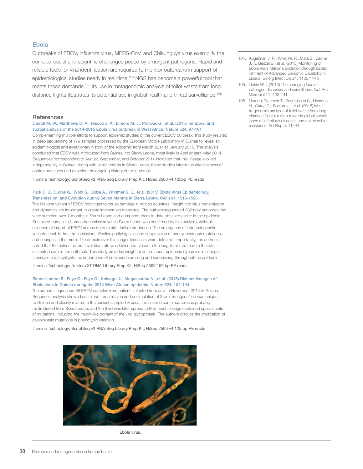#### Ebola

Outbreaks of EBOV, influenza virus, MERS-CoV, and Chikunguya virus exemplify the complex social and scientific challenges posed by emergent pathogens. Rapid and reliable tools for viral identification are required to monitor outbreaks in support of epidemiological studies nearly in real-time.<sup>104</sup> NGS has become a powerful tool that meets these demands.105 Its use in metagenomic analysis of toilet waste from longdistance flights illustrates its potential use in global health and threat surveillance.<sup>106</sup>

#### **References**

Carroll M. W., Matthews D. A., Hiscox J. A., Elmore M. J., Pollakis G., et al. (2015) Temporal and spatial analysis of the 2014-2015 Ebola virus outbreak in West Africa. Nature 524: 97-101

Complementing multiple efforts to support epidemic studies of the current EBOV outbreak, this study resulted in deep sequencing of 179 samples processed by the European Mobile Laboratory in Guinea to reveal an epidemiological and evolutionary history of the epidemic from March 2014 to January 2015. The analysis concluded that EBOV was introduced from Guinea into Sierra Leone, most likely in April or early May 2014. Sequences corresponding to August, September, and October 2014 indicated that this lineage evolved independently in Guinea. Along with similar efforts in Sierra Leone, these studies inform the effectiveness of control measures and describe the ongoing history of the outbreak.

Illumina Technology: ScriptSeq v2 RNA-Seq Library Prep Kit, HiSeq 2500 v4 125bp PE reads

#### Park D. J., Dudas G., Wohl S., Goba A., Whitmer S. L., et al. (2015) Ebola Virus Epidemiology, Transmission, and Evolution during Seven Months in Sierra Leone. Cell 161: 1516-1526

The Makona variant of EBOV continues to cause damage in African countries. Insight into virus transmission and dynamics are important to create intervention measures. The authors sequenced 232 new genomes that were sampled over 7 months in Sierra Leone and compared them to data obtained earlier in the epidemic. Sustained human-to-human transmission within Sierra Leone was confirmed by this analysis, without evidence of import of EBOV across borders after initial introduction. The emergence of intrahost genetic variants, host-to-host transmission, effective purifying selection suppression of nonsynonymous mutations, and changes in the mucin-like domain over this longer timescale were detected. Importantly, the authors noted that the estimated viral evolution rate was lower and closer to the long-term rate than to the rate estimated early in the outbreak. This study provides insightful details about epidemic dynamics in a longer timescale and highlights the importance of continued sampling and sequencing throughout the epidemic.

Illumina Technology: Nextera XT DNA Library Prep Kit, HiSeq 2500 100 bp PE reads

#### Simon-Loriere E., Faye O., Faye O., Koivogui L., Magassouba N., et al. (2015) Distinct lineages of Ebola virus in Guinea during the 2014 West African epidemic. Nature 524: 102-104

The authors sequenced 85 EBOV samples from patients infected from July to November 2014 in Guinea. Sequence analysis showed sustained transmission and cocirculation of 3 viral lineages: One was unique to Guinea and closely related to the earliest sampled viruses; the second contained viruses probably reintroduced from Sierra Leone; and the third was later spread to Mali. Each lineage contained specific sets of mutations, including the mucin-like domain of the viral glycoprotein. The authors discuss the implication of glycoprotein mutations in phenotypic variation.

Illumina Technology: ScriptSeq v2 RNA-Seq Library Prep Kit, HiSeq 2500 v4 125 bp PE reads



Ebola virus.

- 104. Kugelman J. R., Wiley M. R., Mate S., Ladner J. T., Beitzel B., et al. (2015) Monitoring of Ebola Virus Makona Evolution through Establishment of Advanced Genomic Capability in Liberia. Emerg Infect Dis 21: 1135-1143
- 105. Lipkin W. I. (2013) The changing face of pathogen discovery and surveillance. Nat Rev Microbiol 11: 133-141
- 106. Nordahl Petersen T., Rasmussen S., Hasman H., Caroe C., Baelum J., et al. (2015) Meta-genomic analysis of toilet waste from long distance flights; a step towards global surveillance of infectious diseases and antimicrobial resistance. Sci Rep 5: 11444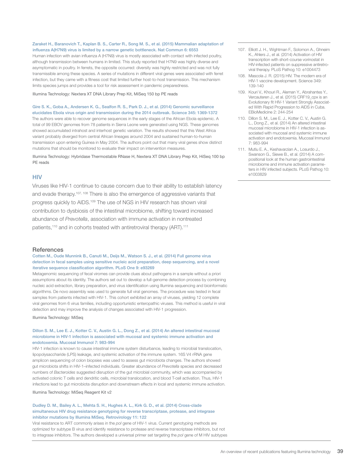#### Zaraket H., Baranovich T., Kaplan B. S., Carter R., Song M. S., et al. (2015) Mammalian adaptation of influenza A(H7N9) virus is limited by a narrow genetic bottleneck. Nat Commun 6: 6553

Human infection with avian influenza A (H7N9) virus is mostly associated with contact with infected poultry, although transmission between humans in limited. This study reported that H7N9 was highly diverse and asymptomatic in poultry. In ferrets, the opposite occurred: diversity was highly restricted and was not fully transmissible among these species. A series of mutations in different viral genes were associated with ferret infection, but they came with a fitness cost that limited further host-to-host transmission. This mechanism limits species jumps and provides a tool for risk assessment in pandemic preparedness.

Illumina Technology: Nextera XT DNA Library Prep Kit, MiSeq 150 bp PE reads

#### Gire S. K., Goba A., Andersen K. G., Sealfon R. S., Park D. J., et al. (2014) Genomic surveillance elucidates Ebola virus origin and transmission during the 2014 outbreak. Science 345: 1369-1372

The authors were able to recover genome sequences in the early stages of the African Ebola epidemic. A total of 99 EBOV genomes from 78 patients in Sierra Leone were generated using NGS. These genomes showed accumulated intrahost and interhost genetic variation. The results showed that this West Africa variant probably diverged from central African lineages around 2004 and sustained human-to-human transmission upon entering Guinea in May 2004. The authors point out that many viral genes show distinct mutations that should be monitored to evaluate their impact on intervention measures.

Illumina Technology: Hybridase Thermostable RNase H, Nextera XT DNA Library Prep Kit, HiSeq 100 bp PE reads

#### **HIV**

Viruses like HIV-1 continue to cause concern due to their ability to establish latency and evade therapy.107, 108 There is also the emergence of aggressive variants that progress quickly to AIDS.<sup>109</sup> The use of NGS in HIV research has shown viral contribution to dysbiosis of the intestinal microbiome, shifting toward increased abundance of *Prevotella*, association with immune activation in nontreated patients,<sup>110</sup> and in cohorts treated with antiretroviral therapy (ART).<sup>111</sup>

#### **References**

Cotten M., Oude Munnink B., Canuti M., Deijs M., Watson S. J., et al. (2014) Full genome virus detection in fecal samples using sensitive nucleic acid preparation, deep sequencing, and a novel iterative sequence classification algorithm. PLoS One 9: e93269

Metagenomic sequencing of fecal viromes can provide clues about pathogens in a sample without a priori assumptions about its identity. The authors set out to develop a full-genome detection process by combining nucleic acid extraction, library preparation, and virus identification using Illumina sequencing and bioinformatic algorithms. De novo assembly was used to generate full viral genomes. The procedure was tested in fecal samples from patients infected with HIV-1. This cohort exhibited an array of viruses, yielding 12 complete viral genomes from 6 virus families, including opportunistic enteropathic viruses. This method is useful in viral detection and may improve the analysis of changes associated with HIV-1 progression.

Illumina Technology: MiSeq

#### Dillon S. M., Lee E. J., Kotter C. V., Austin G. L., Dong Z., et al. (2014) An altered intestinal mucosal microbiome in HIV-1 infection is associated with mucosal and systemic immune activation and endotoxemia. Mucosal Immunol 7: 983-994

HIV-1 infection is known to cause intestinal immune system disturbance, leading to microbial translocation, lipopolysaccharide (LPS) leakage, and systemic activation of the immune system. 16S V4 rRNA gene amplicon sequencing of colon biopsies was used to assess gut microbiota changes. The authors showed gut microbiota shifts in HIV-1–infected individuals. Greater abundance of *Prevotella* species and decreased numbers of *Bacteroides* suggested disruption of the gut microbial community, which was accompanied by activated colonic T cells and dendritic cells, microbial translocation, and blood T-cell activation. Thus, HIV-1 infections lead to gut microbiota disruption and downstream effects in local and systemic immune activation.

Illumina Technology: MiSeq Reagent Kit v2

#### Dudley D. M., Bailey A. L., Mehta S. H., Hughes A. L., Kirk G. D., et al. (2014) Cross-clade simultaneous HIV drug resistance genotyping for reverse transcriptase, protease, and integrase inhibitor mutations by Illumina MiSeq. Retrovirology 11: 122

Viral resistance to ART commonly arises in the *pol* gene of HIV-1 virus. Current genotyping methods are optimized for subtype B virus and identify resistance to protease and reverse transcriptase inhibitors, but not to integrase inhibitors. The authors developed a universal primer set targeting the *pol* gene of M HIV subtypes

- 107. Elliott J. H., Wightman F., Solomon A., Ghneim K., Ahlers J., et al. (2014) Activation of HIV transcription with short-course vorinostat in HIV-infected patients on suppressive antiretroviral therapy. PLoS Pathog 10: e1004473
- 108. Mascola J. R. (2015) HIV. The modern era of HIV-1 vaccine development. Science 349: 139-140
- 109. Kouri V., Khouri R., Aleman Y., Abrahantes Y., Vercauteren J., et al. (2015) CRF19\_cpx is an Evolutionary fit HIV-1 Variant Strongly Associated With Rapid Progression to AIDS in Cuba. EBioMedicine 2: 244-254
- 110. Dillon S. M., Lee E. J., Kotter C. V., Austin G. L., Dong Z., et al. (2014) An altered intestinal mucosal microbiome in HIV-1 infection is associated with mucosal and systemic immune activation and endotoxemia. Mucosal Immunol 7: 983-994
- 111. Mutlu E. A., Keshavarzian A., Losurdo J., Swanson G., Siewe B., et al. (2014) A compositional look at the human gastrointestinal microbiome and immune activation parameters in HIV infected subjects. PLoS Pathog 10: e1003829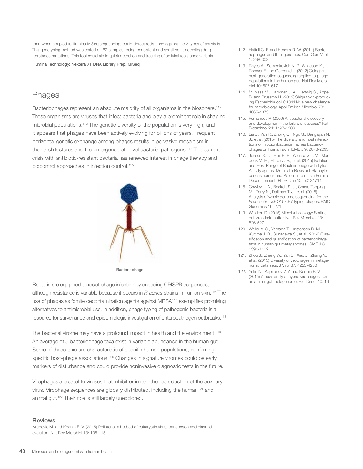that, when coupled to Illumina MiSeq sequencing, could detect resistance against the 3 types of antivirals. This genotyping method was tested on 62 samples, being consistent and sensitive at detecting drug resistance mutations. This tool could aid in quick detection and tracking of antiviral resistance variants.

Illumina Technology: Nextera XT DNA Library Prep, MiSeq

## **Phages**

Bacteriophages represent an absolute majority of all organisms in the biosphere.<sup>112</sup> These organisms are viruses that infect bacteria and play a prominent role in shaping microbial populations.113 The genetic diversity of the population is very high, and it appears that phages have been actively evolving for billions of years. Frequent horizontal genetic exchange among phages results in pervasive mosaicism in their architectures and the emergence of novel bacterial pathogens.114 The current crisis with antibiotic-resistant bacteria has renewed interest in phage therapy and biocontrol approaches in infection control.<sup>115</sup>



**Bacteriophage** 

Bacteria are equipped to resist phage infection by encoding CRISPR sequences, although resistance is variable because it occurs in *P. acnes* strains in human skin.116 The use of phages as fomite decontamination agents against MRSA117 exemplifies promising alternatives to antimicrobial use. In addition, phage typing of pathogenic bacteria is a resource for surveillance and epidemiologic investigation of enteropathogen outbreaks.118

The bacterial virome may have a profound impact in health and the environment.<sup>119</sup> An average of 5 bacteriophage taxa exist in variable abundance in the human gut. Some of these taxa are characteristic of specific human populations, confirming specific host-phage associations.<sup>120</sup> Changes in signature viromes could be early markers of disturbance and could provide noninvasive diagnostic tests in the future.

Virophages are satellite viruses that inhibit or impair the reproduction of the auxiliary virus. Virophage sequences are globally distributed, including the human<sup>121</sup> and animal gut.<sup>122</sup> Their role is still largely unexplored.

#### **Reviews**

Krupovic M. and Koonin E. V. (2015) Polintons: a hotbed of eukaryotic virus, transposon and plasmid evolution. Nat Rev Microbiol 13: 105-115

- 112. Hatfull G. F. and Hendrix R. W. (2011) Bacteriophages and their genomes. Curr Opin Virol 1: 298-303
- 113. Reyes A., Semenkovich N. P., Whiteson K., Rohwer F. and Gordon J. I. (2012) Going viral: next-generation sequencing applied to phage populations in the human gut. Nat Rev Microbiol 10: 607-617
- 114. Muniesa M., Hammerl J. A., Hertwig S., Appel B. and Brussow H. (2012) Shiga toxin-producing Escherichia coli O104:H4: a new challenge for microbiology. Appl Environ Microbiol 78: 4065-4073
- 115. Fernandes P. (2006) Antibacterial discovery and development--the failure of success? Nat Biotechnol 24: 1497-1503
- 116. Liu J., Yan R., Zhong Q., Ngo S., Bangayan N. J., et al. (2015) The diversity and host interactions of Propionibacterium acnes bacteriophages on human skin. ISME J 9: 2078-2093
- 117. Jensen K. C., Hair B. B., Wienclaw T. M., Murdock M. H., Hatch J. B., et al. (2015) Isolation and Host Range of Bacteriophage with Lytic Activity against Methicillin-Resistant Staphylococcus aureus and Potential Use as a Fomite Decontaminant. PLoS One 10: e0131714
- 118. Cowley L. A., Beckett S. J., Chase-Topping M., Perry N., Dallman T. J., et al. (2015) Analysis of whole genome sequencing for the *Escherichia coli* O157:H7 typing phages. BMC Genomics 16: 271
- 119. Waldron D. (2015) Microbial ecology: Sorting out viral dark matter. Nat Rev Microbiol 13: 526-527
- 120. Waller A. S., Yamada T., Kristensen D. M., Kultima J. R., Sunagawa S., et al. (2014) Classification and quantification of bacteriophage taxa in human gut metagenomes. ISME J 8: 1391-1402
- 121. Zhou J., Zhang W., Yan S., Xiao J., Zhang Y., et al. (2013) Diversity of virophages in metagenomic data sets. J Virol 87: 4225-4236
- 122. Yutin N., Kapitonov V. V. and Koonin E. V. (2015) A new family of hybrid virophages from an animal gut metagenome. Biol Direct 10: 19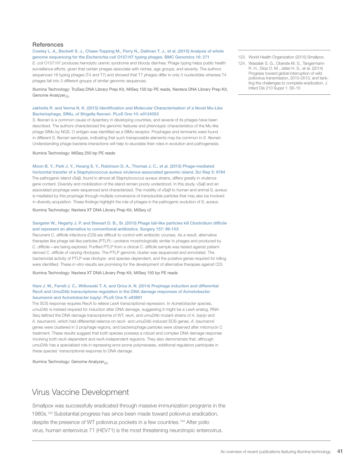#### **References**

#### Cowley L. A., Beckett S. J., Chase-Topping M., Perry N., Dallman T. J., et al. (2015) Analysis of whole genome sequencing for the *Escherichia coli* O157:H7 typing phages. BMC Genomics 16: 271

*E. coli* O157:H7 produces hemolytic uremic syndrome and bloody diarrhea. Phage typing helps public health surveillance efforts, given that certain phages associate with niches, age groups, and severity. The authors sequenced 16 typing phages (T4 and T7) and showed that T7 phages differ in only 3 nucleotides whereas T4 phages fall into 3 different groups of similar genomic sequences.

Illumina Technology: TruSeq DNA Library Prep Kit, MiSeq 150 bp PE reads, Nextera DNA Library Prep Kit, Genome Analyzer<sub>IIx</sub>

#### Jakhetia R. and Verma N. K. (2015) Identification and Molecular Characterisation of a Novel Mu-Like Bacteriophage, SfMu, of Shigella flexneri. PLoS One 10: e0124053

*S. flexneri* is a common cause of dysentery in developing countries, and several of its phages have been described. The authors characterized the genomic features and phenotypic characteristics of the Mu-like phage SfMu by NGS. O antigen was identified as a SfMu receptor. Prophages and remnants were found in different *S. flexneri* serotypes, indicating that such transposable elements may be common in *S. flexneri*. Understanding phage-bacteria interactions will help to elucidate their roles in evolution and pathogenesis.

Illumina Technology: MiSeq 250 bp PE reads

#### Moon B. Y., Park J. Y., Hwang S. Y., Robinson D. A., Thomas J. C., et al. (2015) Phage-mediated

horizontal transfer of a Staphylococcus aureus virulence-associated genomic island. Sci Rep 5: 9784 The pathogenic island vSaβ, found in almost all *Staphylococcus aureus* strains, differs greatly in virulence gene content. Diversity and mobilization of the island remain poorly understood. In this study, vSaβ and an associated prophage were sequenced and characterized. The mobility of vSaβ to human and animal S. *aureus* is mediated by this prophage through multiple conversions of transducible particles that may also be involved in diversity acquisition. These findings highlight the role of phages in the pathogenic evolution of S. *aureus*.

Illumina Technology: Nextera XT DNA Library Prep Kit, MiSeq v2

#### Sangster W., Hegarty J. P. and Stewart D. B., Sr. (2015) Phage tail-like particles kill Clostridium difficile and represent an alternative to conventional antibiotics. Surgery 157: 96-103

Recurrent *C. difficile* infections (CDI) are difficult to control with antibiotic courses. As a result, alternative therapies like phage tail-like particles (PTLP)—proteins morphologically similar to phages and produced by *C. difficile*—are being explored. Purified PTLP from a clinical *C. difficile* sample was tested against patientderived *C. difficile* of varying ribotypes. The PTLP genomic cluster was sequenced and annotated. The bactericidal activity of PTLP was ribotype- and species-dependent, and the putative genes required for killing were identified. These *in vitro* results are promising for the development of alternative therapies against CDI.

Illumina Technology: Nextera XT DNA Library Prep Kit, MiSeq 150 bp PE reads

#### Hare J. M., Ferrell J. C., Witkowski T. A. and Grice A. N. (2014) Prophage induction and differential RecA and UmuDAb transcriptome regulation in the DNA damage responses of Acinetobacter baumannii and Acinetobacter baylyi. PLoS One 9: e93861

The SOS response requires RecA to relieve LexA transcriptional repression. In *Acinetobacter* species, *umuDAb* is instead required for induction after DNA damage, suggesting it might be a LexA analog. RNA-Seq defined the DNA damage transcriptome of WT, *recA*, and *umuDAb* mutant strains of *A. baylyi* and *A. baumannii*, which had differential reliance on *recA*- and *umuDAb*-induced SOS genes. *A. baumannii* genes were clustered in 3 prophage regions, and bacteriophage particles were observed after mitomycin C treatment. These results suggest that both species possess a robust and complex DNA damage response involving both recA-dependent and recA-independent regulons. They also demonstrate that, although *umuDAb* has a specialized role in repressing error-prone polymerases, additional regulators participate in these species' transcriptional response to DNA damage.

Illumina Technology: Genome Analyzer*IIx*

### Virus Vaccine Development

Smallpox was successfully eradicated through massive immunization programs in the 1980s.123 Substantial progress has since been made toward poliovirus eradication, despite the presence of WT poliovirus pockets in a few countries.<sup>124</sup> After polio virus, human enterovirus 71 (HEV71) is the most threatening neurotropic enterovirus.

123. World Health Organization (2015) Smallpox.

124. Wassilak S. G., Oberste M. S., Tangermann R. H., Diop O. M., Jafari H. S., et al. (2014) Progress toward global interruption of wild poliovirus transmission, 2010-2013, and tackling the challenges to complete eradication. J Infect Dis 210 Suppl 1: S5-15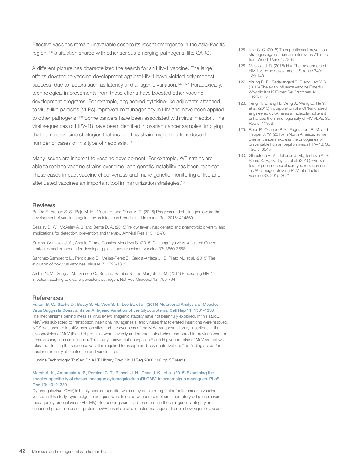Effective vaccines remain unavailable despite its recent emergence in the Asia-Pacific region,<sup>125</sup> a situation shared with other serious emerging pathogens, like SARS.

A different picture has characterized the search for an HIV-1 vaccine. The large efforts devoted to vaccine development against HIV-1 have yielded only modest success, due to factors such as latency and antigenic variation.<sup>126, 127</sup> Paradoxically, technological improvements from these efforts have boosted other vaccine development programs. For example, engineered cytokine-like adjuvants attached to virus-like particles (VLPs) improved immunogenicity in HIV and have been applied to other pathogens.128 Some cancers have been associated with virus infection. The viral sequences of HPV-18 have been identified in ovarian cancer samples, implying that current vaccine strategies that include this strain might help to reduce the number of cases of this type of neoplasia.<sup>129</sup>

Many issues are inherent to vaccine development. For example, WT strains are able to replace vaccine strains over time, and genetic instability has been reported. These cases impact vaccine effectiveness and make genetic monitoring of live and attenuated vaccines an important tool in immunization strategies.130

#### Reviews

Bande F., Arshad S. S., Bejo M. H., Moeini H. and Omar A. R. (2015) Progress and challenges toward the development of vaccines against avian infectious bronchitis. J Immunol Res 2015: 424860

Beasley D. W., McAuley A. J. and Bente D. A. (2015) Yellow fever virus: genetic and phenotypic diversity and implications for detection, prevention and therapy. Antiviral Res 115: 48-70

Salazar-Gonzalez J. A., Angulo C. and Rosales-Mendoza S. (2015) Chikungunya virus vaccines: Current strategies and prospects for developing plant-made vaccines. Vaccine 33: 3650-3658

Sanchez-Sampedro L., Perdiguero B., Mejias-Perez E., Garcia-Arriaza J., Di Pilato M., et al. (2015) The evolution of poxvirus vaccines. Viruses 7: 1726-1803

Archin N. M., Sung J. M., Garrido C., Soriano-Sarabia N. and Margolis D. M. (2014) Eradicating HIV-1 infection: seeking to clear a persistent pathogen. Nat Rev Microbiol 12: 750-764

#### **References**

Fulton B. O., Sachs D., Beaty S. M., Won S. T., Lee B., et al. (2015) Mutational Analysis of Measles Virus Suggests Constraints on Antigenic Variation of the Glycoproteins. Cell Rep 11: 1331-1338 The mechanisms behind measles virus (MeV) antigenic stability have not been fully explored. In this study, MeV was subjected to transposon insertional mutagenesis, and viruses that tolerated insertions were rescued. NGS was used to identify insertion sites and the evenness of the MeV transposon library. Insertions in the glycoproteins of MeV (F and H proteins) were severely underrepresented when compared to previous work on other viruses, such as influenza. This study shows that changes in F and H glycoproteins of MeV are not well tolerated, limiting the sequence variation required to escape antibody neutralization. This finding allows for durable immunity after infection and vaccination.

Illumina Technology: TruSeq DNA LT Library Prep Kit, HiSeq 2000 100 bp SE reads

#### Marsh A. K., Ambagala A. P., Perciani C. T., Russell J. N., Chan J. K., et al. (2015) Examining the species-specificity of rhesus macaque cytomegalovirus (RhCMV) in cynomolgus macaques. PLoS One 10: e0121339

Cytomegalovirus (CMV) is highly species-specific, which may be a limiting factor for its use as a vaccine vector. In this study, cynomolgus macaques were infected with a recombinant, laboratory-adapted rhesus macaque cytomegalovirus (RhCMV). Sequencing was used to determine the viral genetic integrity and enhanced green fluorescent protein (eGFP) insertion site. Infected macaques did not show signs of disease,

- 125. Kok C. C. (2015) Therapeutic and prevention strategies against human enterovirus 71 infection. World J Virol 4: 78-95
- 126. Mascola J. R. (2015) HIV. The modern era of HIV-1 vaccine development. Science 349: 139-140
- 127. Young B. E., Sadarangani S. P. and Leo Y. S. (2015) The avian influenza vaccine Emerflu. Why did it fail? Expert Rev Vaccines 14: 1125-1134
- 128. Feng H., Zhang H., Deng J., Wang L., He Y., et al. (2015) Incorporation of a GPI-anchored engineered cytokine as a molecular adjuvant enhances the immunogenicity of HIV VLPs. Sci Rep 5: 11856
- 129. Roos P., Orlando P. A., Fagerstrom R. M. and Pepper J. W. (2015) In North America, some ovarian cancers express the oncogenes of preventable human papillomavirus HPV-18. Sci Rep 5: 8645
- 130. Gladstone R. A., Jefferies J. M., Tocheva A. S., Beard K. R., Garley D., et al. (2015) Five winters of pneumococcal serotype replacement in UK carriage following PCV introduction. Vaccine 33: 2015-2021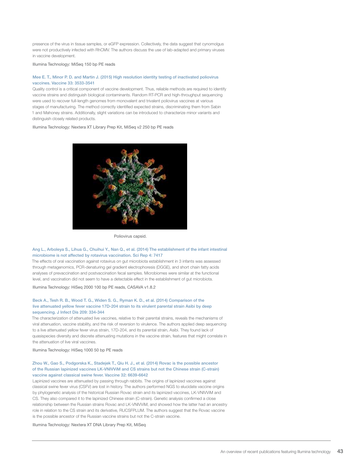presence of the virus in tissue samples, or eGFP expression. Collectively, the data suggest that cynomolgus were not productively infected with RhCMV. The authors discuss the use of lab-adapted and primary viruses in vaccine development.

Illumina Technology: MiSeq 150 bp PE reads

#### Mee E. T., Minor P. D. and Martin J. (2015) High resolution identity testing of inactivated poliovirus vaccines. Vaccine 33: 3533-3541

Quality control is a critical component of vaccine development. Thus, reliable methods are required to identify vaccine strains and distinguish biological contaminants. Random RT-PCR and high-throughput sequencing were used to recover full-length genomes from monovalent and trivalent poliovirus vaccines at various stages of manufacturing. The method correctly identified expected strains, discriminating them from Sabin 1 and Mahoney strains. Additionally, slight variations can be introduced to characterize minor variants and distinguish closely related products.

Illumina Technology: Nextera XT Library Prep Kit, MiSeq v2 250 bp PE reads



Poliovirus capsid.

#### Ang L., Arboleya S., Lihua G., Chuihui Y., Nan Q., et al. (2014) The establishment of the infant intestinal microbiome is not affected by rotavirus vaccination. Sci Rep 4: 7417

The effects of oral vaccination against rotavirus on gut microbiota establishment in 3 infants was assessed through metagenomics, PCR-denaturing gel gradient electrophoresis (DGGE), and short chain fatty acids analyses of prevaccination and postvaccination fecal samples. Microbiomes were similar at the functional level, and vaccination did not seem to have a detectable effect in the establishment of gut microbiota.

Illumina Technology: HiSeq 2000 100 bp PE reads, CASAVA v1.8.2

#### Beck A., Tesh R. B., Wood T. G., Widen S. G., Ryman K. D., et al. (2014) Comparison of the live attenuated yellow fever vaccine 17D-204 strain to its virulent parental strain Asibi by deep sequencing. J Infect Dis 209: 334-344

The characterization of attenuated live vaccines, relative to their parental strains, reveals the mechanisms of viral attenuation, vaccine stability, and the risk of reversion to virulence. The authors applied deep sequencing to a live attenuated yellow fever virus strain, 17D-204, and its parental strain, Asibi. They found lack of quasispecies diversity and discrete attenuating mutations in the vaccine strain, features that might correlate in the attenuation of live viral vaccines.

Illumina Technology: HiSeq 1000 50 bp PE reads

#### Zhou W., Gao S., Podgorska K., Stadejek T., Qiu H. J., et al. (2014) Rovac is the possible ancestor of the Russian lapinized vaccines LK-VNIVViM and CS strains but not the Chinese strain (C-strain) vaccine against classical swine fever. Vaccine 32: 6639-6642

Lapinized vaccines are attenuated by passing through rabbits. The origins of lapinized vaccines against classical swine fever virus (CSFV) are lost in history. The authors performed NGS to elucidate vaccine origins by phylogenetic analysis of the historical Russian Rovac strain and its lapinized vaccines, LK-VNIVViM and CS. They also compared it to the lapinized Chinese strain (C-strain). Genetic analysis confirmed a close relationship between the Russian strains Rovac and LK-VNIVViM, and showed how the latter had an ancestry role in relation to the CS strain and its derivative, RUCSFPLUM. The authors suggest that the Rovac vaccine is the possible ancestor of the Russian vaccine strains but not the C-strain vaccine.

Illumina Technology: Nextera XT DNA Library Prep Kit, MiSeq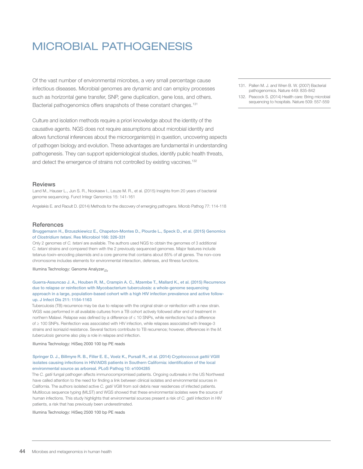# MICROBIAL PATHOGENESIS

Of the vast number of environmental microbes, a very small percentage cause infectious diseases. Microbial genomes are dynamic and can employ processes such as horizontal gene transfer, SNP, gene duplication, gene loss, and others. Bacterial pathogenomics offers snapshots of these constant changes.<sup>131</sup>

Culture and isolation methods require a priori knowledge about the identity of the causative agents. NGS does not require assumptions about microbial identity and allows functional inferences about the microorganism(s) in question, uncovering aspects of pathogen biology and evolution. These advantages are fundamental in understanding pathogenesis. They can support epidemiological studies, identify public health threats, and detect the emergence of strains not controlled by existing vaccines.<sup>132</sup>

#### **Reviews**

Land M., Hauser L., Jun S. R., Nookaew I., Leuze M. R., et al. (2015) Insights from 20 years of bacterial genome sequencing. Funct Integr Genomics 15: 141-161

Angelakis E. and Raoult D. (2014) Methods for the discovery of emerging pathogens. Microb Pathog 77: 114-118

#### **References**

#### Bruggemann H., Brzuszkiewicz E., Chapeton-Montes D., Plourde L., Speck D., et al. (2015) Genomics of *Clostridium tetani*. Res Microbiol 166: 326-331

Only 2 genomes of *C. tetani* are available. The authors used NGS to obtain the genomes of 3 additional *C. tetani* strains and compared them with the 2 previously sequenced genomes. Major features include tetanus-toxin–encoding plasmids and a core genome that contains about 85% of all genes. The non–core chromosome includes elements for environmental interaction, defenses, and fitness functions.

Illumina Technology: Genome Analyzer<sub>IIx</sub>

#### Guerra-Assuncao J. A., Houben R. M., Crampin A. C., Mzembe T., Mallard K., et al. (2015) Recurrence due to relapse or reinfection with Mycobacterium tuberculosis: a whole-genome sequencing approach in a large, population-based cohort with a high HIV infection prevalence and active followup. J Infect Dis 211: 1154-1163

Tuberculosis (TB) recurrence may be due to relapse with the original strain or reinfection with a new strain. WGS was performed in all available cultures from a TB cohort actively followed after end of treatment in northern Malawi. Relapse was defined by a difference of ≤ 10 SNPs, while reinfections had a difference of ≥ 100 SNPs. Reinfection was associated with HIV infection, while relapses associated with lineage-3 strains and isoniazid resistance. Several factors contribute to TB recurrence; however, differences in the *M. tuberculosis* genome also play a role in relapse and infection.

Illumina Technology: HiSeq 2000 100 bp PE reads

#### Springer D. J., Billmyre R. B., Filler E. E., Voelz K., Pursall R., et al. (2014) *Cryptococcus gattii* VGIII isolates causing infections in HIV/AIDS patients in Southern California: identification of the local environmental source as arboreal. PLoS Pathog 10: e1004285

The *C. gatii* fungal pathogen affects immunocompromised patients. Ongoing outbreaks in the US Northwest have called attention to the need for finding a link between clinical isolates and environmental sources in California. The authors isolated active *C. gatii* VGIII from soil debris near residences of infected patients. Multilocus sequence typing (MLST) and WGS showed that these environmental isolates were the source of human infections. This study highlights that environmental sources present a risk of *C. gatii* infection in HIV patients, a risk that has previously been underestimated.

Illumina Technology: HiSeq 2500 100 bp PE reads

- 131. Pallen M. J. and Wren B. W. (2007) Bacterial pathogenomics. Nature 449: 835-842
- 132. Peacock S. (2014) Health care: Bring microbial sequencing to hospitals. Nature 509: 557-559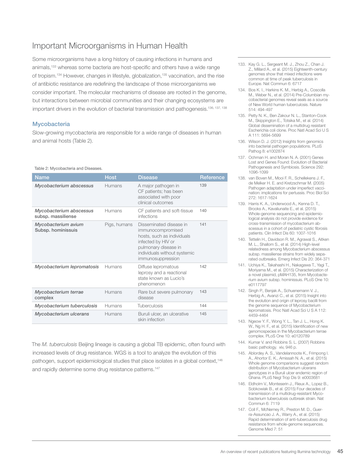## Important Microorganisms in Human Health

Some microorganisms have a long history of causing infections in humans and animals,<sup>133</sup> whereas some bacteria are host-specific and others have a wide range of tropism.<sup>134</sup> However, changes in lifestyle, globalization,<sup>135</sup> vaccination, and the rise of antibiotic resistance are redefining the landscape of those microorganisms we consider important. The molecular mechanisms of disease are rooted in the genome, but interactions between microbial communities and their changing ecosystems are important drivers in the evolution of bacterial transmission and pathogenesis.<sup>136, 137, 138</sup>

#### **Mycobacteria**

Slow-growing mycobacteria are responsible for a wide range of diseases in human and animal hosts (Table 2).

#### Table 2: Mycobacteria and Diseases.

| <b>Name</b>                                   | <b>Host</b>  | <b>Disease</b>                                                                                                                                                                | Reference |
|-----------------------------------------------|--------------|-------------------------------------------------------------------------------------------------------------------------------------------------------------------------------|-----------|
| Mycobacterium abscessus                       | Humans       | A major pathogen in<br>CF patients; has been<br>associated with poor<br>clinical outcomes                                                                                     | 139       |
| Mycobacterium abscessus<br>subsp. massiliense | Humans       | CF patients and soft-tissue<br>infections                                                                                                                                     | 140       |
| Mycobacterium avium<br>Subsp. hominissuis     | Pigs, humans | Disseminated disease in<br>immunocompromised<br>hosts, such as individuals<br>infected by HIV or<br>pulmonary disease in<br>individuals without systemic<br>immunosuppression | 141       |
| Mycobacterium lepromatosis                    | Humans       | Diffuse lepromatous<br>leprosy and a reactional<br>state known as Lucio's<br>phenomenon                                                                                       | 142       |
| Mycobacterium terrae<br>complex               | Humans       | Rare but severe pulmonary<br>disease                                                                                                                                          | 143       |
| Mycobacterium tuberculosis                    | Humans       | <b>Tuberculosis</b>                                                                                                                                                           | 144       |
| Mycobacterium ulcerans                        | Humans       | Buruli ulcer, an ulcerative<br>skin infection                                                                                                                                 | 145       |

The *M. tuberculosis* Beijing lineage is causing a global TB epidemic, often found with increased levels of drug resistance. WGS is a tool to analyze the evolution of this pathogen, support epidemiological studies that place isolates in a global context,<sup>146</sup> and rapidly determine some drug resistance patterns.<sup>147</sup>

- 133. Kay G. L., Sergeant M. J., Zhou Z., Chan J. Z., Millard A., et al. (2015) Eighteenth-century genomes show that mixed infections were common at time of peak tuberculosis in Europe. Nat Commun 6: 6717
- 134. Bos K. I., Harkins K. M., Herbig A., Coscolla M., Weber N., et al. (2014) Pre-Columbian mycobacterial genomes reveal seals as a source of New World human tuberculosis. Nature 514: 494-497
- 135. Petty N. K., Ben Zakour N. L., Stanton-Cook M., Skippington E., Totsika M., et al. (2014) Global dissemination of a multidrug resistant Escherichia coli clone. Proc Natl Acad Sci U S A 111: 5694-5699
- 136. Wilson D. J. (2012) Insights from genomics into bacterial pathogen populations. PLoS Pathog 8: e1002874
- 137. Ochman H. and Moran N. A. (2001) Genes Lost and Genes Found: Evolution of Bacterial Pathogenesis and Symbiosis. Science 292: 1096-1099
- 138. van Boven M., Mooi F. R., Schellekens J. F., de Melker H. E. and Kretzschmar M. (2005) Pathogen adaptation under imperfect vaccination: implications for pertussis. Proc Biol Sci 272: 1617-1624
- 139. Harris K. A., Underwood A., Kenna D. T., Brooks A., Kavaliunaite E., et al. (2015) Whole-genome sequencing and epidemiological analysis do not provide evidence for cross-transmission of mycobacterium abscessus in a cohort of pediatric cystic fibrosis patients. Clin Infect Dis 60: 1007-1016
- 140. Tettelin H., Davidson R. M., Agrawal S., Aitken M. L., Shallom S., et al. (2014) High-level relatedness among Mycobacterium abscessus subsp. massiliense strains from widely separated outbreaks. Emerg Infect Dis 20: 364-371
- 141. Uchiya K., Takahashi H., Nakagawa T., Yagi T., Moriyama M., et al. (2015) Characterization of a novel plasmid, pMAH135, from Mycobacterium avium subsp. hominissuis. PLoS One 10: e0117797
- 142. Singh P., Benjak A., Schuenemann V. J., Herbig A., Avanzi C., et al. (2015) Insight into the evolution and origin of leprosy bacilli from the genome sequence of Mycobacterium lepromatosis. Proc Natl Acad Sci U S A 112: 4459-4464
- 143. Ngeow Y. F., Wong Y. L., Tan J. L., Hong K. W., Ng H. F., et al. (2015) Identification of new genomospecies in the Mycobacterium terrae complex. PLoS One 10: e0120789
- 144. Kumar V. and Robbins S. L. (2007) Robbins basic pathology. xiv, 946 p.
- 145. Ablordey A. S., Vandelannoote K., Frimpong I. A., Ahortor E. K., Amissah N. A., et al. (2015) Whole genome comparisons suggest random distribution of Mycobacterium ulcerans genotypes in a Buruli ulcer endemic region of Ghana. PLoS Negl Trop Dis 9: e0003681
- 146. Eldholm V., Monteserin J., Rieux A., Lopez B., Sobkowiak B., et al. (2015) Four decades of transmission of a multidrug-resistant Mycobacterium tuberculosis outbreak strain. Nat Commun 6: 7119
- 147. Coll F., McNerney R., Preston M. D., Guerra-Assuncao J. A., Warry A., et al. (2015) Rapid determination of anti-tuberculosis drug resistance from whole-genome sequences. Genome Med 7: 51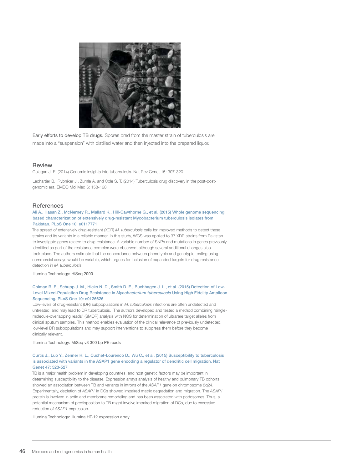

Early efforts to develop TB drugs. Spores bred from the master strain of tuberculosis are made into a "suspension" with distilled water and then injected into the prepared liquor.

#### **Review**

Galagan J. E. (2014) Genomic insights into tuberculosis. Nat Rev Genet 15: 307-320

Lechartier B., Rybniker J., Zumla A. and Cole S. T. (2014) Tuberculosis drug discovery in the post-postgenomic era. EMBO Mol Med 6: 158-168

#### **References**

#### Ali A., Hasan Z., McNerney R., Mallard K., Hill-Cawthorne G., et al. (2015) Whole genome sequencing based characterization of extensively drug-resistant Mycobacterium tuberculosis isolates from Pakistan. PLoS One 10: e0117771

The spread of extensively drug-resistant (XDR) *M. tuberculosis* calls for improved methods to detect these strains and its variants in a reliable manner. In this study, WGS was applied to 37 XDR strains from Pakistan to investigate genes related to drug resistance. A variable number of SNPs and mutations in genes previously identified as part of the resistance complex were observed, although several additional changes also took place. The authors estimate that the concordance between phenotypic and genotypic testing using commercial assays would be variable, which argues for inclusion of expanded targets for drug resistance detection in *M. tuberculosis*.

Illumina Technology: HiSeq 2000

#### Colman R. E., Schupp J. M., Hicks N. D., Smith D. E., Buchhagen J. L., et al. (2015) Detection of Low-Level Mixed-Population Drug Resistance in *Mycobacterium tuberculosis* Using High Fidelity Amplicon Sequencing. PLoS One 10: e0126626

Low-levels of drug-resistant (DR) subpopulations in *M. tuberculosis* infections are often undetected and untreated, and may lead to DR tuberculosis. The authors developed and tested a method combining "singlemolecule-overlapping reads" (SMOR) analysis with NGS for determination of ultrarare target alleles from clinical sputum samples. This method enables evaluation of the clinical relevance of previously undetected, low-level DR subpopulations and may support interventions to suppress them before they become clinically relevant.

Illumina Technology: MiSeq v3 300 bp PE reads

#### Curtis J., Luo Y., Zenner H. L., Cuchet-Lourenco D., Wu C., et al. (2015) Susceptibility to tuberculosis is associated with variants in the ASAP1 gene encoding a regulator of dendritic cell migration. Nat Genet 47: 523-527

TB is a major health problem in developing countries, and host genetic factors may be important in determining susceptibility to the disease. Expression arrays analysis of healthy and pulmonary TB cohorts showed an association between TB and variants in introns of the *ASAP1* gene on chromosome 8q24. Experimentally, depletion of *ASAP1* in DCs showed impaired matrix degradation and migration. The *ASAP1* protein is involved in actin and membrane remodeling and has been associated with podosomes. Thus, a potential mechanism of predisposition to TB might involve impaired migration of DCs, due to excessive reduction of *ASAP1* expression.

Illumina Technology: Illumina HT-12 expression array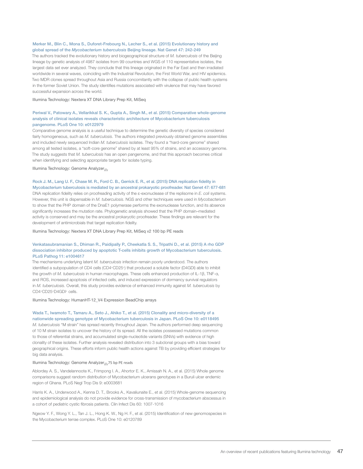#### Merker M., Blin C., Mona S., Duforet-Frebourg N., Lecher S., et al. (2015) Evolutionary history and global spread of the *Mycobacterium tuberculosis* Beijing lineage. Nat Genet 47: 242-249

The authors tracked the evolutionary history and biogeographical structure of *M. tuberculosis* of the Beijing lineage by genetic analysis of 4987 isolates from 99 countries and WGS of 110 representative isolates, the largest data set ever analyzed. They conclude that this lineage originated in the Far East and then irradiated worldwide in several waves, coinciding with the Industrial Revolution, the First World War, and HIV epidemics. Two MDR clones spread throughout Asia and Russia concomitantly with the collapse of public health systems in the former Soviet Union. The study identifies mutations associated with virulence that may have favored successful expansion across the world.

Illumina Technology: Nextera XT DNA Library Prep Kit, MiSeq

#### Periwal V., Patowary A., Vellarikkal S. K., Gupta A., Singh M., et al. (2015) Comparative whole-genome analysis of clinical isolates reveals characteristic architecture of Mycobacterium tuberculosis pangenome. PLoS One 10: e0122979

Comparative genome analysis is a useful technique to determine the genetic diversity of species considered fairly homogeneous, such as *M. tuberculosis*. The authors integrated previously obtained genome assemblies and included newly sequenced Indian *M. tuberculosis* isolates. They found a "hard-core genome" shared among all tested isolates, a "soft-core genome" shared by at least 95% of strains, and an accessory genome. The study suggests that *M. tuberculosis* has an open pangenome, and that this approach becomes critical when identifying and selecting appropriate targets for isolate typing.

Illumina Technology: Genome Analyzer*IIx*

#### Rock J. M., Lang U. F., Chase M. R., Ford C. B., Gerrick E. R., et al. (2015) DNA replication fidelity in Mycobacterium tuberculosis is mediated by an ancestral prokaryotic proofreader. Nat Genet 47: 677-681

DNA replication fidelity relies on proofreading activity of the ε-exonuclease of the replisome in *E. coli* systems. However, this unit is dispensable in *M. tuberculosis*. NGS and other techniques were used in *Mycobacterium* to show that the PHP domain of the DnaE1 polymerase performs the exonuclease function, and its absence significantly increases the mutation rate. Phylogenetic analysis showed that the PHP domain–mediated activity is conserved and may be the ancestral prokaryotic proofreader. These findings are relevant for the development of antimicrobials that target replication fidelity.

Illumina Technology: Nextera XT DNA Library Prep Kit, MiSeq v2 100 bp PE reads

#### Venkatasubramanian S., Dhiman R., Paidipally P., Cheekatla S. S., Tripathi D., et al. (2015) A rho GDP dissociation inhibitor produced by apoptotic T-cells inhibits growth of Mycobacterium tuberculosis. PLoS Pathog 11: e1004617

The mechanisms underlying latent *M. tuberculosis* infection remain poorly understood. The authors identified a subpopulation of CD4 cells (CD4+CD25+) that produced a soluble factor (D4GDI) able to inhibit the growth of *M. tuberculosis* in human macrophages. These cells enhanced production of IL-1β, TNF-α, and ROS, increased apoptosis of infected cells, and induced expression of dormancy survival regulators in *M. tuberculosis*. Overall, this study provides evidence of enhanced immunity against *M. tuberculosis* by CD4+CD25+D4GDI+ cells.

Illumina Technology: HumanHT-12\_V4 Expression BeadChip arrays

#### Wada T., Iwamoto T., Tamaru A., Seto J., Ahiko T., et al. (2015) Clonality and micro-diversity of a nationwide spreading genotype of Mycobacterium tuberculosis in Japan. PLoS One 10: e0118495

*M. tuberculosis* "M strain" has spread recently throughout Japan. The authors performed deep sequencing of 10 M strain isolates to uncover the history of its spread. All the isolates possessed mutations common to those of referential strains, and accumulated single-nucleotide variants (SNVs) with evidence of high clonality of these isolates. Further analysis revealed distribution into 3 subclonal groups with a bias toward geographical origins. These efforts inform public health actions against TB by providing efficient strategies for big data analysis.

#### Illumina Technology: Genome Analyzer*IIx*75 bp PE reads

Ablordey A. S., Vandelannoote K., Frimpong I. A., Ahortor E. K., Amissah N. A., et al. (2015) Whole genome comparisons suggest random distribution of Mycobacterium ulcerans genotypes in a Buruli ulcer endemic region of Ghana. PLoS Negl Trop Dis 9: e0003681

Harris K. A., Underwood A., Kenna D. T., Brooks A., Kavaliunaite E., et al. (2015) Whole-genome sequencing and epidemiological analysis do not provide evidence for cross-transmission of mycobacterium abscessus in a cohort of pediatric cystic fibrosis patients. Clin Infect Dis 60: 1007-1016

Ngeow Y. F., Wong Y. L., Tan J. L., Hong K. W., Ng H. F., et al. (2015) Identification of new genomospecies in the Mycobacterium terrae complex. PLoS One 10: e0120789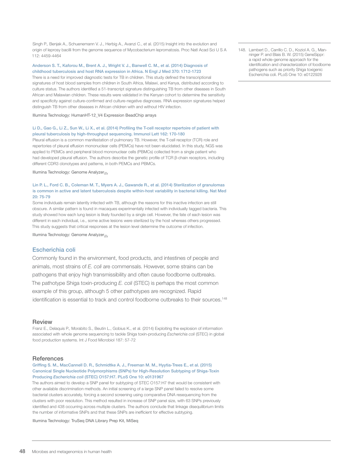Singh P., Benjak A., Schuenemann V. J., Herbig A., Avanzi C., et al. (2015) Insight into the evolution and origin of leprosy bacilli from the genome sequence of Mycobacterium lepromatosis. Proc Natl Acad Sci U S A 112: 4459-4464

#### Anderson S. T., Kaforou M., Brent A. J., Wright V. J., Banwell C. M., et al. (2014) Diagnosis of childhood tuberculosis and host RNA expression in Africa. N Engl J Med 370: 1712-1723

There is a need for improved diagnostic tests for TB in children. This study defined the transcriptional signatures of host blood samples from children in South Africa, Malawi, and Kenya, distributed according to culture status. The authors identified a 51-transcript signature distinguishing TB from other diseases in South African and Malawian children. These results were validated in the Kenyan cohort to determine the sensitivity and specificity against culture-confirmed and culture-negative diagnoses. RNA expression signatures helped distinguish TB from other diseases in African children with and without HIV infection.

Illumina Technology: HumanHT-12\_V4 Expression BeadChip arrays

#### Li D., Gao G., Li Z., Sun W., Li X., et al. (2014) Profiling the T-cell receptor repertoire of patient with pleural tuberculosis by high-throughput sequencing. Immunol Lett 162: 170-180

Pleural effusion is a common manifestation of pulmonary TB. However, the T-cell receptor (TCR) role and repertories of pleural effusion mononuclear cells (PEMCs) have not been elucidated. In this study, NGS was applied to PEMCs and peripheral blood mononuclear cells (PBMCs) collected from a single patient who had developed pleural effusion. The authors describe the genetic profile of TCR β-chain receptors, including different CDR3 clonotypes and patterns, in both PEMCs and PBMCs.

Illumina Technology: Genome Analyzer*IIx*

#### Lin P. L., Ford C. B., Coleman M. T., Myers A. J., Gawande R., et al. (2014) Sterilization of granulomas is common in active and latent tuberculosis despite within-host variability in bacterial killing. Nat Med 20: 75-79

Some individuals remain latently infected with TB, although the reasons for this inactive infection are still obscure. A similar pattern is found in macaques experimentally infected with individually tagged bacteria. This study showed how each lung lesion is likely founded by a single cell. However, the fate of each lesion was different in each individual, i.e., some active lesions were sterilized by the host whereas others progressed. This study suggests that critical responses at the lesion level determine the outcome of infection.

Illumina Technology: Genome Analyzer*IIx*

#### Escherichia coli

Commonly found in the environment, food products, and intestines of people and animals, most strains of *E. coli* are commensals. However, some strains can be pathogens that enjoy high transmissibility and often cause foodborne outbreaks. The pathotype Shiga toxin-producing *E. coli* (STEC) is perhaps the most common example of this group, although 5 other pathotypes are recognized. Rapid identification is essential to track and control foodborne outbreaks to their sources.148

#### **Review**

Franz E., Delaquis P., Morabito S., Beutin L., Gobius K., et al. (2014) Exploiting the explosion of information associated with whole genome sequencing to tackle Shiga toxin-producing *Escherichia coli* (STEC) in global food production systems. Int J Food Microbiol 187: 57-72

#### **References**

Griffing S. M., MacCannell D. R., Schmidtke A. J., Freeman M. M., Hyytia-Trees E., et al. (2015) Canonical Single Nucleotide Polymorphisms (SNPs) for High-Resolution Subtyping of Shiga-Toxin Producing *Escherichia coli* (STEC) O157:H7. PLoS One 10: e0131967

The authors aimed to develop a SNP panel for subtyping of STEC O157:H7 that would be consistent with other available discrimination methods. An initial screening of a large SNP panel failed to resolve some bacterial clusters accurately, forcing a second screening using comparative DNA resequencing from the clusters with poor resolution. This method resulted in increase of SNP panel size, with 63 SNPs previously identified and 438 occurring across multiple clusters. The authors conclude that linkage disequilibrium limits the number of informative SNPs and that these SNPs are inefficient for effective subtyping.

Illumina Technology: TruSeq DNA Library Prep Kit, MiSeq

148. Lambert D., Carrillo C. D., Koziol A. G., Manninger P. and Blais B. W. (2015) GeneSippr: a rapid whole-genome approach for the identification and characterization of foodborne pathogens such as priority Shiga toxigenic Escherichia coli. PLoS One 10: e0122928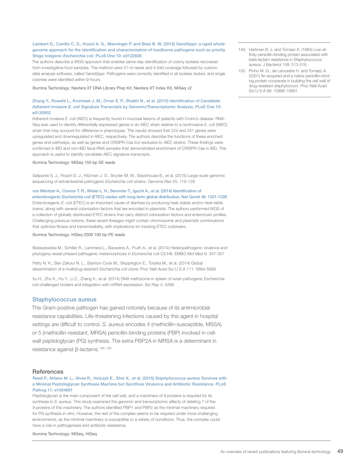#### Lambert D., Carrillo C. D., Koziol A. G., Manninger P. and Blais B. W. (2015) GeneSippr: a rapid wholegenome approach for the identification and characterization of foodborne pathogens such as priority Shiga toxigenic *Escherichia coli*. PLoS One 10: e0122928

The authors describe a WGS approach that enables same-day identification of colony isolates recovered from investigative food samples. The method used 21-nt reads and 4-fold coverage followed by custom data analysis software, called GeneSippr. Pathogens were correctly identified in all isolates tested, and single colonies were identified within 9 hours.

Illumina Technology: Nextera XT DNA Library Prep Kit, Nextera XT Index Kit, MiSeq v2

#### Zhang Y., Rowehl L., Krumsiek J. M., Orner E. P., Shaikh N., et al. (2015) Identification of Candidate Adherent-Invasive *E. coli* Signature Transcripts by Genomic/Transcriptomic Analysis. PLoS One 10: e0130902

Adherent-invasive *E. coli* (AIEC) is frequently found in mucosal lesions of patients with Crohn's disease. RNA-Seq was used to identify differentially expressed genes in an AIEC strain relative to a noninvasive *E. coli* (NIEC) strain that may account for difference in phenotypes. The results showed that 224 and 241 genes were upregulated and downregulated in AIEC, respectively. The authors describe the functions of these enriched genes and pathways, as well as genes and CRISPR-Cas loci exclusive to AIEC strains. These findings were confirmed in IBD and non-IBD fecal RNA samples that demonstrated enrichment of CRISPR-Cas in IBD. This approach is useful to identify candidate AIEC signature transcripts.

Illumina Technology: MiSeq 150 bp SE reads

Salipante S. J., Roach D. J., Kitzman J. O., Snyder M. W., Stackhouse B., et al. (2015) Large-scale genomic sequencing of extraintestinal pathogenic *Escherichia coli* strains. Genome Res 25: 119-128

#### von Mentzer A., Connor T. R., Wieler L. H., Semmler T., Iguchi A., et al. (2014) Identification of

enterotoxigenic *Escherichia coli* (ETEC) clades with long-term global distribution. Nat Genet 46: 1321-1326 Enterotoxigenic *E. coli* (ETEC) is an important cause of diarrhea by producing heat-stable and/or heat-labile toxins, along with several colonization factors that are encoded in plasmids. The authors performed WGS of a collection of globally distributed ETEC strains that carry distinct colonization factors and enterotoxin profiles. Challenging previous notions, these recent lineages might contain chromosome and plasmids combinations that optimize fitness and transmissibility, with implications for tracking ETEC outbreaks.

#### Illumina Technology: HiSeq 2000 100 bp PE reads

Bielaszewska M., Schiller R., Lammers L., Bauwens A., Fruth A., et al. (2014) Heteropathogenic virulence and phylogeny reveal phased pathogenic metamorphosis in *Escherichia coli* O2:H6. EMBO Mol Med 6: 347-357

Petty N. K., Ben Zakour N. L., Stanton-Cook M., Skippington E., Totsika M., et al. (2014) Global dissemination of a multidrug resistant *Escherichia coli* clone. Proc Natl Acad Sci U S A 111: 5694-5699

Xu H., Zhu X., Hu Y., Li Z., Zhang X., et al. (2014) DNA methylome in spleen of avian pathogenic Escherichia coli-challenged broilers and integration with mRNA expression. Sci Rep 4: 4299

#### Staphylococcus aureus

This Gram-positive pathogen has gained notoriety because of its antimicrobial resistance capabilities. Life-threatening infections caused by this agent in hospital settings are difficult to control. *S. aureus* encodes 4 (methicillin-susceptible, MSSA) or 5 (methicillin-resistant, MRSA) penicillin-binding proteins (PBP) involved in cellwall peptidoglycan (PG) synthesis. The extra PBP2A in MRSA is a determinant in resistance against β-lactams.<sup>149, 150</sup>

#### **References**

#### Reed P., Atilano M. L., Alves R., Hoiczyk E., Sher X., et al. (2015) *Staphylococcus aureus* Survives with a Minimal Peptidoglycan Synthesis Machine but Sacrifices Virulence and Antibiotic Resistance. PLoS Pathog 11: e1004891

Peptidoglycan is the main component of the cell wall, and a machinery of 9 proteins is required for its synthesis in *S. aureus*. This study examined the genomic and transcriptomic effects of deleting 7 of the 9 proteins of this machinery. The authors identified PBP1 and PBP2 as the minimal machinery required for PG synthesis *in vitro*. However, the rest of the complex seems to be required under more challenging environments, as the minimal machinery is susceptible to a variety of conditions. Thus, the complex could have a role in pathogenesis and antibiotic resistance.

Illumina Technology: MiSeq, HiSeq

- 149. Hartman B. J. and Tomasz A. (1984) Low-affinity penicillin-binding protein associated with beta-lactam resistance in Staphylococcus aureus. J Bacteriol 158: 513-516
- 150. Pinho M. G., de Lencastre H. and Tomasz A. (2001) An acquired and a native penicillin-binding protein cooperate in building the cell wall of drug-resistant staphylococci. Proc Natl Acad Sci U S A 98: 10886-10891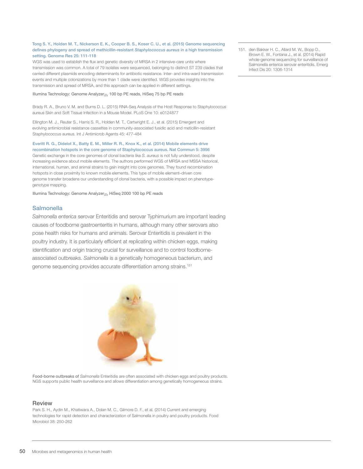#### Tong S. Y., Holden M. T., Nickerson E. K., Cooper B. S., Koser C. U., et al. (2015) Genome sequencing defines phylogeny and spread of methicillin-resistant *Staphylococcus aureus* in a high transmission setting. Genome Res 25: 111-118

WGS was used to establish the flux and genetic diversity of MRSA in 2 intensive-care units where transmission was common. A total of 79 isolates were sequenced, belonging to distinct ST 239 clades that carried different plasmids encoding determinants for antibiotic resistance. Inter- and intra-ward transmission events and multiple colonizations by more than 1 clade were identified. WGS provides insights into the transmission and spread of MRSA, and this approach can be applied in different settings.

Illumina Technology: Genome Analyzer*IIx* 100 bp PE reads, HiSeq 75 bp PE reads

Brady R. A., Bruno V. M. and Burns D. L. (2015) RNA-Seq Analysis of the Host Response to Staphylococcus aureus Skin and Soft Tissue Infection in a Mouse Model. PLoS One 10: e0124877

Ellington M. J., Reuter S., Harris S. R., Holden M. T., Cartwright E. J., et al. (2015) Emergent and evolving antimicrobial resistance cassettes in community-associated fusidic acid and meticillin-resistant Staphylococcus aureus. Int J Antimicrob Agents 45: 477-484

#### Everitt R. G., Didelot X., Batty E. M., Miller R. R., Knox K., et al. (2014) Mobile elements drive

recombination hotspots in the core genome of Staphylococcus aureus. Nat Commun 5: 3956 Genetic exchange in the core genomes of clonal bacteria like *S. aureus* is not fully understood, despite increasing evidence about mobile elements. The authors performed WGS of MRSA and MSSA historical, international, human, and animal strains to gain insight into core genomes. They found recombination hotspots in close proximity to known mobile elements. This type of mobile element–driven core genome transfer broadens our understanding of clonal bacteria, with a possible impact on phenotypegenotype mapping.

Illumina Technology: Genome Analyzer*IIx* HiSeq 2000 100 bp PE reads

#### **Salmonella**

*Salmonella enterica* serovar Enteritidis and serovar Typhimurium are important leading causes of foodborne gastroenteritis in humans, although many other serovars also pose health risks for humans and animals. Serovar Enteritidis is prevalent in the poultry industry. It is particularly efficient at replicating within chicken eggs, making identification and origin tracing crucial for surveillance and to control foodborneassociated outbreaks. *Salmonella* is a genetically homogeneous bacterium, and genome sequencing provides accurate differentiation among strains.<sup>151</sup>



Food-borne outbreaks of *Salmonella* Enteritidis are often associated with chicken eggs and poultry products. NGS supports public health surveillance and allows differentiation among genetically homogeneous strains.

#### **Review**

Park S. H., Aydin M., Khatiwara A., Dolan M. C., Gilmore D. F., et al. (2014) Current and emerging technologies for rapid detection and characterization of Salmonella in poultry and poultry products. Food Microbiol 38: 250-262

151. den Bakker H. C., Allard M. W., Bopp D., Brown E. W., Fontana J., et al. (2014) Rapid whole-genome sequencing for surveillance of Salmonella enterica serovar enteritidis. Emerg Infect Dis 20: 1306-1314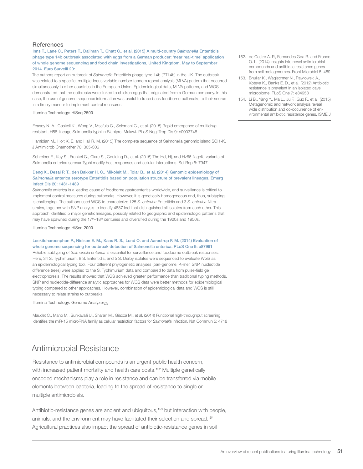#### **References**

Inns T., Lane C., Peters T., Dallman T., Chatt C., et al. (2015) A multi-country *Salmonella* Enteritidis phage type 14b outbreak associated with eggs from a German producer: 'near real-time' application of whole genome sequencing and food chain investigations, United Kingdom, May to September 2014. Euro Surveill 20:

The authors report an outbreak of *Salmonella* Enteritidis phage type 14b (PT14b) in the UK. The outbreak was related to a specific, multiple-locus variable number tandem repeat analysis (MLVA) pattern that occurred simultaneously in other countries in the European Union. Epidemiological data, MLVA patterns, and WGS demonstrated that the outbreaks were linked to chicken eggs that originated from a German company. In this case, the use of genome sequence information was useful to trace back foodborne outbreaks to their source in a timely manner to implement control measures.

Illumina Technology: HiSeq 2500

Feasey N. A., Gaskell K., Wong V., Msefula C., Selemani G., et al. (2015) Rapid emergence of multidrug resistant, H58-lineage Salmonella typhi in Blantyre, Malawi. PLoS Negl Trop Dis 9: e0003748

Hamidian M., Holt K. E. and Hall R. M. (2015) The complete sequence of Salmonella genomic island SGI1-K. J Antimicrob Chemother 70: 305-306

Schreiber F., Kay S., Frankel G., Clare S., Goulding D., et al. (2015) The Hd, Hj, and Hz66 flagella variants of Salmonella enterica serovar Typhi modify host responses and cellular interactions. Sci Rep 5: 7947

#### Deng X., Desai P. T., den Bakker H. C., Mikoleit M., Tolar B., et al. (2014) Genomic epidemiology of *Salmonella* enterica serotype Enteritidis based on population structure of prevalent lineages. Emerg Infect Dis 20: 1481-1489

*Salmonella enterica* is a leading cause of foodborne gastroenteritis worldwide, and surveillance is critical to implement control measures during outbreaks. However, it is genetically homogeneous and, thus, subtyping is challenging. The authors used WGS to characterize 125 S. *enterica* Enteritidis and 3 S. *enterica* Nitra strains, together with SNP analysis to identify 4887 loci that distinguished all isolates from each other. This approach identified 5 major genetic lineages, possibly related to geographic and epidemiologic patterns that may have spawned during the 17<sup>th</sup>–18<sup>th</sup> centuries and diversified during the 1920s and 1950s.

Illumina Technology: HiSeq 2000

#### Leekitcharoenphon P., Nielsen E. M., Kaas R. S., Lund O. and Aarestrup F. M. (2014) Evaluation of whole genome sequencing for outbreak detection of Salmonella enterica. PLoS One 9: e87991

Reliable subtyping of *Salmonella enterica* is essential for surveillance and foodborne outbreak responses. Here, 34 S. Typhimurium, 8 S. Enteritidis, and 5 S. Derby isolates were sequenced to evaluate WGS as an epidemiological typing tool. Four different phylogenetic analyses (pan-genome, K-mer, SNP, nucleotide difference trees) were applied to the S. Typhimurium data and compared to data from pulse-field gel electrophoresis. The results showed that WGS achieved greater performance than traditional typing methods. SNP and nucleotide-difference analytic approaches for WGS data were better methods for epidemiological typing compared to other approaches. However, combination of epidemiological data and WGS is still necessary to relate strains to outbreaks.

#### Illumina Technology: Genome Analyzer*IIx*

Maudet C., Mano M., Sunkavalli U., Sharan M., Giacca M., et al. (2014) Functional high-throughput screening identifies the miR-15 microRNA family as cellular restriction factors for *Salmonella* infection. Nat Commun 5: 4718

### Antimicrobial Resistance

Resistance to antimicrobial compounds is an urgent public health concern, with increased patient mortality and health care costs.<sup>152</sup> Multiple genetically encoded mechanisms play a role in resistance and can be transferred via mobile elements between bacteria, leading to the spread of resistance to single or multiple antimicrobials.

Antibiotic-resistance genes are ancient and ubiquitous,<sup>153</sup> but interaction with people, animals, and the environment may have facilitated their selection and spread.154 Agricultural practices also impact the spread of antibiotic-resistance genes in soil

- 152. de Castro A. P., Fernandes Gda R. and Franco O. L. (2014) Insights into novel antimicrobial compounds and antibiotic resistance genes from soil metagenomes. Front Microbiol 5: 489
- 153. Bhullar K., Waglechner N., Pawlowski A., Koteva K., Banks E. D., et al. (2012) Antibiotic resistance is prevalent in an isolated cave microbiome. PLoS One 7: e34953
- 154. Li B., Yang Y., Ma L., Ju F., Guo F., et al. (2015) Metagenomic and network analysis reveal wide distribution and co-occurrence of environmental antibiotic resistance genes. ISME J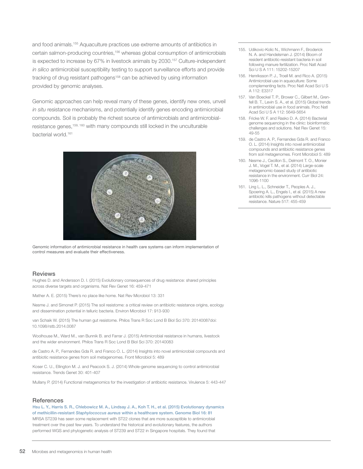and food animals.155 Aquaculture practices use extreme amounts of antibiotics in certain salmon-producing countries,156 whereas global consumption of antimicrobials is expected to increase by 67% in livestock animals by 2030.157 Culture-independent *in silico* antimicrobial susceptibility testing to support surveillance efforts and provide tracking of drug resistant pathogens<sup>158</sup> can be achieved by using information provided by genomic analyses.

Genomic approaches can help reveal many of these genes, identify new ones, unveil *in situ* resistance mechanisms, and potentially identify genes encoding antimicrobial compounds. Soil is probably the richest source of antimicrobials and antimicrobialresistance genes,159, 160 with many compounds still locked in the unculturable bacterial world.161



Genomic information of antimicrobial resistance in health care systems can inform implementation of control measures and evaluate their effectiveness.

#### **Reviews**

Hughes D. and Andersson D. I. (2015) Evolutionary consequences of drug resistance: shared principles across diverse targets and organisms. Nat Rev Genet 16: 459-471

Mather A. E. (2015) There's no place like home. Nat Rev Microbiol 13: 331

Nesme J. and Simonet P. (2015) The soil resistome: a critical review on antibiotic resistance origins, ecology and dissemination potential in telluric bacteria. Environ Microbiol 17: 913-930

van Schaik W. (2015) The human gut resistome. Philos Trans R Soc Lond B Biol Sci 370: 20140087doi: 10.1098/rstb.2014.0087

Woolhouse M., Ward M., van Bunnik B. and Farrar J. (2015) Antimicrobial resistance in humans, livestock and the wider environment. Philos Trans R Soc Lond B Biol Sci 370: 20140083

de Castro A. P., Fernandes Gda R. and Franco O. L. (2014) Insights into novel antimicrobial compounds and antibiotic resistance genes from soil metagenomes. Front Microbiol 5: 489

Koser C. U., Ellington M. J. and Peacock S. J. (2014) Whole-genome sequencing to control antimicrobial resistance. Trends Genet 30: 401-407

Mullany P. (2014) Functional metagenomics for the investigation of antibiotic resistance. Virulence 5: 443-447

#### **References**

Hsu L. Y., Harris S. R., Chlebowicz M. A., Lindsay J. A., Koh T. H., et al. (2015) Evolutionary dynamics of methicillin-resistant *Staphylococcus aureus* within a healthcare system. Genome Biol 16: 81 MRSA ST239 has seen some replacement with ST22 clones that are more susceptible to antimicrobial treatment over the past few years. To understand the historical and evolutionary features, the authors performed WGS and phylogenetic analysis of ST239 and ST22 in Singapore hospitals. They found that

- 155. Udikovic-Kolic N., Wichmann F., Broderick N. A. and Handelsman J. (2014) Bloom of resident antibiotic-resistant bacteria in soil following manure fertilization. Proc Natl Acad Sci U S A 111: 15202-15207
- 156. Henriksson P. J., Troell M. and Rico A. (2015) Antimicrobial use in aquaculture: Some complementing facts. Proc Natl Acad Sci U S A 112: E3317
- 157. Van Boeckel T. P., Brower C., Gilbert M., Grenfell B. T., Levin S. A., et al. (2015) Global trends in antimicrobial use in food animals. Proc Natl Acad Sci U S A 112: 5649-5654
- 158. Fricke W. F. and Rasko D. A. (2014) Bacterial genome sequencing in the clinic: bioinformatic challenges and solutions. Nat Rev Genet 15: 49-55
- 159. de Castro A. P., Fernandes Gda R. and Franco O. L. (2014) Insights into novel antimicrobial compounds and antibiotic resistance genes from soil metagenomes. Front Microbiol 5: 489
- 160. Nesme J., Cecillon S., Delmont T. O., Monier J. M., Vogel T. M., et al. (2014) Large-scale metagenomic-based study of antibiotic resistance in the environment. Curr Biol 24: 1096-1100
- 161. Ling L. L., Schneider T., Peoples A. J., Spoering A. L., Engels I., et al. (2015) A new antibiotic kills pathogens without detectable resistance. Nature 517: 455-459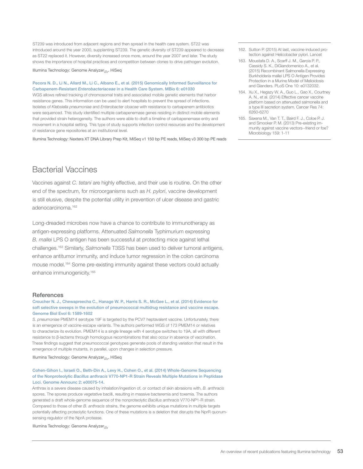ST239 was introduced from adjacent regions and then spread in the health care system. ST22 was introduced around the year 2000, supplanting ST239. The genetic diversity of ST239 appeared to decrease as ST22 replaced it. However, diversity increased once more, around the year 2007 and later. The study shows the importance of hospital practices and competition between clones to drive pathogen evolution.

Illumina Technology: Genome Analyzer*IIx*, HiSeq

#### Pecora N. D., Li N., Allard M., Li C., Albano E., et al. (2015) Genomically Informed Surveillance for Carbapenem-Resistant *Enterobacteriaceae* in a Health Care System. MBio 6: e01030

WGS allows refined tracking of chromosomal traits and associated mobile genetic elements that harbor resistance genes. This information can be used to alert hospitals to prevent the spread of infections. Isolates of *Klebsiella pneumoniae* and *Enterobacter cloacae* with resistance to carbapenem antibiotics were sequenced. This study identified multiple carbapenemase genes residing in distinct mobile elements that provided strain heterogeneity. The authors were able to draft a timeline of carbapenemase entry and movement in a hospital setting. This type of study supports infection control resources and the development of resistance gene repositories at an institutional level.

Illumina Technology: Nextera XT DNA Library Prep Kit, MiSeq v1 150 bp PE reads, MiSeq v3 300 bp PE reads

### Bacterial Vaccines

Vaccines against *C. tetani* are highly effective, and their use is routine. On the other end of the spectrum, for microorganisms such as *H. pylori*, vaccine development is still elusive, despite the potential utility in prevention of ulcer disease and gastric adenocarcinoma.162

Long-dreaded microbes now have a chance to contribute to immunotherapy as antigen-expressing platforms. Attenuated *Salmonella* Typhimurium expressing *B. mallei* LPS O antigen has been successful at protecting mice against lethal challenges.163 Similarly, *Salmonella* T3SS has been used to deliver tumoral antigens, enhance antitumor immunity, and induce tumor regression in the colon carcinoma mouse model.164 Some pre-existing immunity against these vectors could actually enhance immunogenicity.<sup>165</sup>

#### **References**

#### Croucher N. J., Chewapreecha C., Hanage W. P., Harris S. R., McGee L., et al. (2014) Evidence for soft selective sweeps in the evolution of pneumococcal multidrug resistance and vaccine escape. Genome Biol Evol 6: 1589-1602

*S. pneumoniae* PMEM14 serotype 19F is targeted by the PCV7 heptavalent vaccine. Unfortunately, there is an emergence of vaccine-escape variants. The authors performed WGS of 173 PMEM14 or relatives to characterize its evolution. PMEM14 is a single lineage with 4 serotype switches to 19A, all with different resistance to β-lactams through homologous recombinations that also occur in absence of vaccination. These findings suggest that pneumococcal genotypes generate pools of standing variation that result in the emergence of multiple mutants, in parallel, upon changes in selection pressure.

#### Illumina Technology: Genome Analyzer*IIx*, HiSeq

#### Cohen-Gihon I., Israeli O., Beth-Din A., Levy H., Cohen O., et al. (2014) Whole-Genome Sequencing of the Nonproteolytic *Bacillus anthracis* V770-NP1-R Strain Reveals Multiple Mutations in Peptidase Loci. Genome Announc 2: e00075-14.

Anthrax is a severe disease caused by inhalation/ingestion of, or contact of skin abrasions with, *B. anthracis* spores. The spores produce vegetative bacilli, resulting in massive bacteremia and toxemia. The authors generated a draft whole-genome sequence of the nonproteolytic *Bacillus anthracis* V770-NP1-R strain. Compared to those of other *B. anthracis* strains, the genome exhibits unique mutations in multiple targets potentially affecting proteolytic functions. One of these mutations is a deletion that disrupts the NprR quorumsensing regulator of the NprA protease.

Illumina Technology: Genome Analyzer*IIx*

- 162. Sutton P. (2015) At last, vaccine-induced protection against Helicobacter pylori. Lancet
- 163. Moustafa D. A., Scarff J. M., Garcia P. P., Cassidy S. K., DiGiandomenico A., et al. (2015) Recombinant Salmonella Expressing Burkholderia mallei LPS O Antigen Provides Protection in a Murine Model of Melioidosis and Glanders. PLoS One 10: e0132032.
- 164. Xu X., Hegazy W. A., Guo L., Gao X., Courtney A. N., et al. (2014) Effective cancer vaccine platform based on attenuated salmonella and a type III secretion system. Cancer Res 74: 6260-6270
- 165. Saxena M., Van T. T., Baird F. J., Coloe P. J. and Smooker P. M. (2013) Pre-existing immunity against vaccine vectors--friend or foe? Microbiology 159: 1-11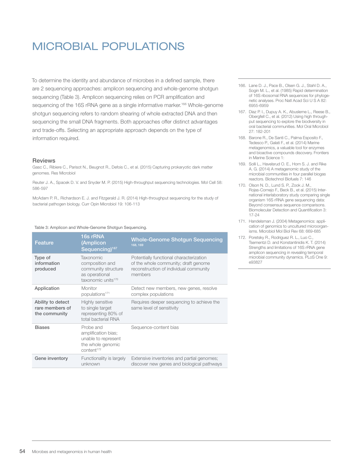# MICROBIAL POPULATIONS

To determine the identity and abundance of microbes in a defined sample, there are 2 sequencing approaches: amplicon sequencing and whole-genome shotgun sequencing (Table 3). Amplicon sequencing relies on PCR amplification and sequencing of the 16S rRNA gene as a single informative marker.<sup>166</sup> Whole-genome shotgun sequencing refers to random shearing of whole extracted DNA and then sequencing the small DNA fragments. Both approaches offer distinct advantages and trade-offs. Selecting an appropriate approach depends on the type of information required.

#### Reviews

Gasc C., Ribiere C., Parisot N., Beugnot R., Defois C., et al. (2015) Capturing prokaryotic dark matter genomes. Res Microbiol

Reuter J. A., Spacek D. V. and Snyder M. P. (2015) High-throughput sequencing technologies. Mol Cell 58: 586-597

McAdam P. R., Richardson E. J. and Fitzgerald J. R. (2014) High-throughput sequencing for the study of bacterial pathogen biology. Curr Opin Microbiol 19: 106-113

#### Table 3: Amplicon and Whole-Genome Shotgun Sequencing.

| Feature                                               | 16s rRNA<br>(Amplicon<br>Sequencing) <sup>167</sup>                                                            | <b>Whole-Genome Shotgun Sequencing</b><br>168, 169                                                                                   |
|-------------------------------------------------------|----------------------------------------------------------------------------------------------------------------|--------------------------------------------------------------------------------------------------------------------------------------|
| Type of<br>information<br>produced                    | <b>Taxonomic</b><br>composition and<br>community structure<br>as operational<br>taxonomic units <sup>170</sup> | Potentially functional characterization<br>of the whole community; draft genome<br>reconstruction of individual community<br>members |
| Application                                           | Monitor<br>populations <sup>171</sup>                                                                          | Detect new members, new genes, resolve<br>complex populations                                                                        |
| Ability to detect<br>rare members of<br>the community | Highly sensitive<br>to single target<br>representing 80% of<br>total bacterial RNA                             | Requires deeper sequencing to achieve the<br>same level of sensitivity                                                               |
| <b>Biases</b>                                         | Probe and<br>amplification bias;<br>unable to represent<br>the whole genomic<br>content <sup>172</sup>         | Sequence-content bias                                                                                                                |
| Gene inventory                                        | Functionality is largely<br>unknown                                                                            | Extensive inventories and partial genomes;<br>discover new genes and biological pathways                                             |

- 166. Lane D. J., Pace B., Olsen G. J., Stahl D. A., Sogin M. L., et al. (1985) Rapid determination of 16S ribosomal RNA sequences for phylogenetic analyses. Proc Natl Acad Sci U S A 82: 6955-6959
- 167. Diaz P. I., Dupuy A. K., Abusleme L., Reese B., Obergfell C., et al. (2012) Using high throughput sequencing to explore the biodiversity in oral bacterial communities. Mol Oral Microbiol 27: 182-201
- 168. Barone R., De Santi C., Palma Esposito F., Tedesco P., Galati F., et al. (2014) Marine metagenomics, a valuable tool for enzymes and bioactive compounds discovery. Frontiers in Marine Science 1:
- 169. Solli L., Havelsrud O. E., Horn S. J. and Rike A. G. (2014) A metagenomic study of the microbial communities in four parallel biogas reactors. Biotechnol Biofuels 7: 146
- 170. Olson N. D., Lund S. P., Zook J. M., Rojas-Cornejo F., Beck B., et al. (2015) International interlaboratory study comparing single organism 16S rRNA gene sequencing data: Beyond consensus sequence comparisons. Biomolecular Detection and Quantification 3: 17-24
- 171. Handelsman J. (2004) Metagenomics: application of genomics to uncultured microorganisms. Microbiol Mol Biol Rev 68: 669-685
- 172. Poretsky R., Rodriguez R. L., Luo C. Tsementzi D. and Konstantinidis K. T. (2014) Strengths and limitations of 16S rRNA gene amplicon sequencing in revealing temporal microbial community dynamics. PLoS One 9: e93827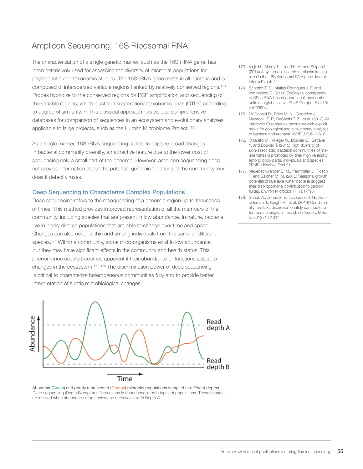## Amplicon Sequencing: 16S Ribosomal RNA

The characterization of a single genetic marker, such as the 16S rRNA gene, has been extensively used for assessing the diversity of microbial populations for phylogenetic and taxonomic studies. The 16S rRNA gene exists in all bacteria and is composed of interspersed variable regions flanked by relatively conserved regions.173 Probes hybridize to the conserved regions for PCR amplification and sequencing of the variable regions, which cluster into operational taxonomic units (OTUs) according to degree of similarity.<sup>174</sup> This classical approach has yielded comprehensive databases for comparison of sequences in an ecosystem and evolutionary analyses applicable to large projects, such as the Human Microbiome Project.<sup>175</sup>

As a single marker, 16S rRNA sequencing is able to capture broad changes in bacterial community diversity, an attractive feature due to the lower cost of sequencing only a small part of the genome. However, amplicon sequencing does not provide information about the potential genomic functions of the community, nor does it detect viruses.

#### Deep Sequencing to Characterize Complex Populations

Deep sequencing refers to the resequencing of a genomic region up to thousands of times. This method provides improved representation of all the members of the community, including species that are present in low abundance. In nature, bacteria live in highly diverse populations that are able to change over time and space. Changes can also occur within and among individuals from the same or different species.<sup>176</sup> Within a community, some microorganisms exist in low abundance, but they may have significant effects in the community and health status. This phenomenon usually becomes apparent if their abundance or functions adjust to changes in the ecosystem.177, 178 The discrimination power of deep sequencing is critical to characterize heterogeneous communities fully and to provide better interpretation of subtle microbiological changes.



Abundant (Green) and poorly represented (Orange) microbial populations sampled at different depths. Deep sequencing (Depth B) captures fluctuations in abundance in both types of populations. These changes are missed when abundance drops below the detection limit in Depth A.

- 173. Vinje H., Almoy T., Liland K. H. and Snipen L. (2014) A systematic search for discriminating sites in the 16S ribosomal RNA gene. Microb Inform Exp 4: 2
- 174. Schmidt T. S., Matias Rodrigues J. F. and von Mering C. (2014) Ecological consistency of SSU rRNA-based operational taxonomic units at a global scale. PLoS Comput Biol 10: e1003594
- 175. McDonald D., Price M. N., Goodrich J., Nawrocki E. P., DeSantis T. Z., et al. (2012) An improved Greengenes taxonomy with explicit ranks for ecological and evolutionary analyses of bacteria and archaea. ISME J 6: 610-618
- 176. Chiarello M., Villeger S., Bouvier C., Bettarel Y. and Bouvier T. (2015) High diversity of skin-associated bacterial communities of marine fishes is promoted by their high variability among body parts, individuals and species. FEMS Microbiol Ecol 91:
- 177. Neuenschwander S. M., Pernthaler J., Posch T. and Salcher M. M. (2015) Seasonal growth potential of rare lake water bacteria suggest their disproportional contribution to carbon fluxes. Environ Microbiol 17: 781-795
- 178. Shade A., Jones S. E., Caporaso J. G., Handelsman J., Knight R., et al. (2014) Conditionally rare taxa disproportionately contribute to temporal changes in microbial diversity. MBio 5: e01371-01314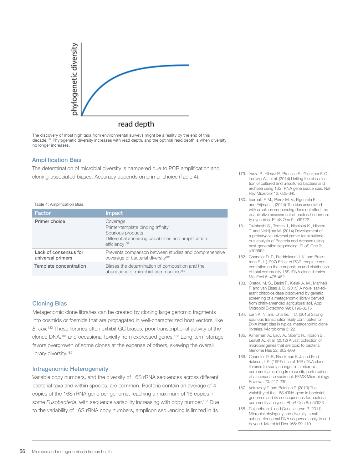

The discovery of most high taxa from environmental surveys might be a reality by the end of this decade.179 Phylogenetic diversity increases with read depth, and the optimal read depth is when diversity no longer increases.

#### Amplification Bias

The determination of microbial diversity is hampered due to PCR amplification and cloning-associated biases. Accuracy depends on primer choice (Table 4).

#### Table 4: Amplification Bias.

| Factor                                     | Impact                                                                                                                                                  |
|--------------------------------------------|---------------------------------------------------------------------------------------------------------------------------------------------------------|
| Primer choice                              | Coverage<br>Primer-template binding affinity<br>Spurious products<br>Differential annealing capabilities and amplification<br>efficiency <sup>180</sup> |
| Lack of consensus for<br>universal primers | Prevents comparison between studies and comprehensive<br>coverage of bacterial diversity <sup>181</sup>                                                 |
| Template concentration                     | Biases the determination of composition and the<br>abundance of microbial communities <sup>182</sup>                                                    |

#### Cloning Bias

Metagenomic clone libraries can be created by cloning large genomic fragments into cosmids or fosmids that are propagated in well-characterized host vectors, like *E. coli.*183 These libraries often exhibit GC biases, poor transcriptional activity of the cloned DNA,184 and occasional toxicity from expressed genes.185 Long-term storage favors overgrowth of some clones at the expense of others, skewing the overall library diversity.<sup>186</sup>

#### Intragenomic Heterogeneity

Variable copy numbers, and the diversity of 16S rRNA sequences across different bacterial taxa and within species, are common. Bacteria contain an average of 4 copies of the 16S rRNA gene per genome, reaching a maximum of 15 copies in some *Fusobacteria*, with sequence variability increasing with copy number.<sup>187</sup> Due to the variability of 16S rRNA copy numbers, amplicon sequencing is limited in its

- 179. Yarza P., Yilmaz P., Pruesse E., Glockner F. O., Ludwig W., et al. (2014) Uniting the classification of cultured and uncultured bacteria and archaea using 16S rRNA gene sequences. Nat Rev Microbiol 12: 635-645
- 180. Ibarbalz F. M., Perez M. V., Figuerola E. L. and Erijman L. (2014) The bias associated with amplicon sequencing does not affect the quantitative assessment of bacterial community dynamics. PLoS One 9: e99722
- 181. Takahashi S., Tomita J., Nishioka K., Hisada T. and Nishijima M. (2014) Development of a prokaryotic universal primer for simultaneous analysis of Bacteria and Archaea using next-generation sequencing. PLoS One 9: e105592
- 182. Chandler D. P., Fredrickson J. K. and Brockman F. J. (1997) Effect of PCR template concentration on the composition and distribution of total community 16S rDNA clone libraries. Mol Ecol 6: 475-482
- 183. Cretoiu M. S., Berini F., Kielak A. M., Marinelli F. and van Elsas J. D. (2015) A novel salt-tolerant chitobiosidase discovered by genetic screening of a metagenomic library derived from chitin-amended agricultural soil. Appl Microbiol Biotechnol 99: 8199-8215
- 184. Lam K. N. and Charles T. C. (2015) Strong spurious transcription likely contributes to DNA insert bias in typical metagenomic clone libraries. Microbiome 3: 22
- 185. Kimelman A., Levy A., Sberro H., Kidron S., Leavitt A., et al. (2012) A vast collection of microbial genes that are toxic to bacteria. Genome Res 22: 802-809
- 186. Chandler D. P., Brockman F. J. and Fredrickson J. K. (1997) Use of 16S rDNA clone libraries to study changes in a microbial community resulting from ex situ perturbation of a subsurface sediment. FEMS Microbiology Reviews 20: 217-230
- 187. Vetrovsky T. and Baldrian P. (2013) The variability of the 16S rRNA gene in bacterial genomes and its consequences for bacterial community analyses. PLoS One 8: e57923
- 188. Rajendhran J. and Gunasekaran P. (2011) Microbial phylogeny and diversity: small subunit ribosomal RNA sequence analysis and beyond. Microbiol Res 166: 99-110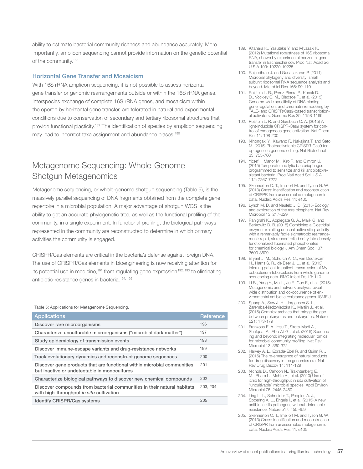ability to estimate bacterial community richness and abundance accurately. More importantly, amplicon sequencing cannot provide information on the genetic potential of the community.<sup>188</sup>

#### Horizontal Gene Transfer and Mosaicism

With 16S rRNA amplicon sequencing, it is not possible to assess horizontal gene transfer or genomic rearrangements outside or within the 16S rRNA genes. Interspecies exchange of complete 16S rRNA genes, and mosaicism within the operon by horizontal gene transfer, are tolerated in natural and experimental conditions due to conservation of secondary and tertiary ribosomal structures that provide functional plasticity.<sup>189</sup> The identification of species by amplicon sequencing may lead to incorrect taxa assignment and abundance biases.<sup>190</sup>

## Metagenome Sequencing: Whole-Genome Shotgun Metagenomics

Metagenome sequencing, or whole-genome shotgun sequencing (Table 5), is the massively parallel sequencing of DNA fragments obtained from the complete gene repertoire in a microbial population. A major advantage of shotgun WGS is the ability to get an accurate phylogenetic tree, as well as the functional profiling of the community, in a single experiment. In functional profiling, the biological pathways represented in the community are reconstructed to determine in which primary activities the community is engaged.

CRISPR/Cas elements are critical in the bacteria's defense against foreign DNA. The use of CRISPR/Cas elements in bioengineering is now receiving attention for its potential use in medicine,<sup>191</sup> from regulating gene expression<sup>192, 193</sup> to eliminating antibiotic-resistance genes in bacteria.194, 195

#### Table 5: Applications for Metagenome Sequencing.

| <b>Applications</b>                                                                                                     | Reference |
|-------------------------------------------------------------------------------------------------------------------------|-----------|
| Discover rare microorganisms                                                                                            | 196       |
| Characterize unculturable microorganisms ("microbial dark matter")                                                      | 197       |
| Study epidemiology of transmission events                                                                               | 198       |
| Discover immune-escape variants and drug-resistance networks                                                            | 199       |
| Track evolutionary dynamics and reconstruct genome sequences                                                            | 200       |
| Discover gene products that are functional within microbial communities<br>but inactive or undetectable in monocultures | 201       |
| Characterize biological pathways to discover new chemical compounds                                                     | 202       |
| Discover compounds from bacterial communities in their natural habitats<br>with high-throughput in situ cultivation     | 203.204   |
| <b>Identify CRISPR/Cas systems</b>                                                                                      | 205       |

- 189. Kitahara K., Yasutake Y. and Miyazaki K. (2012) Mutational robustness of 16S ribosomal RNA, shown by experimental horizontal gene transfer in Escherichia coli. Proc Natl Acad Sci U S A 109: 19220-19225
- 190. Rajendhran J. and Gunasekaran P. (2011) Microbial phylogeny and diversity: small subunit ribosomal RNA sequence analysis and beyond. Microbiol Res 166: 99-110
- 191. Polstein L. R., Perez-Pinera P., Kocak D. D., Vockley C. M., Bledsoe P., et al. (2015) Genome-wide specificity of DNA binding, gene regulation, and chromatin remodeling by TALE- and CRISPR/Cas9-based transcriptional activators. Genome Res 25: 1158-1169
- 192. Polstein L. R. and Gersbach C. A. (2015) A light-inducible CRISPR-Cas9 system for control of endogenous gene activation. Nat Chem Biol 11: 198-200
- 193. Nihongaki Y., Kawano F., Nakajima T. and Sato M. (2015) Photoactivatable CRISPR-Cas9 for optogenetic genome editing. Nat Biotechnol 33: 755-760
- 194. Yosef I., Manor M., Kiro R. and Qimron U. (2015) Temperate and lytic bacteriophages programmed to sensitize and kill antibiotic-resistant bacteria. Proc Natl Acad Sci U S A 112: 7267-7272
- 195. Skennerton C. T., Imelfort M. and Tyson G. W. (2013) Crass: identification and reconstruction of CRISPR from unassembled metagenomic data. Nucleic Acids Res 41: e105
- 196. Lynch M. D. and Neufeld J. D. (2015) Ecology and exploration of the rare biosphere. Nat Rev Microbiol 13: 217-229
- 197. Panigrahi K., Applegate G. A., Malik G. and Berkowitz D. B. (2015) Combining a Clostridial enzyme exhibiting unusual active site plasticity with a remarkably facile sigmatropic rearrangement: rapid, stereocontrolled entry into densely functionalized fluorinated phosphonates for chemical biology. J Am Chem Soc 137: 3600-3609
- 198. Bryant J. M., Schurch A. C., van Deutekom H., Harris S. R., de Beer J. L., et al. (2013) Inferring patient to patient transmission of Mycobacterium tuberculosis from whole genome sequencing data. BMC Infect Dis 13: 110
- 199. Li B., Yang Y., Ma L., Ju F., Guo F., et al. (2015) Metagenomic and network analysis reveal wide distribution and co-occurrence of environmental antibiotic resistance genes. ISME J
- 200. Spang A., Saw J. H., Jorgensen S. L., Zaremba-Niedzwiedzka K., Martijn J., et al. (2015) Complex archaea that bridge the gap between prokaryotes and eukaryotes. Nature 521: 173-179
- 201. Franzosa E. A., Hsu T., Sirota-Madi A., Shafquat A., Abu-Ali G., et al. (2015) Sequencing and beyond: integrating molecular 'omics' for microbial community profiling. Nat Rev Microbiol 13: 360-372
- 202. Harvey A. L., Edrada-Ebel R. and Quinn R. J. (2015) The re-emergence of natural products for drug discovery in the genomics era. Nat Rev Drug Discov 14: 111-129
- 203. Nichols D., Cahoon N., Trakhtenberg E. M., Pham L., Mehta A., et al. (2010) Use of ichip for high-throughput in situ cultivation of "uncultivable" microbial species. Appl Environ Microbiol 76: 2445-2450
- 204. Ling L. L., Schneider T., Peoples A. J., Spoering A. L., Engels I., et al. (2015) A new antibiotic kills pathogens without detectable resistance. Nature 517: 455-459
- 205. Skennerton C. T., Imelfort M. and Tyson G. W. (2013) Crass: identification and reconstruction of CRISPR from unassembled metagenomic data. Nucleic Acids Res 41: e105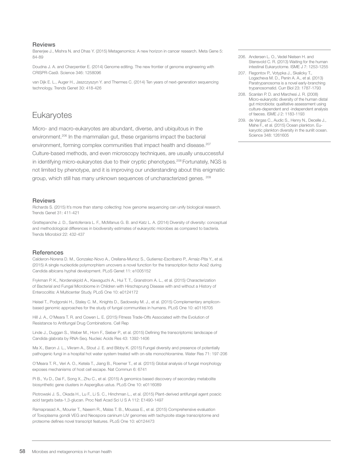#### Reviews

Banerjee J., Mishra N. and Dhas Y. (2015) Metagenomics: A new horizon in cancer research. Meta Gene 5: 84-89

Doudna J. A. and Charpentier E. (2014) Genome editing. The new frontier of genome engineering with CRISPR-Cas9. Science 346: 1258096

van Dijk E. L., Auger H., Jaszczyszyn Y. and Thermes C. (2014) Ten years of next-generation sequencing technology. Trends Genet 30: 418-426

## **Eukaryotes**

Micro- and macro-eukaryotes are abundant, diverse, and ubiquitous in the environment.206 In the mammalian gut, these organisms impact the bacterial environment, forming complex communities that impact health and disease.<sup>207</sup> Culture-based methods, and even microscopy techniques, are usually unsuccessful in identifying micro-eukaryotes due to their cryptic phenotypes.<sup>208</sup> Fortunately, NGS is not limited by phenotype, and it is improving our understanding about this enigmatic group, which still has many unknown sequences of uncharacterized genes. <sup>209</sup>

#### **Reviews**

Richards S. (2015) It's more than stamp collecting: how genome sequencing can unify biological research. Trends Genet 31: 411-421

Grattepanche J. D., Santoferrara L. F., McManus G. B. and Katz L. A. (2014) Diversity of diversity: conceptual and methodological differences in biodiversity estimates of eukaryotic microbes as compared to bacteria. Trends Microbiol 22: 432-437

#### **References**

Calderon-Norena D. M., Gonzalez-Novo A., Orellana-Munoz S., Gutierrez-Escribano P., Arnaiz-Pita Y., et al. (2015) A single nucleotide polymorphism uncovers a novel function for the transcription factor Ace2 during Candida albicans hyphal development. PLoS Genet 11: e1005152

Frykman P. K., Nordenskjold A., Kawaguchi A., Hui T. T., Granstrom A. L., et al. (2015) Characterization of Bacterial and Fungal Microbiome in Children with Hirschsprung Disease with and without a History of Enterocolitis: A Multicenter Study. PLoS One 10: e0124172

Heisel T., Podgorski H., Staley C. M., Knights D., Sadowsky M. J., et al. (2015) Complementary ampliconbased genomic approaches for the study of fungal communities in humans. PLoS One 10: e0116705

Hill J. A., O'Meara T. R. and Cowen L. E. (2015) Fitness Trade-Offs Associated with the Evolution of Resistance to Antifungal Drug Combinations. Cell Rep

Linde J., Duggan S., Weber M., Horn F., Sieber P., et al. (2015) Defining the transcriptomic landscape of Candida glabrata by RNA-Seq. Nucleic Acids Res 43: 1392-1406

Ma X., Baron J. L., Vikram A., Stout J. E. and Bibby K. (2015) Fungal diversity and presence of potentially pathogenic fungi in a hospital hot water system treated with on-site monochloramine. Water Res 71: 197-206

O'Meara T. R., Veri A. O., Ketela T., Jiang B., Roemer T., et al. (2015) Global analysis of fungal morphology exposes mechanisms of host cell escape. Nat Commun 6: 6741

Pi B., Yu D., Dai F., Song X., Zhu C., et al. (2015) A genomics based discovery of secondary metabolite biosynthetic gene clusters in Aspergillus ustus. PLoS One 10: e0116089

Piotrowski J. S., Okada H., Lu F., Li S. C., Hinchman L., et al. (2015) Plant-derived antifungal agent poacic acid targets beta-1,3-glucan. Proc Natl Acad Sci U S A 112: E1490-1497

Ramaprasad A., Mourier T., Naeem R., Malas T. B., Moussa E., et al. (2015) Comprehensive evaluation of Toxoplasma gondii VEG and Neospora caninum LIV genomes with tachyzoite stage transcriptome and proteome defines novel transcript features. PLoS One 10: e0124473

- 206. Andersen L. O., Vedel Nielsen H. and Stensvold C. R. (2013) Waiting for the human intestinal Eukaryotome. ISME J 7: 1253-1255
- 207. Flegontov P., Votypka J., Skalicky T., Logacheva M. D., Penin A. A., et al. (2013) Paratrypanosoma is a novel early-branching trypanosomatid. Curr Biol 23: 1787-1793
- 208. Scanlan P. D. and Marchesi J. R. (2008) Micro-eukaryotic diversity of the human distal gut microbiota: qualitative assessment using culture-dependent and -independent analysis of faeces. ISME J 2: 1183-1193
- 209. de Vargas C., Audic S., Henry N., Decelle J., Mahe F., et al. (2015) Ocean plankton. Eukaryotic plankton diversity in the sunlit ocean. Science 348: 1261605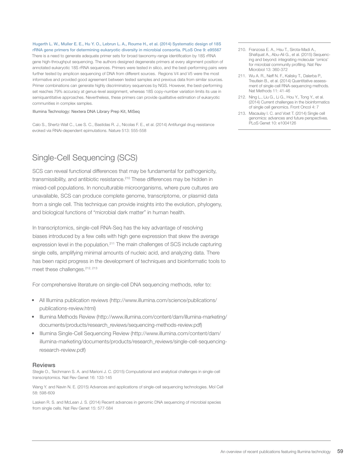Hugerth L. W., Muller E. E., Hu Y. O., Lebrun L. A., Roume H., et al. (2014) Systematic design of 18S rRNA gene primers for determining eukaryotic diversity in microbial consortia. PLoS One 9: e95567

There is a need to generate adequate primer sets for broad taxonomy-range identification by 18S rRNA gene high-throughput sequencing. The authors designed degenerate primers at every alignment position of annotated eukaryotic 18S rRNA sequences. Primers were tested in silico, and the best-performing pairs were further tested by amplicon sequencing of DNA from different sources. Regions V4 and V5 were the most informative and provided good agreement between tested samples and previous data from similar sources. Primer combinations can generate highly discriminatory sequences by NGS. However, the best-performing set reaches 79% accuracy at genus-level assignment, whereas 18S copy-number variation limits its use in semiquantitative approaches. Nevertheless, these primers can provide qualitative estimation of eukaryotic communities in complex samples.

#### Illumina Technology: Nextera DNA Library Prep Kit, MiSeq

Calo S., Shertz-Wall C., Lee S. C., Bastidas R. J., Nicolas F. E., et al. (2014) Antifungal drug resistance evoked via RNAi-dependent epimutations. Nature 513: 555-558

## Single-Cell Sequencing (SCS)

SCS can reveal functional differences that may be fundamental for pathogenicity, transmissibility, and antibiotic resistance.<sup>210</sup> These differences may be hidden in mixed-cell populations. In nonculturable microorganisms, where pure cultures are unavailable, SCS can produce complete genome, transcriptome, or plasmid data from a single cell. This technique can provide insights into the evolution, phylogeny, and biological functions of "microbial dark matter" in human health.

In transcriptomics, single-cell RNA-Seq has the key advantage of resolving biases introduced by a few cells with high gene expression that skew the average expression level in the population.<sup>211</sup> The main challenges of SCS include capturing single cells, amplifying minimal amounts of nucleic acid, and analyzing data. There has been rapid progress in the development of techniques and bioinformatic tools to meet these challenges.<sup>212, 213</sup>

For comprehensive literature on single-cell DNA sequencing methods, refer to:

- All Illumina publication reviews (http://www.illumina.com/science/publications/ publications-review.html)
- Illumina Methods Review (http://www.illumina.com/content/dam/illumina-marketing/ documents/products/research\_reviews/sequencing-methods-review.pdf)
- Illumina Single-Cell Sequencing Review (http://www.illumina.com/content/dam/ illumina-marketing/documents/products/research\_reviews/single-cell-sequencingresearch-review.pdf)

#### Reviews

Stegle O., Teichmann S. A. and Marioni J. C. (2015) Computational and analytical challenges in single-cell transcriptomics. Nat Rev Genet 16: 133-145

Wang Y. and Navin N. E. (2015) Advances and applications of single-cell sequencing technologies. Mol Cell 58: 598-609

Lasken R. S. and McLean J. S. (2014) Recent advances in genomic DNA sequencing of microbial species from single cells. Nat Rev Genet 15: 577-584

- 210. Franzosa E. A., Hsu T., Sirota-Madi A., Shafquat A., Abu-Ali G., et al. (2015) Sequencing and beyond: integrating molecular 'omics' for microbial community profiling. Nat Rev Microbiol 13: 360-372
- 211. Wu A. R., Neff N. F., Kalisky T., Dalerba P., Treutlein B., et al. (2014) Quantitative assessment of single-cell RNA-sequencing methods. Nat Methods 11: 41-46
- 212. Ning L., Liu G., Li G., Hou Y., Tong Y., et al. (2014) Current challenges in the bioinformatics of single cell genomics. Front Oncol 4: 7
- 213. Macaulay I. C. and Voet T. (2014) Single cell genomics: advances and future perspectives. PLoS Genet 10: e1004126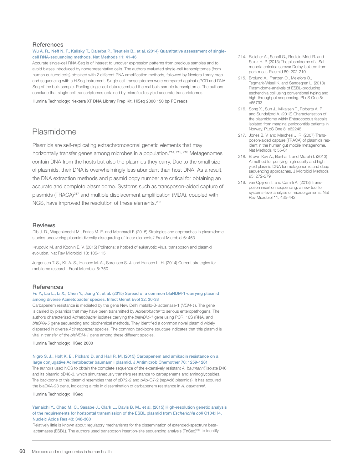#### **References**

#### Wu A. R., Neff N. F., Kalisky T., Dalerba P., Treutlein B., et al. (2014) Quantitative assessment of singlecell RNA-sequencing methods. Nat Methods 11: 41-46

Accurate single-cell RNA-Seq is of interest to uncover expression patterns from precious samples and to avoid biases introduced by nonrepresentative cells. The authors evaluated single-cell transcriptomes (from human cultured cells) obtained with 2 different RNA amplification methods, followed by Nextera library prep and sequencing with a HiSeq instrument. Single-cell transcriptomes were compared against qPCR and RNA-Seq of the bulk sample. Pooling single-cell data resembled the real bulk sample transcriptome. The authors conclude that single-cell transcriptomes obtained by microfluidics yield accurate transcriptomes.

Illumina Technology: Nextera XT DNA Library Prep Kit, HiSeq 2000 150 bp PE reads

### Plasmidome

Plasmids are self-replicating extrachromosomal genetic elements that may horizontally transfer genes among microbes in a population.<sup>214, 215, 216</sup> Metagenomes contain DNA from the hosts but also the plasmids they carry. Due to the small size of plasmids, their DNA is overwhelmingly less abundant than host DNA. As a result, the DNA extraction methods and plasmid copy number are critical for obtaining an accurate and complete plasmidome. Systems such as transposon-aided capture of plasmids (TRACA)<sup>217</sup> and multiple displacement amplification (MDA), coupled with NGS, have improved the resolution of these elements.<sup>218</sup>

#### Reviews

Dib J. R., Wagenknecht M., Farias M. E. and Meinhardt F. (2015) Strategies and approaches in plasmidome studies-uncovering plasmid diversity disregarding of linear elements? Front Microbiol 6: 463

Krupovic M. and Koonin E. V. (2015) Polintons: a hotbed of eukaryotic virus, transposon and plasmid evolution. Nat Rev Microbiol 13: 105-115

Jorgensen T. S., Kiil A. S., Hansen M. A., Sorensen S. J. and Hansen L. H. (2014) Current strategies for mobilome research. Front Microbiol 5: 750

#### **References**

#### Fu Y., Liu L., Li X., Chen Y., Jiang Y., et al. (2015) Spread of a common blaNDM-1-carrying plasmid among diverse Acinetobacter species. Infect Genet Evol 32: 30-33

Carbapenem resistance is mediated by the gene New Delhi metallo-β-lactamase-1 (*NDM-1*). The gene is carried by plasmids that may have been transmitted by *Acinetobacter* to serious enteropathogens. The authors characterized *Acinetobacter* isolates carrying the *blaNDM-1* gene using PCR, 16S rRNA, and *blaOXA-5* gene sequencing and biochemical methods. They identified a common novel plasmid widely dispersed in diverse *Acinetobacter* species. The common backbone structure indicates that this plasmid is vital in transfer of the *blaNDM-1* gene among these different species.

Illumina Technology: HiSeq 2000

#### Nigro S. J., Holt K. E., Pickard D. and Hall R. M. (2015) Carbapenem and amikacin resistance on a large conjugative Acinetobacter baumannii plasmid. J Antimicrob Chemother 70: 1259-1261

The authors used NGS to obtain the complete sequence of the extensively resistant *A. baumannii* isolate D46 and its plasmid pD46-3, which simultaneously transfers resistance to carbapenems and aminoglycosides. The backbone of this plasmid resembles that of pD72-2 and pAb-G7-2 (repAci6 plasmids). It has acquired the blaOXA-23 gene, indicating a role in dissemination of carbapenem resistance in *A. baumannii*.

Illumina Technology: HiSeq

#### Yamaichi Y., Chao M. C., Sasabe J., Clark L., Davis B. M., et al. (2015) High-resolution genetic analysis of the requirements for horizontal transmission of the ESBL plasmid from *Escherichia coli* O104:H4. Nucleic Acids Res 43: 348-360

Relatively little is known about regulatory mechanisms for the dissemination of extended-spectrum betalactamases (ESBL). The authors used transposon insertion-site sequencing analysis (TnSeq)<sup>219</sup> to identify

- 214. Bleicher A., Schofl G., Rodicio Mdel R. and Saluz H. P. (2013) The plasmidome of a Salmonella enterica serovar Derby isolated from pork meat. Plasmid 69: 202-210
- 215. Brolund A., Franzen O., Melefors O., Tegmark-Wisell K. and Sandegren L. (2013) Plasmidome-analysis of ESBL-producing escherichia coli using conventional typing and high-throughput sequencing. PLoS One 8: e65793
- 216. Song X., Sun J., Mikalsen T., Roberts A. P. and Sundsfjord A. (2013) Characterisation of the plasmidome within Enterococcus faecalis isolated from marginal periodontitis patients in Norway. PLoS One 8: e62248
- 217. Jones B. V. and Marchesi J. R. (2007) Transposon-aided capture (TRACA) of plasmids resident in the human gut mobile metagenome. Nat Methods 4: 55-61
- 218. Brown Kav A., Benhar I. and Mizrahi I. (2013) A method for purifying high quality and high yield plasmid DNA for metagenomic and deep sequencing approaches. J Microbiol Methods 95: 272-279
- 219. van Opijnen T. and Camilli A. (2013) Transposon insertion sequencing: a new tool for systems-level analysis of microorganisms. Nat Rev Microbiol 11: 435-442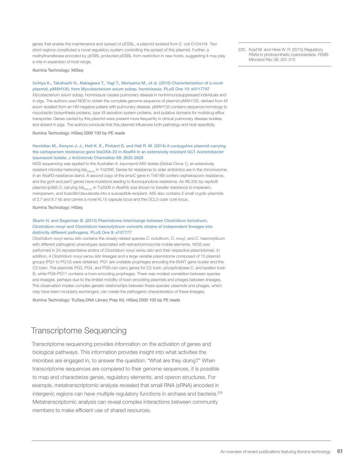genes that enable the maintenance and spread of pESBL, a plasmid isolated from *E. coli* O104:H4. Two short regions constituted a novel regulatory system controlling the spread of this plasmid. Further, a methyltransferase encoded by pESBL protected pESBL from restriction in new hosts, suggesting it may play a role in expansion of host range.

Illumina Technology: MiSeq

#### Uchiya K., Takahashi H., Nakagawa T., Yagi T., Moriyama M., et al. (2015) Characterization of a novel plasmid, pMAH135, from Mycobacterium avium subsp. hominissuis. PLoS One 10: e0117797

*Mycobacterium avium* subsp. hominissuis causes pulmonary disease in nonimmunosuppressed individuals and in pigs. The authors used NGS to obtain the complete genome sequence of plasmid pMAH135, derived from *M. avium* isolated from an HIV-negative patient with pulmonary disease. pMAH135 contains sequence homology to mycobactin biosynthesis proteins, type VII secretion system proteins, and putative domains for multidrug efflux transporter. Genes carried by this plasmid were present more frequently in clinical pulmonary disease isolates and absent in pigs. The authors conclude that this plasmid influences both pathology and host specificity.

#### Illumina Technology: HiSeq 2000 100 bp PE reads

#### Hamidian M., Kenyon J. J., Holt K. E., Pickard D. and Hall R. M. (2014) A conjugative plasmid carrying the carbapenem resistance gene blaOXA-23 in AbaR4 in an extensively resistant GC1 Acinetobacter baumannii isolate. J Antimicrob Chemother 69: 2625-2628

NGS sequencing was applied to the Australian *A. baumannii* A85 isolate (Global Clone 1), an extensively resistant microbe harboring bla<sub>OXA-23</sub> in Tn2006. Genes for resistance to older antibiotics are in the chromosome, in an AbaR3 resistance island. A second copy of the *ampC* gene in Tn6168 confers cephalosporin resistance, and the *gyrA* and *parC* genes have mutations leading to fluoroquinolone resistance. An 86,335 bp repAci6 plasmid (pA85-3, carrying bla<sub>oxa-23</sub> in Tn2006 in AbaR4) was shown to transfer resistance to imipenem, meropenem, and ticarcillin/clavulanate into a susceptible recipient. A85 also contains 2 small cryptic plasmids of 2.7 and 8.7 kb and carries a novel KL15 capsule locus and the OCL3 outer core locus.

Illumina Technology: HiSeq

#### Skarin H. and Segerman B. (2014) Plasmidome interchange between *Clostridium botulinum*, *Clostridium novyi* and *Clostridium haemolyticum* converts strains of independent lineages into distinctly different pathogens. PLoS One 9: e107777

*Clostridium novyi sensu lato* contains the closely related species *C. botulinum*, *C. novyi*, and *C. haemolyticum* with different pathogenic phenotypes associated with extrachromosomal mobile elements. WGS was performed in 24 representative strains of *Clostridium novyi sensu lato* and their respective plasmidomes. In addition, 4 *Clostridium novyi sensu lato* lineages and a large variable plasmidome composed of 13 plasmid groups (PG1 to PG13) were obtained. PG1 are unstable prophages encoding the BoNT gene cluster and the C3 toxin. The plasmids PG3, PG4, and PG6 can carry genes for C2 toxin, phospholipase C, and epsilon toxin B, while PG8-PG11 contains α-toxin-encoding prophages. There was modest correlation between species and lineages, perhaps due to the limited mobility of toxin-encoding plasmids and phages between lineages. This observation implies complex genetic relationships between these species: plasmids and phages, which may have been modularly exchanged, can create the pathogenic characteristics of these lineages.

Illumina Technology: TruSeq DNA Library Prep Kit, HiSeq 2000 100 bp PE reads

### Transcriptome Sequencing

Transcriptome sequencing provides information on the activation of genes and biological pathways. This information provides insight into what activities the microbes are engaged in, to answer the question: "What are they doing?" When transcriptome sequences are compared to their genome sequences, it is possible to map and characterize genes, regulatory elements, and operon structures. For example, metatranscriptomic analysis revealed that small RNA (sRNA) encoded in intergenic regions can have multiple regulatory functions in archaea and bacteria.<sup>220</sup> Metatranscriptomic analysis can reveal complex interactions between community members to make efficient use of shared resources.

220. Kopf M. and Hess W. R. (2015) Regulatory RNAs in photosynthetic cyanobacteria. FEMS Microbiol Rev 39: 301-315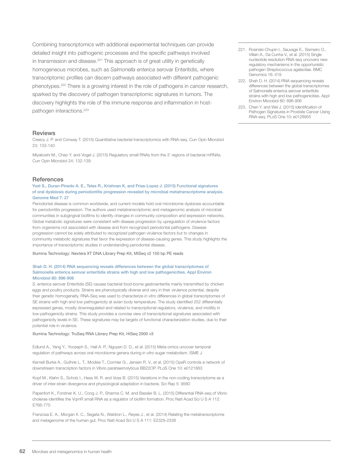Combining transcriptomics with additional experimental techniques can provide detailed insight into pathogenic processes and the specific pathways involved in transmission and disease.<sup>221</sup> This approach is of great utility in genetically homogeneous microbes, such as *Salmonella enterica* serovar Enteritidis, where transcriptomic profiles can discern pathways associated with different pathogenic phenotypes.222 There is a growing interest in the role of pathogens in cancer research, sparked by the discovery of pathogen transcriptomic signatures in tumors. The discovery highlights the role of the immune response and inflammation in hostpathogen interactions.<sup>223</sup>

#### Reviews

Creecy J. P. and Conway T. (2015) Quantitative bacterial transcriptomics with RNA-seq. Curr Opin Microbiol 23: 133-140

Miyakoshi M., Chao Y. and Vogel J. (2015) Regulatory small RNAs from the 3' regions of bacterial mRNAs. Curr Opin Microbiol 24: 132-139

#### **References**

Yost S., Duran-Pinedo A. E., Teles R., Krishnan K. and Frias-Lopez J. (2015) Functional signatures of oral dysbiosis during periodontitis progression revealed by microbial metatranscriptome analysis. Genome Med 7: 27

Periodontal disease is common worldwide, and current models hold oral microbiome dysbiosis accountable for periodontitis progression. The authors used metatranscriptomic and metagenomic analysis of microbial communities in subgingival biofilms to identify changes in community composition and expression networks. Global metabolic signatures were consistent with disease progression by upregulation of virulence factors from organisms not associated with disease and from recognized periodontal pathogens. Disease progression cannot be solely attributed to recognized pathogen virulence factors but to changes in community metabolic signatures that favor the expression of disease-causing genes. This study highlights the importance of transcriptomic studies in understanding periodontal disease.

Illumina Technology: Nextera XT DNA Library Prep Kit, MiSeq v2 150 bp PE reads

#### Shah D. H. (2014) RNA sequencing reveals differences between the global transcriptomes of Salmonella enterica serovar enteritidis strains with high and low pathogenicities. Appl Environ Microbiol 80: 896-906

*S. enterica* serovar Enteritidis (SE) causes bacterial food-borne gastroenteritis mainly transmitted by chicken eggs and poultry products. Strains are phenotypically diverse and vary in their virulence potential, despite their genetic homogeneity. RNA-Seq was used to characterize *in vitro* differences in global transcriptomes of SE strains with high and low pathogenicity at avian body temperature. The study identified 252 differentially expressed genes, mostly downregulated and related to transcriptional regulators, virulence, and motility in low-pathogenicity strains. This study provides a concise view of transcriptional signatures associated with pathogenicity levels in SE. These signatures may be targets of functional characterization studies, due to their potential role in virulence.

Illumina Technology: TruSeq RNA Library Prep Kit, HiSeq 2000 v3

Edlund A., Yang Y., Yooseph S., Hall A. P., Nguyen D. D., et al. (2015) Meta-omics uncover temporal regulation of pathways across oral microbiome genera during *in vitro* sugar metabolism. ISME J

Kernell Burke A., Guthrie L. T., Modise T., Cormier G., Jensen R. V., et al. (2015) OpaR controls a network of downstream transcription factors in Vibrio parahaemolyticus BB22OP. PLoS One 10: e0121863

Kopf M., Klahn S., Scholz I., Hess W. R. and Voss B. (2015) Variations in the non-coding transcriptome as a driver of inter-strain divergence and physiological adaptation in bacteria. Sci Rep 5: 9560

Papenfort K., Forstner K. U., Cong J. P., Sharma C. M. and Bassler B. L. (2015) Differential RNA-seq of Vibrio cholerae identifies the VqmR small RNA as a regulator of biofilm formation. Proc Natl Acad Sci U S A 112: E766-775

Franzosa E. A., Morgan X. C., Segata N., Waldron L., Reyes J., et al. (2014) Relating the metatranscriptome and metagenome of the human gut. Proc Natl Acad Sci U S A 111: E2329-2338

- 221. Rosinski-Chupin I., Sauvage E., Sismeiro O., Villain A., Da Cunha V., et al. (2015) Single nucleotide resolution RNA-seq uncovers new regulatory mechanisms in the opportunistic pathogen Streptococcus agalactiae. BMC Genomics 16: 419
- 222. Shah D. H. (2014) RNA sequencing reveals differences between the global transcriptomes of Salmonella enterica serovar enteritidis strains with high and low pathogenicities. Appl Environ Microbiol 80: 896-906
- 223. Chen Y. and Wei J. (2015) Identification of Pathogen Signatures in Prostate Cancer Using RNA-seq. PLoS One 10: e0128955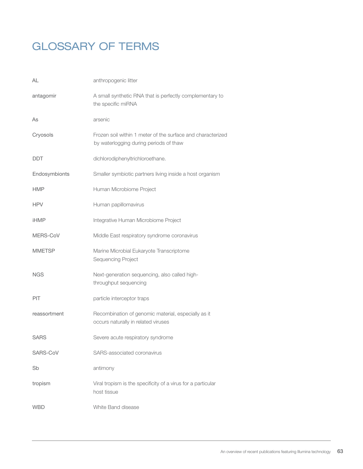# GLOSSARY OF TERMS

| AL            | anthropogenic litter                                                                                  |
|---------------|-------------------------------------------------------------------------------------------------------|
| antagomir     | A small synthetic RNA that is perfectly complementary to<br>the specific miRNA                        |
| As            | arsenic                                                                                               |
| Cryosols      | Frozen soil within 1 meter of the surface and characterized<br>by waterlogging during periods of thaw |
| <b>DDT</b>    | dichlorodiphenyltrichloroethane.                                                                      |
| Endosymbionts | Smaller symbiotic partners living inside a host organism                                              |
| <b>HMP</b>    | Human Microbiome Project                                                                              |
| <b>HPV</b>    | Human papillomavirus                                                                                  |
| iHMP          | Integrative Human Microbiome Project                                                                  |
| MERS-CoV      | Middle East respiratory syndrome coronavirus                                                          |
| <b>MMETSP</b> | Marine Microbial Eukaryote Transcriptome<br>Sequencing Project                                        |
| <b>NGS</b>    | Next-generation sequencing, also called high-<br>throughput sequencing                                |
| PIT           | particle interceptor traps                                                                            |
| reassortment  | Recombination of genomic material, especially as it<br>occurs naturally in related viruses            |
| <b>SARS</b>   | Severe acute respiratory syndrome                                                                     |
| SARS-CoV      | SARS-associated coronavirus                                                                           |
| Sb            | antimony                                                                                              |
| tropism       | Viral tropism is the specificity of a virus for a particular<br>host tissue                           |
| WBD           | White Band disease                                                                                    |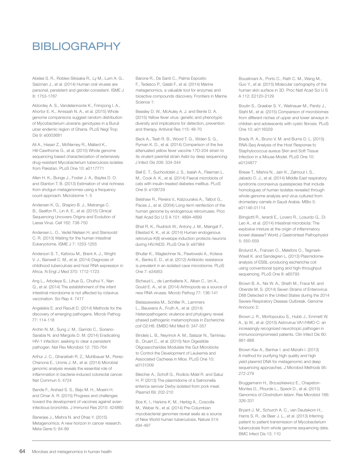# BIBLIOGRAPHY

Abeles S. R., Robles-Sikisaka R., Ly M., Lum A. G., Salzman J., et al. (2014) Human oral viruses are personal, persistent and gender-consistent. ISME J 8: 1753-1767

Ablordey A. S., Vandelannoote K., Frimpong I. A., Ahortor E. K., Amissah N. A., et al. (2015) Whole genome comparisons suggest random distribution of Mycobacterium ulcerans genotypes in a Buruli ulcer endemic region of Ghana. PLoS Negl Trop Dis 9: e0003681

Ali A., Hasan Z., McNerney R., Mallard K., Hill-Cawthorne G., et al. (2015) Whole genome sequencing based characterization of extensively drug-resistant Mycobacterium tuberculosis isolates from Pakistan. PLoS One 10: e0117771

Allen H. K., Bunge J., Foster J. A., Bayles D. O. and Stanton T. B. (2013) Estimation of viral richness from shotgun metagenomes using a frequency count approach. Microbiome 1: 5

Andersen K. G., Shapiro B. J., Matranga C. B., Sealfon R., Lin A. E., et al. (2015) Clinical Sequencing Uncovers Origins and Evolution of Lassa Virus. Cell 162: 738-750

Andersen L. O., Vedel Nielsen H. and Stensvold C. R. (2013) Waiting for the human intestinal Eukaryotome. ISME J 7: 1253-1255

Anderson S. T., Kaforou M., Brent A. J., Wright V. J., Banwell C. M., et al. (2014) Diagnosis of childhood tuberculosis and host RNA expression in Africa. N Engl J Med 370: 1712-1723

Ang L., Arboleya S., Lihua G., Chuihui Y., Nan Q., et al. (2014) The establishment of the infant intestinal microbiome is not affected by rotavirus vaccination. Sci Rep 4: 7417

Angelakis E. and Raoult D. (2014) Methods for the discovery of emerging pathogens. Microb Pathog 77: 114-118

Archin N. M., Sung J. M., Garrido C., Soriano-Sarabia N. and Margolis D. M. (2014) Eradicating HIV-1 infection: seeking to clear a persistent pathogen. Nat Rev Microbiol 12: 750-764

Arthur J. C., Gharaibeh R. Z., Muhlbauer M., Perez-Chanona E., Uronis J. M., et al. (2014) Microbial genomic analysis reveals the essential role of inflammation in bacteria-induced colorectal cancer. Nat Commun 5: 4724

Bande F., Arshad S. S., Bejo M. H., Moeini H. and Omar A. R. (2015) Progress and challenges toward the development of vaccines against avian infectious bronchitis. J Immunol Res 2015: 424860

Banerjee J., Mishra N. and Dhas Y. (2015) Metagenomics: A new horizon in cancer research. Meta Gene 5: 84-89

Barone R., De Santi C., Palma Esposito F., Tedesco P., Galati F., et al. (2014) Marine metagenomics, a valuable tool for enzymes and bioactive compounds discovery. Frontiers in Marine Science 1:

Beasley D. W., McAuley A. J. and Bente D. A. (2015) Yellow fever virus: genetic and phenotypic diversity and implications for detection, prevention and therapy. Antiviral Res 115: 48-70

Beck A., Tesh R. B., Wood T. G., Widen S. G., Ryman K. D., et al. (2014) Comparison of the live attenuated yellow fever vaccine 17D-204 strain to its virulent parental strain Asibi by deep sequencing. J Infect Dis 209: 334-344

Bell E. T., Suchodolski J. S., Isaiah A., Fleeman L. M., Cook A. K., et al. (2014) Faecal microbiota of cats with insulin-treated diabetes mellitus. PLoS One 9: e108729

Belshaw R., Pereira V., Katzourakis A., Talbot G., Paces J., et al. (2004) Long-term reinfection of the human genome by endogenous retroviruses. Proc Natl Acad Sci U S A 101: 4894-4899

Bhat R. K., Rudnick W., Antony J. M., Maingat F., Ellestad K. K., et al. (2014) Human endogenous retrovirus-K(II) envelope induction protects neurons during HIV/AIDS. PLoS One 9: e97984

Bhullar K., Waglechner N., Pawlowski A., Koteva K., Banks E. D., et al. (2012) Antibiotic resistance is prevalent in an isolated cave microbiome. PLoS One 7: e34953

Bichaud L., de Lamballerie X., Alkan C., Izri A., Gould E. A., et al. (2014) Arthropods as a source of new RNA viruses. Microb Pathog 77: 136-141

Bielaszewska M., Schiller R., Lammers L., Bauwens A., Fruth A., et al. (2014) Heteropathogenic virulence and phylogeny reveal phased pathogenic metamorphosis in *Escherichia coli* O2:H6. EMBO Mol Med 6: 347-357

Bindels L. B., Neyrinck A. M., Salazar N., Taminiau B., Druart C., et al. (2015) Non Digestible Oligosaccharides Modulate the Gut Microbiota to Control the Development of Leukemia and Associated Cachexia in Mice. PLoS One 10: e0131009

Bleicher A., Schofl G., Rodicio Mdel R. and Saluz H. P. (2013) The plasmidome of a Salmonella enterica serovar Derby isolated from pork meat. Plasmid 69: 202-210

Bos K. I., Harkins K. M., Herbig A., Coscolla M., Weber N., et al. (2014) Pre-Columbian mycobacterial genomes reveal seals as a source of New World human tuberculosis. Nature 514: 494-497

Bouslimani A., Porto C., Rath C. M., Wang M., Guo Y., et al. (2015) Molecular cartography of the human skin surface in 3D. Proc Natl Acad Sci U S A 112: E2120-2129

Boutin S., Graeber S. Y., Weitnauer M., Panitz J., Stahl M., et al. (2015) Comparison of microbiomes from different niches of upper and lower airways in children and adolescents with cystic fibrosis. PLoS One 10: e0116029

Brady R. A., Bruno V. M. and Burns D. L. (2015) RNA-Seq Analysis of the Host Response to Staphylococcus aureus Skin and Soft Tissue Infection in a Mouse Model. PLoS One 10: e0124877

Briese T., Mishra N., Jain K., Zalmout I. S., Jabado O. J., et al. (2014) Middle East respiratory syndrome coronavirus quasispecies that include homologues of human isolates revealed through whole-genome analysis and virus cultured from dromedary camels in Saudi Arabia. MBio 5: e01146-01114

Bringiotti R., Ierardi E., Lovero R., Losurdo G., Di Leo A., et al. (2014) Intestinal microbiota: The explosive mixture at the origin of inflammatory bowel disease? World J Gastrointest Pathophysiol 5: 550-559

Brolund A., Franzen O., Melefors O., Tegmark-Wisell K. and Sandegren L. (2013) Plasmidomeanalysis of ESBL-producing escherichia coli using conventional typing and high-throughput sequencing. PLoS One 8: e65793

Brown B. A., Nix W. A., Sheth M., Frace M. and Oberste M. S. (2014) Seven Strains of Enterovirus D68 Detected in the United States during the 2014 Severe Respiratory Disease Outbreak. Genome Announc 2:

Brown J. R., Morfopoulou S., Hubb J., Emmett W. A., Ip W., et al. (2015) Astrovirus VA1/HMO-C: an increasingly recognized neurotropic pathogen in immunocompromised patients. Clin Infect Dis 60: 881-888

Brown Kav A., Benhar I. and Mizrahi I. (2013) A method for purifying high quality and high yield plasmid DNA for metagenomic and deep sequencing approaches. J Microbiol Methods 95: 272-279

Bruggemann H., Brzuszkiewicz E., Chapeton-Montes D., Plourde L., Speck D., et al. (2015) Genomics of *Clostridium tetani*. Res Microbiol 166: 326-331

Bryant J. M., Schurch A. C., van Deutekom H., Harris S. R., de Beer J. L., et al. (2013) Inferring patient to patient transmission of Mycobacterium tuberculosis from whole genome sequencing data. BMC Infect Dis 13: 110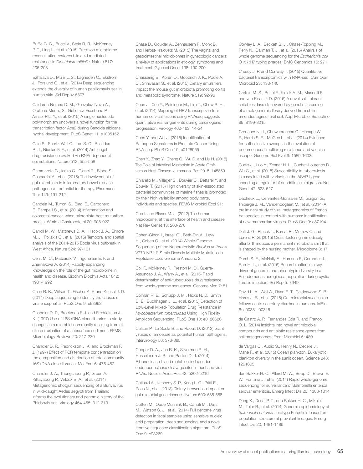Buffie C. G., Bucci V., Stein R. R., McKenney P. T., Ling L., et al. (2015) Precision microbiome reconstitution restores bile acid mediated resistance to *Clostridium difficile*. Nature 517: 205-208

Bzhalava D., Muhr L. S., Lagheden C., Ekstrom J., Forslund O., et al. (2014) Deep sequencing extends the diversity of human papillomaviruses in human skin. Sci Rep 4: 5807

Calderon-Norena D. M., Gonzalez-Novo A., Orellana-Munoz S., Gutierrez-Escribano P., Arnaiz-Pita Y., et al. (2015) A single nucleotide polymorphism uncovers a novel function for the transcription factor Ace2 during Candida albicans hyphal development. PLoS Genet 11: e1005152

Calo S., Shertz-Wall C., Lee S. C., Bastidas R. J., Nicolas F. E., et al. (2014) Antifungal drug resistance evoked via RNAi-dependent epimutations. Nature 513: 555-558

Cammarota G., Ianiro G., Cianci R., Bibbo S., Gasbarrini A., et al. (2015) The involvement of gut microbiota in inflammatory bowel disease pathogenesis: potential for therapy. Pharmacol Ther 149: 191-212

Candela M., Turroni S., Biagi E., Carbonero F., Rampelli S., et al. (2014) Inflammation and colorectal cancer, when microbiota-host mutualism breaks. World J Gastroenterol 20: 908-922

Carroll M. W., Matthews D. A., Hiscox J. A., Elmore M. J., Pollakis G., et al. (2015) Temporal and spatial analysis of the 2014-2015 Ebola virus outbreak in West Africa. Nature 524: 97-101

Cenit M. C., Matzaraki V., Tigchelaar E. F. and Zhernakova A. (2014) Rapidly expanding knowledge on the role of the gut microbiome in health and disease. Biochim Biophys Acta 1842: 1981-1992

Chan B. K., Wilson T., Fischer K. F. and Kriesel J. D. (2014) Deep sequencing to identify the causes of viral encephalitis. PLoS One 9: e93993

Chandler D. P., Brockman F. J. and Fredrickson J. K. (1997) Use of 16S rDNA clone libraries to study changes in a microbial community resulting from ex situ perturbation of a subsurface sediment. FEMS Microbiology Reviews 20: 217-230

Chandler D. P., Fredrickson J. K. and Brockman F. J. (1997) Effect of PCR template concentration on the composition and distribution of total community 16S rDNA clone libraries. Mol Ecol 6: 475-482

Chandler J. A., Thongsripong P., Green A., Kittayapong P., Wilcox B. A., et al. (2014) Metagenomic shotgun sequencing of a Bunyavirus in wild-caught Aedes aegypti from Thailand informs the evolutionary and genomic history of the Phleboviruses. Virology 464-465: 312-319

Chase D., Goulder A., Zenhausern F., Monk B. and Herbst-Kralovetz M. (2015) The vaginal and gastrointestinal microbiomes in gynecologic cancers: a review of applications in etiology, symptoms and treatment. Gynecol Oncol 138: 190-200

Chassaing B., Koren O., Goodrich J. K., Poole A. C., Srinivasan S., et al. (2015) Dietary emulsifiers impact the mouse gut microbiota promoting colitis and metabolic syndrome. Nature 519: 92-96

Chen J., Xue Y., Poidinger M., Lim T., Chew S. H., et al. (2014) Mapping of HPV transcripts in four human cervical lesions using RNAseq suggests quantitative rearrangements during carcinogenic progression. Virology 462-463: 14-24

Chen Y. and Wei J. (2015) Identification of Pathogen Signatures in Prostate Cancer Using RNA-seq. PLoS One 10: e0128955

Chen Y., Zhao Y., Cheng Q., Wu D. and Liu H. (2015) The Role of Intestinal Microbiota in Acute Graftversus-Host Disease. J Immunol Res 2015: 145859

Chiarello M., Villeger S., Bouvier C., Bettarel Y. and Bouvier T. (2015) High diversity of skin-associated bacterial communities of marine fishes is promoted by their high variability among body parts, individuals and species. FEMS Microbiol Ecol 91:

Cho I. and Blaser M. J. (2012) The human microbiome: at the interface of health and disease. Nat Rev Genet 13: 260-270

Cohen-Gihon I., Israeli O., Beth-Din A., Levy H., Cohen O., et al. (2014) Whole-Genome Sequencing of the Nonproteolytic *Bacillus anthracis* V770-NP1-R Strain Reveals Multiple Mutations in Peptidase Loci. Genome Announc 2:

Coll F., McNerney R., Preston M. D., Guerra-Assuncao J. A., Warry A., et al. (2015) Rapid determination of anti-tuberculosis drug resistance from whole-genome sequences. Genome Med 7: 51

Colman R. E., Schupp J. M., Hicks N. D., Smith D. E., Buchhagen J. L., et al. (2015) Detection of Low-Level Mixed-Population Drug Resistance in *Mycobacterium tuberculosis* Using High Fidelity Amplicon Sequencing. PLoS One 10: e0126626

Colson P., La Scola B. and Raoult D. (2013) Giant viruses of amoebae as potential human pathogens. Intervirology 56: 376-385

Cooper D. A., Jha B. K., Silverman R. H., Hesselberth J. R. and Barton D. J. (2014) Ribonuclease L and metal-ion-independent endoribonuclease cleavage sites in host and viral RNAs. Nucleic Acids Res 42: 5202-5216

Cotillard A., Kennedy S. P., Kong L. C., Prifti E., Pons N., et al. (2013) Dietary intervention impact on gut microbial gene richness. Nature 500: 585-588

Cotten M., Oude Munnink B., Canuti M., Deijs M., Watson S. J., et al. (2014) Full genome virus detection in fecal samples using sensitive nucleic acid preparation, deep sequencing, and a novel iterative sequence classification algorithm. PLoS One 9: e93269

Cowley L. A., Beckett S. J., Chase-Topping M., Perry N., Dallman T. J., et al. (2015) Analysis of whole genome sequencing for the *Escherichia coli*  O157:H7 typing phages. BMC Genomics 16: 271

Creecy J. P. and Conway T. (2015) Quantitative bacterial transcriptomics with RNA-seq. Curr Opin Microbiol 23: 133-140

Cretoiu M. S., Berini F., Kielak A. M., Marinelli F. and van Elsas J. D. (2015) A novel salt-tolerant chitobiosidase discovered by genetic screening of a metagenomic library derived from chitinamended agricultural soil. Appl Microbiol Biotechnol 99: 8199-8215

Croucher N. J., Chewapreecha C., Hanage W. P., Harris S. R., McGee L., et al. (2014) Evidence for soft selective sweeps in the evolution of pneumococcal multidrug resistance and vaccine escape. Genome Biol Evol 6: 1589-1602

Curtis J., Luo Y., Zenner H. L., Cuchet-Lourenco D., Wu C., et al. (2015) Susceptibility to tuberculosis is associated with variants in the ASAP1 gene encoding a regulator of dendritic cell migration. Nat Genet 47: 523-527

Dacheux L., Cervantes-Gonzalez M., Guigon G., Thiberge J. M., Vandenbogaert M., et al. (2014) A preliminary study of viral metagenomics of French bat species in contact with humans: identification of new mammalian viruses. PLoS One 9: e87194

Daft J. G., Ptacek T., Kumar R., Morrow C. and Lorenz R. G. (2015) Cross-fostering immediately after birth induces a permanent microbiota shift that is shaped by the nursing mother. Microbiome 3: 17

Darch S. E., McNally A., Harrison F., Corander J., Barr H. L., et al. (2015) Recombination is a key driver of genomic and phenotypic diversity in a Pseudomonas aeruginosa population during cystic fibrosis infection. Sci Rep 5: 7649

David L. A., Weil A., Ryan E. T., Calderwood S. B., Harris J. B., et al. (2015) Gut microbial succession follows acute secretory diarrhea in humans. MBio 6: e00381-00315

de Castro A. P., Fernandes Gda R. and Franco O. L. (2014) Insights into novel antimicrobial compounds and antibiotic resistance genes from soil metagenomes. Front Microbiol 5: 489

de Vargas C., Audic S., Henry N., Decelle J., Mahe F., et al. (2015) Ocean plankton. Eukaryotic plankton diversity in the sunlit ocean. Science 348: 1261605

den Bakker H. C., Allard M. W., Bopp D., Brown E. W., Fontana J., et al. (2014) Rapid whole-genome sequencing for surveillance of Salmonella enterica serovar enteritidis. Emerg Infect Dis 20: 1306-1314

Deng X., Desai P. T., den Bakker H. C., Mikoleit M., Tolar B., et al. (2014) Genomic epidemiology of *Salmonella enterica* serotype Enteritidis based on population structure of prevalent lineages. Emerg Infect Dis 20: 1481-1489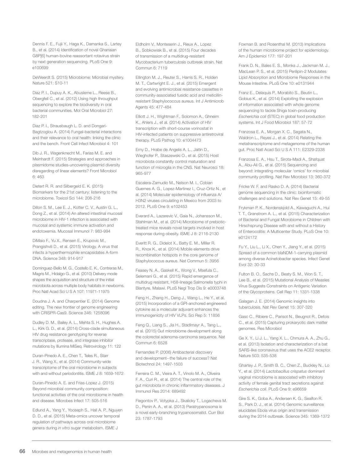Dennis F. E., Fujii Y., Haga K., Damanka S., Lartey B., et al. (2014) Identification of novel Ghanaian G8P[6] human-bovine reassortant rotavirus strain by next generation sequencing. PLoS One 9: e100699

DeWeerdt S. (2015) Microbiome: Microbial mystery. Nature 521: S10-11

Diaz P. I., Dupuy A. K., Abusleme L., Reese B., Obergfell C., et al. (2012) Using high throughput sequencing to explore the biodiversity in oral bacterial communities. Mol Oral Microbiol 27: 182-201

Diaz P. I., Strausbaugh L. D. and Dongari-Bagtzoglou A. (2014) Fungal-bacterial interactions and their relevance to oral health: linking the clinic and the bench. Front Cell Infect Microbiol 4: 101

Dib J. R., Wagenknecht M., Farias M. E. and Meinhardt F. (2015) Strategies and approaches in plasmidome studies-uncovering plasmid diversity disregarding of linear elements? Front Microbiol 6: 463

Dietert R. R. and Silbergeld E. K. (2015) Biomarkers for the 21st century: listening to the microbiome. Toxicol Sci 144: 208-216

Dillon S. M., Lee E. J., Kotter C. V., Austin G. L., Dong Z., et al. (2014) An altered intestinal mucosal microbiome in HIV-1 infection is associated with mucosal and systemic immune activation and endotoxemia. Mucosal Immunol 7: 983-994

DiMaio F., Yu X., Rensen E., Krupovic M., Prangishvili D., et al. (2015) Virology. A virus that infects a hyperthermophile encapsidates A-form DNA. Science 348: 914-917

Dominguez-Bello M. G., Costello E. K., Contreras M., Magris M., Hidalgo G., et al. (2010) Delivery mode shapes the acquisition and structure of the initial microbiota across multiple body habitats in newborns. Proc Natl Acad Sci U S A 107: 11971-11975

Doudna J. A. and Charpentier E. (2014) Genome editing. The new frontier of genome engineering with CRISPR-Cas9. Science 346: 1258096

Dudley D. M., Bailey A. L., Mehta S. H., Hughes A. L., Kirk G. D., et al. (2014) Cross-clade simultaneous HIV drug resistance genotyping for reverse transcriptase, protease, and integrase inhibitor mutations by Illumina MiSeq. Retrovirology 11: 122

Duran-Pinedo A. E., Chen T., Teles R., Starr J. R., Wang X., et al. (2014) Community-wide transcriptome of the oral microbiome in subjects with and without periodontitis. ISME J 8: 1659-1672

Duran-Pinedo A. E. and Frias-Lopez J. (2015) Beyond microbial community composition: functional activities of the oral microbiome in health and disease. Microbes Infect 17: 505-516

Edlund A., Yang Y., Yooseph S., Hall A. P., Nguyen D. D., et al. (2015) Meta-omics uncover temporal regulation of pathways across oral microbiome genera during *in vitro* sugar metabolism. ISME J

Eldholm V., Monteserin J., Rieux A., Lopez B., Sobkowiak B., et al. (2015) Four decades of transmission of a multidrug-resistant Mycobacterium tuberculosis outbreak strain. Nat Commun 6: 7119

Ellington M. J., Reuter S., Harris S. R., Holden M. T., Cartwright E. J., et al. (2015) Emergent and evolving antimicrobial resistance cassettes in community-associated fusidic acid and meticillinresistant Staphylococcus aureus. Int J Antimicrob Agents 45: 477-484

Elliott J. H., Wightman F., Solomon A., Ghneim K., Ahlers J., et al. (2014) Activation of HIV transcription with short-course vorinostat in HIV-infected patients on suppressive antiretroviral therapy. PLoS Pathog 10: e1004473

Erny D., Hrabe de Angelis A. L., Jaitin D., Wieghofer P., Staszewski O., et al. (2015) Host microbiota constantly control maturation and function of microglia in the CNS. Nat Neurosci 18: 965-977

Escalera-Zamudio M., Nelson M. I., Cobian Guemes A. G., Lopez-Martinez I., Cruz-Ortiz N., et al. (2014) Molecular epidemiology of influenza A/ H3N2 viruses circulating in Mexico from 2003 to 2012. PLoS One 9: e102453

Everard A., Lazarevic V., Gaia N., Johansson M., Stahlman M., et al. (2014) Microbiome of prebiotictreated mice reveals novel targets involved in host response during obesity. ISME J 8: 2116-2130

Everitt R. G., Didelot X., Batty E. M., Miller R. R., Knox K., et al. (2014) Mobile elements drive recombination hotspots in the core genome of Staphylococcus aureus. Nat Commun 5: 3956

Feasey N. A., Gaskell K., Wong V., Msefula C., Selemani G., et al. (2015) Rapid emergence of multidrug resistant, H58-lineage Salmonella typhi in Blantyre, Malawi. PLoS Negl Trop Dis 9: e0003748

Feng H., Zhang H., Deng J., Wang L., He Y., et al. (2015) Incorporation of a GPI-anchored engineered cytokine as a molecular adjuvant enhances the immunogenicity of HIV VLPs. Sci Rep 5: 11856

Feng Q., Liang S., Jia H., Stadlmayr A., Tang L., et al. (2015) Gut microbiome development along the colorectal adenoma-carcinoma sequence. Nat Commun 6: 6528

Fernandes P. (2006) Antibacterial discovery and development--the failure of success? Nat Biotechnol 24: 1497-1503

Ferreira C. M., Vieira A. T., Vinolo M. A., Oliveira F. A., Curi R., et al. (2014) The central role of the gut microbiota in chronic inflammatory diseases. J Immunol Res 2014: 689492

Flegontov P., Votypka J., Skalicky T., Logacheva M. D., Penin A. A., et al. (2013) Paratrypanosoma is a novel early-branching trypanosomatid. Curr Biol 23: 1787-1793

Foxman B. and Rosenthal M. (2013) Implications of the human microbiome project for epidemiology. Am J Epidemiol 177: 197-201

Frank D. N., Bales E. S., Monks J., Jackman M. J., MacLean P. S., et al. (2015) Perilipin-2 Modulates Lipid Absorption and Microbiome Responses in the Mouse Intestine. PLoS One 10: e0131944

Franz E., Delaquis P., Morabito S., Beutin L., Gobius K., et al. (2014) Exploiting the explosion of information associated with whole genome sequencing to tackle Shiga toxin-producing *Escherichia coli* (STEC) in global food production systems. Int J Food Microbiol 187: 57-72

Franzosa E. A., Morgan X. C., Segata N., Waldron L., Reyes J., et al. (2014) Relating the metatranscriptome and metagenome of the human gut. Proc Natl Acad Sci U S A 111: E2329-2338

Franzosa E. A., Hsu T., Sirota-Madi A., Shafquat A., Abu-Ali G., et al. (2015) Sequencing and beyond: integrating molecular 'omics' for microbial community profiling. Nat Rev Microbiol 13: 360-372

Fricke W. F. and Rasko D. A. (2014) Bacterial genome sequencing in the clinic: bioinformatic challenges and solutions. Nat Rev Genet 15: 49-55

Frykman P. K., Nordenskjold A., Kawaguchi A., Hui T. T., Granstrom A. L., et al. (2015) Characterization of Bacterial and Fungal Microbiome in Children with Hirschsprung Disease with and without a History of Enterocolitis: A Multicenter Study. PLoS One 10: e0124172

Fu Y., Liu L., Li X., Chen Y., Jiang Y., et al. (2015) Spread of a common blaNDM-1-carrying plasmid among diverse Acinetobacter species. Infect Genet Evol 32: 30-33

Fulton B. O., Sachs D., Beaty S. M., Won S. T., Lee B., et al. (2015) Mutational Analysis of Measles Virus Suggests Constraints on Antigenic Variation of the Glycoproteins. Cell Rep 11: 1331-1338

Galagan J. E. (2014) Genomic insights into tuberculosis. Nat Rev Genet 15: 307-320

Gasc C., Ribiere C., Parisot N., Beugnot R., Defois C., et al. (2015) Capturing prokaryotic dark matter genomes. Res Microbiol

Ge X. Y., Li J. L., Yang X. L., Chmura A. A., Zhu G., et al. (2013) Isolation and characterization of a bat SARS-like coronavirus that uses the ACE2 receptor. Nature 503: 535-538

Ghartey J. P., Smith B. C., Chen Z., Buckley N., Lo Y., et al. (2014) *Lactobacillus crispatus* dominant vaginal microbiome is associated with inhibitory activity of female genital tract secretions against *Escherichia coli*. PLoS One 9: e96659

Gire S. K., Goba A., Andersen K. G., Sealfon R. S., Park D. J., et al. (2014) Genomic surveillance elucidates Ebola virus origin and transmission during the 2014 outbreak. Science 345: 1369-1372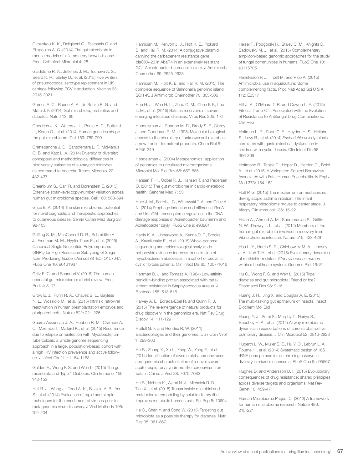Gkouskou K. K., Deligianni C., Tsatsanis C. and Eliopoulos A. G. (2014) The gut microbiota in mouse models of inflammatory bowel disease. Front Cell Infect Microbiol 4: 28

Gladstone R. A., Jefferies J. M., Tocheva A. S., Beard K. R., Garley D., et al. (2015) Five winters of pneumococcal serotype replacement in UK carriage following PCV introduction. Vaccine 33: 2015-2021

Gomes A. C., Bueno A. A., de Souza R. G. and Mota J. F. (2014) Gut microbiota, probiotics and diabetes. Nutr J 13: 60

Goodrich J. K., Waters J. L., Poole A. C., Sutter J. L., Koren O., et al. (2014) Human genetics shape the gut microbiome. Cell 159: 789-799

Grattepanche J. D., Santoferrara L. F., McManus G. B. and Katz L. A. (2014) Diversity of diversity: conceptual and methodological differences in biodiversity estimates of eukaryotic microbes as compared to bacteria. Trends Microbiol 22: 432-437

Greenblum S., Carr R. and Borenstein E. (2015) Extensive strain-level copy-number variation across human gut microbiome species. Cell 160: 583-594

Grice E. A. (2014) The skin microbiome: potential for novel diagnostic and therapeutic approaches to cutaneous disease. Semin Cutan Med Surg 33: 98-103

Griffing S. M., MacCannell D. R., Schmidtke A. J., Freeman M. M., Hyytia-Trees E., et al. (2015) Canonical Single Nucleotide Polymorphisms (SNPs) for High-Resolution Subtyping of Shiga-Toxin Producing *Escherichia coli* (STEC) O157:H7. PLoS One 10: e0131967

Gritz E. C. and Bhandari V. (2015) The human neonatal gut microbiome: a brief review. Front Pediatr 3: 17

Grow E. J., Flynn R. A., Chavez S. L., Bayless N. L., Wossidlo M., et al. (2015) Intrinsic retroviral reactivation in human preimplantation embryos and pluripotent cells. Nature 522: 221-225

Guerra-Assuncao J. A., Houben R. M., Crampin A. C., Mzembe T., Mallard K., et al. (2015) Recurrence due to relapse or reinfection with Mycobacterium tuberculosis: a whole-genome sequencing approach in a large, population-based cohort with a high HIV infection prevalence and active followup. J Infect Dis 211: 1154-1163

Gulden E., Wong F. S. and Wen L. (2015) The gut microbiota and Type 1 Diabetes. Clin Immunol 159: 143-153

Hall R. J., Wang J., Todd A. K., Bissielo A. B., Yen S., et al. (2014) Evaluation of rapid and simple techniques for the enrichment of viruses prior to metagenomic virus discovery. J Virol Methods 195: 194-204

Hamidian M., Kenyon J. J., Holt K. E., Pickard D. and Hall R. M. (2014) A conjugative plasmid carrying the carbapenem resistance gene blaOXA-23 in AbaR4 in an extensively resistant GC1 Acinetobacter baumannii isolate. J Antimicrob Chemother 69: 2625-2628

Hamidian M., Holt K. E. and Hall R. M. (2015) The complete sequence of Salmonella genomic island SGI1-K. J Antimicrob Chemother 70: 305-306

Han H. J., Wen H. L., Zhou C. M., Chen F. F., Luo L. M., et al. (2015) Bats as reservoirs of severe emerging infectious diseases. Virus Res 205: 1-6

Handelsman J., Rondon M. R., Brady S. F., Clardy J. and Goodman R. M. (1998) Molecular biological access to the chemistry of unknown soil microbes: a new frontier for natural products. Chem Biol 5: R245-249

Handelsman J. (2004) Metagenomics: application of genomics to uncultured microorganisms. Microbiol Mol Biol Rev 68: 669-685

Hansen T. H., Gobel R. J., Hansen T. and Pedersen O. (2015) The gut microbiome in cardio-metabolic health. Genome Med 7: 33

Hare J. M., Ferrell J. C., Witkowski T. A. and Grice A. N. (2014) Prophage induction and differential RecA and UmuDAb transcriptome regulation in the DNA damage responses of Acinetobacter baumannii and Acinetobacter baylyi. PLoS One 9: e93861

Harris K. A., Underwood A., Kenna D. T., Brooks A., Kavaliunaite E., et al. (2015) Whole-genome sequencing and epidemiological analysis do not provide evidence for cross-transmission of mycobacterium abscessus in a cohort of pediatric cystic fibrosis patients. Clin Infect Dis 60: 1007-1016

Hartman B. J. and Tomasz A. (1984) Low-affinity penicillin-binding protein associated with betalactam resistance in Staphylococcus aureus. J Bacteriol 158: 513-516

Harvey A. L., Edrada-Ebel R. and Quinn R. J. (2015) The re-emergence of natural products for drug discovery in the genomics era. Nat Rev Drug Discov 14: 111-129

Hatfull G. F. and Hendrix R. W. (2011) Bacteriophages and their genomes. Curr Opin Virol 1: 298-303

He B., Zhang Y., Xu L., Yang W., Yang F., et al. (2014) Identification of diverse alphacoronaviruses and genomic characterization of a novel severe acute respiratory syndrome-like coronavirus from bats in China. J Virol 88: 7070-7082

He B., Nohara K., Ajami N. J., Michalek R. D., Tian X., et al. (2015) Transmissible microbial and metabolomic remodeling by soluble dietary fiber improves metabolic homeostasis. Sci Rep 5: 10604

He C., Shan Y. and Song W. (2015) Targeting gut microbiota as a possible therapy for diabetes. Nutr Res 35: 361-367

Heisel T., Podgorski H., Staley C. M., Knights D., Sadowsky M. J., et al. (2015) Complementary amplicon-based genomic approaches for the study of fungal communities in humans. PLoS One 10: e0116705

Henriksson P. J., Troell M. and Rico A. (2015) Antimicrobial use in aquaculture: Some complementing facts. Proc Natl Acad Sci U S A 112: E3317

Hill J. A., O'Meara T. R. and Cowen L. E. (2015) Fitness Trade-Offs Associated with the Evolution of Resistance to Antifungal Drug Combinations. Cell Rep

Hoffman L. R., Pope C. E., Hayden H. S., Heltshe S., Levy R., et al. (2014) *Escherichia coli* dysbiosis correlates with gastrointestinal dysfunction in children with cystic fibrosis. Clin Infect Dis 58: 396-399

Hoffmann B., Tappe D., Hoper D., Herden C., Boldt A., et al. (2015) A Variegated Squirrel Bornavirus Associated with Fatal Human Encephalitis. N Engl J Med 373: 154-162

Holt P. G. (2015) The mechanism or mechanisms driving atopic asthma initiation: The infant respiratory microbiome moves to center stage. J Allergy Clin Immunol 136: 15-22

Hsiao A., Ahmed A. M., Subramanian S., Griffin N. W., Drewry L. L., et al. (2014) Members of the human gut microbiota involved in recovery from Vibrio cholerae infection. Nature 515: 423-426

Hsu L. Y., Harris S. R., Chlebowicz M. A., Lindsay J. A., Koh T. H., et al. (2015) Evolutionary dynamics of methicillin-resistant *Staphylococcus aureus* within a healthcare system. Genome Biol 16: 81

Hu C., Wong F. S. and Wen L. (2015) Type 1 diabetes and gut microbiota: Friend or foe? Pharmacol Res 98: 9-15

Huang J. H., Jing X. and Douglas A. E. (2015) The multi-tasking gut epithelium of insects. Insect Biochem Mol Biol

Huang Y. J., Sethi S., Murphy T., Nariya S., Boushey H. A., et al. (2014) Airway microbiome dynamics in exacerbations of chronic obstructive pulmonary disease. J Clin Microbiol 52: 2813-2823

Hugerth L. W., Muller E. E., Hu Y. O., Lebrun L. A., Roume H., et al. (2014) Systematic design of 18S rRNA gene primers for determining eukaryotic diversity in microbial consortia. PLoS One 9: e95567

Hughes D. and Andersson D. I. (2015) Evolutionary consequences of drug resistance: shared principles across diverse targets and organisms. Nat Rev Genet 16: 459-471

Human Microbiome Project C. (2012) A framework for human microbiome research. Nature 486: 215-221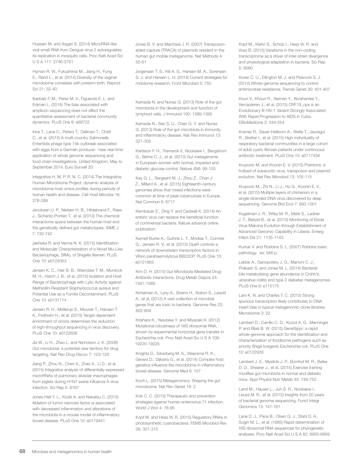microRNAs of pulmonary alveolar macrophages from piglets during H1N1 swine influenza A virus

infection. Sci Rep 5: 8167

Jones-Hall Y. L., Kozik A. and Nakatsu C. (2015) Ablation of tumor necrosis factor is associated with decreased inflammation and alterations of the microbiota in a mouse model of inflammatory bowel disease. PLoS One 10: e0119441

Hussain M. and Asgari S. (2014) MicroRNA-like viral small RNA from Dengue virus 2 autoregulates its replication in mosquito cells. Proc Natl Acad Sci

Hyman R. W., Fukushima M., Jiang H., Fung E., Rand L., et al. (2014) Diversity of the vaginal microbiome correlates with preterm birth. Reprod

Ibarbalz F. M., Perez M. V., Figuerola E. L. and Erijman L. (2014) The bias associated with amplicon sequencing does not affect the quantitative assessment of bacterial community

Inns T., Lane C., Peters T., Dallman T., Chatt C., et al. (2015) A multi-country *Salmonella* Enteritidis phage type 14b outbreak associated with eggs from a German producer: 'near real-time' application of whole genome sequencing and food chain investigations, United Kingdom, May to

Integrative H. M. P. R. N. C. (2014) The Integrative Human Microbiome Project: dynamic analysis of microbiome-host omics profiles during periods of human health and disease. Cell Host Microbe 16:

Jacobsen U. P., Nielsen H. B., Hildebrand F., Raes J., Sicheritz-Ponten T., et al. (2013) The chemical interactome space between the human host and the genetically defined gut metabotypes. ISME J

Jakhetia R. and Verma N. K. (2015) Identification and Molecular Characterisation of a Novel Mu-Like Bacteriophage, SfMu, of Shigella flexneri. PLoS

Jensen K. C., Hair B. B., Wienclaw T. M., Murdock M. H., Hatch J. B., et al. (2015) Isolation and Host Range of Bacteriophage with Lytic Activity against Methicillin-Resistant Staphylococcus aureus and Potential Use as a Fomite Decontaminant. PLoS

Jensen R. H., Mollerup S., Mourier T., Hansen T. A., Fridholm H., et al. (2015) Target-dependent enrichment of virions determines the reduction of high-throughput sequencing in virus discovery.

Jia W., Li H., Zhao L. and Nicholson J. K. (2008) Gut microbiota: a potential new territory for drug targeting. Nat Rev Drug Discov 7: 123-129 Jiang P., Zhou N., Chen X., Zhao X., Li D., et al. (2015) Integrative analysis of differentially expressed

dynamics. PLoS One 9: e99722

September 2014. Euro Surveill 20:

U S A 111: 2746-2751

Sci 21: 32-40

276-289

7: 730-742

One 10: e0124053

One 10: e0131714

PLoS One 10: e0122636

Jones B. V. and Marchesi J. R. (2007) Transposonaided capture (TRACA) of plasmids resident in the human gut mobile metagenome. Nat Methods 4: 55-61

Jorgensen T. S., Kiil A. S., Hansen M. A., Sorensen S. J. and Hansen L. H. (2014) Current strategies for mobilome research. Front Microbiol 5: 750

Kamada N. and Nunez G. (2013) Role of the gut microbiota in the development and function of lymphoid cells. J Immunol 190: 1389-1395

Kamada N., Seo S. U., Chen G. Y. and Nunez G. (2013) Role of the gut microbiota in immunity and inflammatory disease. Nat Rev Immunol 13: 321-335

Karlsson F. H., Tremaroli V., Nookaew I., Bergstrom G., Behre C. J., et al. (2013) Gut metagenome in European women with normal, impaired and diabetic glucose control. Nature 498: 99-103

Kay G. L., Sergeant M. J., Zhou Z., Chan J. Z., Millard A., et al. (2015) Eighteenth-century genomes show that mixed infections were common at time of peak tuberculosis in Europe. Nat Commun 6: 6717

Kernbauer E., Ding Y. and Cadwell K. (2014) An enteric virus can replace the beneficial function of commensal bacteria. Nature advance online publication:

Kernell Burke A., Guthrie L. T., Modise T., Cormier G., Jensen R. V., et al. (2015) OpaR controls a network of downstream transcription factors in Vibrio parahaemolyticus BB22OP. PLoS One 10: e0121863

Kim D. H. (2015) Gut Microbiota-Mediated Drug-Antibiotic Interactions. Drug Metab Dispos 43: 1581-1589

Kimelman A., Levy A., Sberro H., Kidron S., Leavitt A., et al. (2012) A vast collection of microbial genes that are toxic to bacteria. Genome Res 22: 802-809

Kitahara K., Yasutake Y. and Miyazaki K. (2012) Mutational robustness of 16S ribosomal RNA, shown by experimental horizontal gene transfer in Escherichia coli. Proc Natl Acad Sci U S A 109: 19220-19225

Knights D., Silverberg M. S., Weersma R. K., Gevers D., Dijkstra G., et al. (2014) Complex host genetics influence the microbiome in inflammatory bowel disease. Genome Med 6: 107

Koch L. (2015) Metagenomics: Shaping the gut microbiome. Nat Rev Genet 16: 2

Kok C. C. (2015) Therapeutic and prevention strategies against human enterovirus 71 infection. World J Virol 4: 78-95

Kopf M. and Hess W. R. (2015) Regulatory RNAs in photosynthetic cyanobacteria. FEMS Microbiol Rev 39: 301-315

Kopf M., Klahn S., Scholz I., Hess W. R. and Voss B. (2015) Variations in the non-coding transcriptome as a driver of inter-strain divergence and physiological adaptation in bacteria. Sci Rep 5: 9560

Koser C. U., Ellington M. J. and Peacock S. J. (2014) Whole-genome sequencing to control antimicrobial resistance. Trends Genet 30: 401-407

Kouri V., Khouri R., Aleman Y., Abrahantes Y., Vercauteren J., et al. (2015) CRF19\_cpx is an Evolutionary fit HIV-1 Variant Strongly Associated With Rapid Progression to AIDS in Cuba. EBioMedicine 2: 244-254

Kramer R., Sauer-Heilborn A., Welte T., Jauregui R., Brettar I., et al. (2015) High individuality of respiratory bacterial communities in a large cohort of adult cystic fibrosis patients under continuous antibiotic treatment. PLoS One 10: e0117436

Krupovic M. and Koonin E. V. (2015) Polintons: a hotbed of eukaryotic virus, transposon and plasmid evolution. Nat Rev Microbiol 13: 105-115

Krupovic M., Zhi N., Li J., Hu G., Koonin E. V., et al. (2015) Multiple layers of chimerism in a single-stranded DNA virus discovered by deep sequencing. Genome Biol Evol 7: 993-1001

Kugelman J. R., Wiley M. R., Mate S., Ladner J. T., Beitzel B., et al. (2015) Monitoring of Ebola Virus Makona Evolution through Establishment of Advanced Genomic Capability in Liberia. Emerg Infect Dis 21: 1135-1143

Kumar V. and Robbins S. L. (2007) Robbins basic pathology. xiv, 946 p.

Labbe A., Ganopolsky J. G., Martoni C. J., Prakash S. and Jones M. L. (2014) Bacterial bile metabolising gene abundance in Crohn's, ulcerative colitis and type 2 diabetes metagenomes. PLoS One 9: e115175

Lam K. N. and Charles T. C. (2015) Strong spurious transcription likely contributes to DNA insert bias in typical metagenomic clone libraries. Microbiome 3: 22

Lambert D., Carrillo C. D., Koziol A. G., Manninger P. and Blais B. W. (2015) GeneSippr: a rapid whole-genome approach for the identification and characterization of foodborne pathogens such as priority Shiga toxigenic Escherichia coli. PLoS One 10: e0122928

Lambert J. E., Myslicki J. P., Bomhof M. R., Belke D. D., Shearer J., et al. (2015) Exercise training modifies gut microbiota in normal and diabetic mice. Appl Physiol Nutr Metab 40: 749-752

Land M., Hauser L., Jun S. R., Nookaew I., Leuze M. R., et al. (2015) Insights from 20 years of bacterial genome sequencing. Funct Integr Genomics 15: 141-161

Lane D. J., Pace B., Olsen G. J., Stahl D. A., Sogin M. L., et al. (1985) Rapid determination of 16S ribosomal RNA sequences for phylogenetic analyses. Proc Natl Acad Sci U S A 82: 6955-6959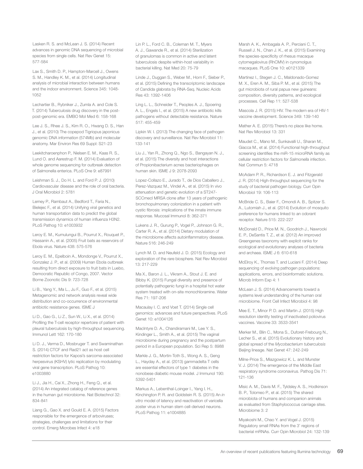Lasken R. S. and McLean J. S. (2014) Recent advances in genomic DNA sequencing of microbial species from single cells. Nat Rev Genet 15: 577-584

Lax S., Smith D. P., Hampton-Marcell J., Owens S. M., Handley K. M., et al. (2014) Longitudinal analysis of microbial interaction between humans and the indoor environment. Science 345: 1048- 1052

Lechartier B., Rybniker J., Zumla A. and Cole S. T. (2014) Tuberculosis drug discovery in the postpost-genomic era. EMBO Mol Med 6: 158-168

Lee J. S., Rhee J. S., Kim R. O., Hwang D. S., Han J., et al. (2010) The copepod Tigriopus japonicus genomic DNA information (574Mb) and molecular anatomy. Mar Environ Res 69 Suppl: S21-23

Leekitcharoenphon P., Nielsen E. M., Kaas R. S., Lund O. and Aarestrup F. M. (2014) Evaluation of whole genome sequencing for outbreak detection of Salmonella enterica. PLoS One 9: e87991

Leishman S. J., Do H. L. and Ford P. J. (2010) Cardiovascular disease and the role of oral bacteria. J Oral Microbiol 2: 5781

Lemey P., Rambaut A., Bedford T., Faria N., Bielejec F., et al. (2014) Unifying viral genetics and human transportation data to predict the global transmission dynamics of human influenza H3N2. PLoS Pathog 10: e1003932

Leroy E. M., Kumulungui B., Pourrut X., Rouquet P., Hassanin A., et al. (2005) Fruit bats as reservoirs of Ebola virus. Nature 438: 575-576

Leroy E. M., Epelboin A., Mondonge V., Pourrut X., Gonzalez J. P., et al. (2009) Human Ebola outbreak resulting from direct exposure to fruit bats in Luebo, Democratic Republic of Congo, 2007. Vector Borne Zoonotic Dis 9: 723-728

Li B., Yang Y., Ma L., Ju F., Guo F., et al. (2015) Metagenomic and network analysis reveal wide distribution and co-occurrence of environmental antibiotic resistance genes. ISME J

Li D., Gao G., Li Z., Sun W., Li X., et al. (2014) Profiling the T-cell receptor repertoire of patient with pleural tuberculosis by high-throughput sequencing. Immunol Lett 162: 170-180

Li D. J., Verma D., Mosbruger T. and Swaminathan S. (2014) CTCF and Rad21 act as host cell restriction factors for Kaposi's sarcoma-associated herpesvirus (KSHV) lytic replication by modulating viral gene transcription. PLoS Pathog 10: e1003880

Li J., Jia H., Cai X., Zhong H., Feng Q., et al. (2014) An integrated catalog of reference genes in the human gut microbiome. Nat Biotechnol 32: 834-841

Liang G., Gao X. and Gould E. A. (2015) Factors responsible for the emergence of arboviruses; strategies, challenges and limitations for their control. Emerg Microbes Infect 4: e18

Lin P. L., Ford C. B., Coleman M. T., Myers A. J., Gawande R., et al. (2014) Sterilization of granulomas is common in active and latent tuberculosis despite within-host variability in bacterial killing. Nat Med 20: 75-79

Linde J., Duggan S., Weber M., Horn F., Sieber P., et al. (2015) Defining the transcriptomic landscape of Candida glabrata by RNA-Seq. Nucleic Acids Res 43: 1392-1406

Ling L. L., Schneider T., Peoples A. J., Spoering A. L., Engels I., et al. (2015) A new antibiotic kills pathogens without detectable resistance. Nature 517: 455-459

Lipkin W. I. (2013) The changing face of pathogen discovery and surveillance. Nat Rev Microbiol 11: 133-141

Liu J., Yan R., Zhong Q., Ngo S., Bangayan N. J., et al. (2015) The diversity and host interactions of Propionibacterium acnes bacteriophages on human skin. ISME J 9: 2078-2093

Lopez-Collazo E., Jurado T., de Dios Caballero J., Perez-Vazquez M., Vindel A., et al. (2015) In vivo attenuation and genetic evolution of a ST247- SCCmecI MRSA clone after 13 years of pathogenic bronchopulmonary colonization in a patient with cystic fibrosis: implications of the innate immune response. Mucosal Immunol 8: 362-371

Lukens J. R., Gurung P., Vogel P., Johnson G. R., Carter R. A., et al. (2014) Dietary modulation of the microbiome affects autoinflammatory disease. Nature 516: 246-249

Lynch M. D. and Neufeld J. D. (2015) Ecology and exploration of the rare biosphere. Nat Rev Microbiol 13: 217-229

Ma X., Baron J. L., Vikram A., Stout J. E. and Bibby K. (2015) Fungal diversity and presence of potentially pathogenic fungi in a hospital hot water system treated with on-site monochloramine. Water Res 71: 197-206

Macaulay I. C. and Voet T. (2014) Single cell genomics: advances and future perspectives. PLoS Genet 10: e1004126

MacIntyre D. A., Chandiramani M., Lee Y. S., Kindinger L., Smith A., et al. (2015) The vaginal microbiome during pregnancy and the postpartum period in a European population. Sci Rep 5: 8988

Markle J. G., Mortin-Toth S., Wong A. S., Geng L., Hayday A., et al. (2013) gammadelta T cells are essential effectors of type 1 diabetes in the nonobese diabetic mouse model. J Immunol 190: 5392-5401

Markus A., Lebenthal-Loinger I., Yang I. H., Kinchington P. R. and Goldstein R. S. (2015) An *in vitro* model of latency and reactivation of varicella zoster virus in human stem cell-derived neurons. PLoS Pathog 11: e1004885

Marsh A. K., Ambagala A. P., Perciani C. T., Russell J. N., Chan J. K., et al. (2015) Examining the species-specificity of rhesus macaque cytomegalovirus (RhCMV) in cynomolgus macaques. PLoS One 10: e0121339

Martinez I., Stegen J. C., Maldonado-Gomez M. X., Eren A. M., Siba P. M., et al. (2015) The gut microbiota of rural papua new guineans: composition, diversity patterns, and ecological processes. Cell Rep 11: 527-538

Mascola J. R. (2015) HIV. The modern era of HIV-1 vaccine development. Science 349: 139-140

Mather A. E. (2015) There's no place like home. Nat Rev Microbiol 13: 331

Maudet C., Mano M., Sunkavalli U., Sharan M., Giacca M., et al. (2014) Functional high-throughput screening identifies the miR-15 microRNA family as cellular restriction factors for *Salmonella* infection. Nat Commun 5: 4718

McAdam P. R., Richardson E. J. and Fitzgerald J. R. (2014) High-throughput sequencing for the study of bacterial pathogen biology. Curr Opin Microbiol 19: 106-113

McBride C. S., Baier F., Omondi A. B., Spitzer S. A., Lutomiah J., et al. (2014) Evolution of mosquito preference for humans linked to an odorant receptor. Nature 515: 222-227

McDonald D., Price M. N., Goodrich J., Nawrocki E. P., DeSantis T. Z., et al. (2012) An improved Greengenes taxonomy with explicit ranks for ecological and evolutionary analyses of bacteria and archaea. ISME J 6: 610-618

McElroy K., Thomas T. and Luciani F. (2014) Deep sequencing of evolving pathogen populations: applications, errors, and bioinformatic solutions. Microb Inform Exp 4: 1

McLean J. S. (2014) Advancements toward a systems level understanding of the human oral microbiome. Front Cell Infect Microbiol 4: 98

Mee E. T., Minor P. D. and Martin J. (2015) High resolution identity testing of inactivated poliovirus vaccines. Vaccine 33: 3533-3541

Merker M., Blin C., Mona S., Duforet-Frebourg N., Lecher S., et al. (2015) Evolutionary history and global spread of the *Mycobacterium tuberculosis* Beijing lineage. Nat Genet 47: 242-249

Milne-Price S., Miazgowicz K. L. and Munster V. J. (2014) The emergence of the Middle East respiratory syndrome coronavirus. Pathog Dis 71: 121-136

Misic A. M., Davis M. F., Tyldsley A. S., Hodkinson B. P., Tolomeo P., et al. (2015) The shared microbiota of humans and companion animals as evaluated from Staphylococcus carriage sites. Microbiome 3: 2

Miyakoshi M., Chao Y. and Vogel J. (2015) Regulatory small RNAs from the 3' regions of bacterial mRNAs. Curr Opin Microbiol 24: 132-139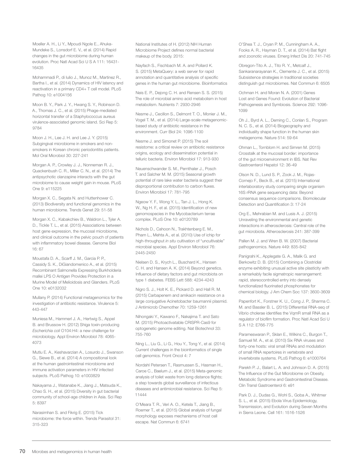Moeller A. H., Li Y., Mpoudi Ngole E., Ahuka-Mundeke S., Lonsdorf E. V., et al. (2014) Rapid changes in the gut microbiome during human evolution. Proc Natl Acad Sci U S A 111: 16431- 16435

Mohammadi P., di Iulio J., Munoz M., Martinez R., Bartha I., et al. (2014) Dynamics of HIV latency and reactivation in a primary CD4+ T cell model. PLoS Pathog 10: e1004156

Moon B. Y., Park J. Y., Hwang S. Y., Robinson D. A., Thomas J. C., et al. (2015) Phage-mediated horizontal transfer of a Staphylococcus aureus virulence-associated genomic island. Sci Rep 5: 9784

Moon J. H., Lee J. H. and Lee J. Y. (2015) Subgingival microbiome in smokers and nonsmokers in Korean chronic periodontitis patients. Mol Oral Microbiol 30: 227-241

Morgan A. P., Crowley J. J., Nonneman R. J., Quackenbush C. R., Miller C. N., et al. (2014) The antipsychotic olanzapine interacts with the gut microbiome to cause weight gain in mouse. PLoS One 9: e115225

Morgan X. C., Segata N. and Huttenhower C. (2013) Biodiversity and functional genomics in the human microbiome. Trends Genet 29: 51-58

Morgan X. C., Kabakchiev B., Waldron L., Tyler A. D., Tickle T. L., et al. (2015) Associations between host gene expression, the mucosal microbiome, and clinical outcome in the pelvic pouch of patients with inflammatory bowel disease. Genome Biol 16: 67

Moustafa D. A., Scarff J. M., Garcia P. P., Cassidy S. K., DiGiandomenico A., et al. (2015) Recombinant Salmonella Expressing Burkholderia mallei LPS O Antigen Provides Protection in a Murine Model of Melioidosis and Glanders. PLoS One 10: e0132032

Mullany P. (2014) Functional metagenomics for the investigation of antibiotic resistance. Virulence 5: 443-447

Muniesa M., Hammerl J. A., Hertwig S., Appel B. and Brussow H. (2012) Shiga toxin-producing *Escherichia coli* O104:H4: a new challenge for microbiology. Appl Environ Microbiol 78: 4065- 4073

Mutlu E. A., Keshavarzian A., Losurdo J., Swanson G., Siewe B., et al. (2014) A compositional look at the human gastrointestinal microbiome and immune activation parameters in HIV infected subjects. PLoS Pathog 10: e1003829

Nakayama J., Watanabe K., Jiang J., Matsuda K., Chao S. H., et al. (2015) Diversity in gut bacterial community of school-age children in Asia. Sci Rep 5: 8397

Narasimhan S. and Fikrig E. (2015) Tick microbiome: the force within. Trends Parasitol 31: 315-323

National Institutes of H. (2012) NIH Human Microbiome Project defines normal bacterial makeup of the body. 2015:

Nayfach S., Fischbach M. A. and Pollard K. S. (2015) MetaQuery: a web server for rapid annotation and quantitative analysis of specific genes in the human gut microbiome. Bioinformatics

Neis E. P., Dejong C. H. and Rensen S. S. (2015) The role of microbial amino acid metabolism in host metabolism. Nutrients 7: 2930-2946

Nesme J., Cecillon S., Delmont T. O., Monier J. M., Vogel T. M., et al. (2014) Large-scale metagenomicbased study of antibiotic resistance in the environment. Curr Biol 24: 1096-1100

Nesme J. and Simonet P. (2015) The soil resistome: a critical review on antibiotic resistance origins, ecology and dissemination potential in telluric bacteria. Environ Microbiol 17: 913-930

Neuenschwander S. M., Pernthaler J., Posch T. and Salcher M. M. (2015) Seasonal growth potential of rare lake water bacteria suggest their disproportional contribution to carbon fluxes. Environ Microbiol 17: 781-795

Ngeow Y. F., Wong Y. L., Tan J. L., Hong K. W., Ng H. F., et al. (2015) Identification of new genomospecies in the Mycobacterium terrae complex. PLoS One 10: e0120789

Nichols D., Cahoon N., Trakhtenberg E. M., Pham L., Mehta A., et al. (2010) Use of ichip for high-throughput *in situ* cultivation of "uncultivable" microbial species. Appl Environ Microbiol 76: 2445-2450

Nielsen D. S., Krych L., Buschard K., Hansen C. H. and Hansen A. K. (2014) Beyond genetics. Influence of dietary factors and gut microbiota on type 1 diabetes. FEBS Lett 588: 4234-4243

Nigro S. J., Holt K. E., Pickard D. and Hall R. M. (2015) Carbapenem and amikacin resistance on a large conjugative Acinetobacter baumannii plasmid. J Antimicrob Chemother 70: 1259-1261

Nihongaki Y., Kawano F., Nakajima T. and Sato M. (2015) Photoactivatable CRISPR-Cas9 for optogenetic genome editing. Nat Biotechnol 33: 755-760

Ning L., Liu G., Li G., Hou Y., Tong Y., et al. (2014) Current challenges in the bioinformatics of single cell genomics. Front Oncol 4: 7

Nordahl Petersen T., Rasmussen S., Hasman H., Caroe C., Baelum J., et al. (2015) Meta-genomic analysis of toilet waste from long distance flights; a step towards global surveillance of infectious diseases and antimicrobial resistance. Sci Rep 5: 11444

O'Meara T. R., Veri A. O., Ketela T., Jiang B., Roemer T., et al. (2015) Global analysis of fungal morphology exposes mechanisms of host cell escape. Nat Commun 6: 6741

O'Shea T. J., Cryan P. M., Cunningham A. A., Fooks A. R., Hayman D. T., et al. (2014) Bat flight and zoonotic viruses. Emerg Infect Dis 20: 741-745

Obregon-Tito A. J., Tito R. Y., Metcalf J., Sankaranarayanan K., Clemente J. C., et al. (2015) Subsistence strategies in traditional societies distinguish gut microbiomes. Nat Commun 6: 6505

Ochman H. and Moran N. A. (2001) Genes Lost and Genes Found: Evolution of Bacterial Pathogenesis and Symbiosis. Science 292: 1096- 1099

Oh J., Byrd A. L., Deming C., Conlan S., Program N. C. S., et al. (2014) Biogeography and individuality shape function in the human skin metagenome. Nature 514: 59-64

Ohman L., Tornblom H. and Simren M. (2015) Crosstalk at the mucosal border: importance of the gut microenvironment in IBS. Nat Rev Gastroenterol Hepatol 12: 36-49

Olson N. D., Lund S. P., Zook J. M., Rojas-Cornejo F., Beck B., et al. (2015) International interlaboratory study comparing single organism 16S rRNA gene sequencing data: Beyond consensus sequence comparisons. Biomolecular Detection and Quantification 3: 17-24

Org E., Mehrabian M. and Lusis A. J. (2015) Unraveling the environmental and genetic interactions in atherosclerosis: Central role of the gut microbiota. Atherosclerosis 241: 387-399

Pallen M. J. and Wren B. W. (2007) Bacterial pathogenomics. Nature 449: 835-842

Panigrahi K., Applegate G. A., Malik G. and Berkowitz D. B. (2015) Combining a Clostridial enzyme exhibiting unusual active site plasticity with a remarkably facile sigmatropic rearrangement: rapid, stereocontrolled entry into densely functionalized fluorinated phosphonates for chemical biology. J Am Chem Soc 137: 3600-3609

Papenfort K., Forstner K. U., Cong J. P., Sharma C. M. and Bassler B. L. (2015) Differential RNA-seq of Vibrio cholerae identifies the VamR small RNA as a regulator of biofilm formation. Proc Natl Acad Sci U S A 112: E766-775

Parameswaran P., Sklan E., Wilkins C., Burgon T., Samuel M. A., et al. (2010) Six RNA viruses and forty-one hosts: viral small RNAs and modulation of small RNA repertoires in vertebrate and invertebrate systems. PLoS Pathog 6: e1000764

Parekh P. J., Balart L. A. and Johnson D. A. (2015) The Influence of the Gut Microbiome on Obesity, Metabolic Syndrome and Gastrointestinal Disease. Clin Transl Gastroenterol 6: e91

Park D. J., Dudas G., Wohl S., Goba A., Whitmer S. L., et al. (2015) Ebola Virus Epidemiology, Transmission, and Evolution during Seven Months in Sierra Leone. Cell 161: 1516-1526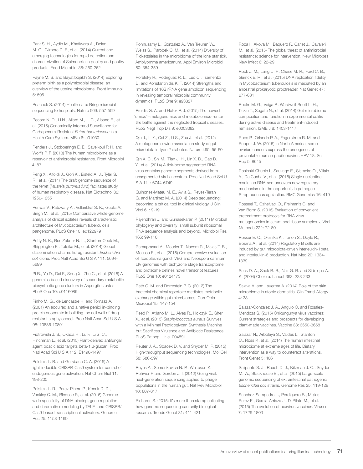Park S. H., Aydin M., Khatiwara A., Dolan M. C., Gilmore D. F., et al. (2014) Current and emerging technologies for rapid detection and characterization of Salmonella in poultry and poultry products. Food Microbiol 38: 250-262

Payne M. S. and Bayatibojakhi S. (2014) Exploring preterm birth as a polymicrobial disease: an overview of the uterine microbiome. Front Immunol 5: 595

Peacock S. (2014) Health care: Bring microbial sequencing to hospitals. Nature 509: 557-559

Pecora N. D., Li N., Allard M., Li C., Albano E., et al. (2015) Genomically Informed Surveillance for Carbapenem-Resistant *Enterobacteriaceae* in a Health Care System. MBio 6: e01030

Penders J., Stobberingh E. E., Savelkoul P. H. and Wolffs P. F. (2013) The human microbiome as a reservoir of antimicrobial resistance. Front Microbiol 4: 87

Peng X., Alfoldi J., Gori K., Eisfeld A. J., Tyler S. R., et al. (2014) The draft genome sequence of the ferret (*Mustela putorius furo*) facilitates study of human respiratory disease. Nat Biotechnol 32: 1250-1255

Periwal V., Patowary A., Vellarikkal S. K., Gupta A., Singh M., et al. (2015) Comparative whole-genome analysis of clinical isolates reveals characteristic architecture of Mycobacterium tuberculosis pangenome. PLoS One 10: e0122979

Petty N. K., Ben Zakour N. L., Stanton-Cook M., Skippington E., Totsika M., et al. (2014) Global dissemination of a multidrug resistant *Escherichia coli* clone. Proc Natl Acad Sci U S A 111: 5694- 5699

Pi B., Yu D., Dai F., Song X., Zhu C., et al. (2015) A genomics based discovery of secondary metabolite biosynthetic gene clusters in Aspergillus ustus. PLoS One 10: e0116089

Pinho M. G., de Lencastre H. and Tomasz A. (2001) An acquired and a native penicillin-binding protein cooperate in building the cell wall of drugresistant staphylococci. Proc Natl Acad Sci U S A 98: 10886-10891

Piotrowski J. S., Okada H., Lu F., Li S. C., Hinchman L., et al. (2015) Plant-derived antifungal agent poacic acid targets beta-1,3-glucan. Proc Natl Acad Sci U S A 112: E1490-1497

Polstein L. R. and Gersbach C. A. (2015) A light-inducible CRISPR-Cas9 system for control of endogenous gene activation. Nat Chem Biol 11: 198-200

Polstein L. R., Perez-Pinera P., Kocak D. D., Vockley C. M., Bledsoe P., et al. (2015) Genomewide specificity of DNA binding, gene regulation, and chromatin remodeling by TALE- and CRISPR/ Cas9-based transcriptional activators. Genome Res 25: 1158-1169

Ponnusamy L., Gonzalez A., Van Treuren W., Weiss S., Parobek C. M., et al. (2014) Diversity of Rickettsiales in the microbiome of the lone star tick, Amblyomma americanum. Appl Environ Microbiol 80: 354-359

Poretsky R., Rodriguez R. L., Luo C., Tsementzi D. and Konstantinidis K. T. (2014) Strengths and limitations of 16S rRNA gene amplicon sequencing in revealing temporal microbial community dynamics. PLoS One 9: e93827

Preidis G. A. and Hotez P. J. (2015) The newest "omics"--metagenomics and metabolomics--enter the battle against the neglected tropical diseases. PLoS Negl Trop Dis 9: e0003382

Qin J., Li Y., Cai Z., Li S., Zhu J., et al. (2012) A metagenome-wide association study of gut microbiota in type 2 diabetes. Nature 490: 55-60

Qin X. C., Shi M., Tian J. H., Lin X. D., Gao D. Y., et al. (2014) A tick-borne segmented RNA virus contains genome segments derived from unsegmented viral ancestors. Proc Natl Acad Sci U S A 111: 6744-6749

Quinones-Mateu M. E., Avila S., Reyes-Teran G. and Martinez M. A. (2014) Deep sequencing: becoming a critical tool in clinical virology. J Clin Virol 61: 9-19

Rajendhran J. and Gunasekaran P. (2011) Microbial phylogeny and diversity: small subunit ribosomal RNA sequence analysis and beyond. Microbiol Res 166: 99-110

Ramaprasad A., Mourier T., Naeem R., Malas T. B., Moussa E., et al. (2015) Comprehensive evaluation of Toxoplasma gondii VEG and Neospora caninum LIV genomes with tachyzoite stage transcriptome and proteome defines novel transcript features. PLoS One 10: e0124473

Rath C. M. and Dorrestein P. C. (2012) The bacterial chemical repertoire mediates metabolic exchange within gut microbiomes. Curr Opin Microbiol 15: 147-154

Reed P., Atilano M. L., Alves R., Hoiczyk E., Sher X., et al. (2015) *Staphylococcus aureus* Survives with a Minimal Peptidoglycan Synthesis Machine but Sacrifices Virulence and Antibiotic Resistance. PLoS Pathog 11: e1004891

Reuter J. A., Spacek D. V. and Snyder M. P. (2015) High-throughput sequencing technologies. Mol Cell 58: 586-597

Reyes A., Semenkovich N. P., Whiteson K., Rohwer F. and Gordon J. I. (2012) Going viral: next-generation sequencing applied to phage populations in the human gut. Nat Rev Microbiol 10: 607-617

Richards S. (2015) It's more than stamp collecting: how genome sequencing can unify biological research. Trends Genet 31: 411-421

Roca I., Akova M., Baquero F., Carlet J., Cavaleri M., et al. (2015) The global threat of antimicrobial resistance: science for intervention. New Microbes New Infect 6: 22-29

Rock J. M., Lang U. F., Chase M. R., Ford C. B., Gerrick E. R., et al. (2015) DNA replication fidelity in Mycobacterium tuberculosis is mediated by an ancestral prokaryotic proofreader. Nat Genet 47: 677-681

Rooks M. G., Veiga P., Wardwell-Scott L. H., Tickle T., Segata N., et al. (2014) Gut microbiome composition and function in experimental colitis during active disease and treatment-induced remission. ISME J 8: 1403-1417

Roos P., Orlando P. A., Fagerstrom R. M. and Pepper J. W. (2015) In North America, some ovarian cancers express the oncogenes of preventable human papillomavirus HPV-18. Sci Rep 5: 8645

Rosinski-Chupin I., Sauvage E., Sismeiro O., Villain A., Da Cunha V., et al. (2015) Single nucleotide resolution RNA-seq uncovers new regulatory mechanisms in the opportunistic pathogen Streptococcus agalactiae. BMC Genomics 16: 419

Rosseel T., Ozhelvaci O., Freimanis G. and Van Borm S. (2015) Evaluation of convenient pretreatment protocols for RNA virus metagenomics in serum and tissue samples. J Virol Methods 222: 72-80

Rosser E. C., Oleinika K., Tonon S., Doyle R., Bosma A., et al. (2014) Regulatory B cells are induced by gut microbiota-driven interleukin-1beta and interleukin-6 production. Nat Med 20: 1334- 1339

Sack D. A., Sack R. B., Nair G. B. and Siddique A. K. (2004) Cholera. Lancet 363: 223-233

Salava A. and Lauerma A. (2014) Role of the skin microbiome in atopic dermatitis. Clin Transl Allergy 4: 33

Salazar-Gonzalez J. A., Angulo C. and Rosales-Mendoza S. (2015) Chikungunya virus vaccines: Current strategies and prospects for developing plant-made vaccines. Vaccine 33: 3650-3658

Salazar N., Arboleya S., Valdes L., Stanton C., Ross P., et al. (2014) The human intestinal microbiome at extreme ages of life. Dietary intervention as a way to counteract alterations. Front Genet 5: 406

Salipante S. J., Roach D. J., Kitzman J. O., Snyder M. W., Stackhouse B., et al. (2015) Large-scale genomic sequencing of extraintestinal pathogenic *Escherichia coli* strains. Genome Res 25: 119-128

Sanchez-Sampedro L., Perdiguero B., Mejias-Perez E., Garcia-Arriaza J., Di Pilato M., et al. (2015) The evolution of poxvirus vaccines. Viruses 7: 1726-1803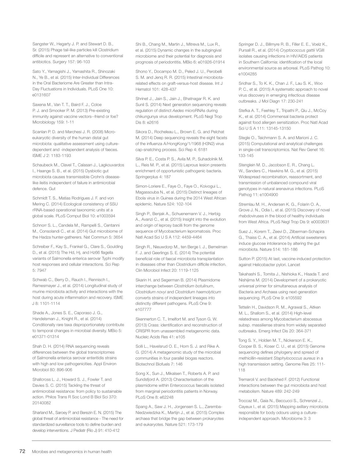Sangster W., Hegarty J. P. and Stewart D. B., Sr. (2015) Phage tail-like particles kill Clostridium difficile and represent an alternative to conventional antibiotics. Surgery 157: 96-103

Sato Y., Yamagishi J., Yamashita R., Shinozaki N., Ye B., et al. (2015) Inter-Individual Differences in the Oral Bacteriome Are Greater than Intra-Day Fluctuations in Individuals. PLoS One 10: e0131607

Saxena M., Van T. T., Baird F. J., Coloe P. J. and Smooker P. M. (2013) Pre-existing immunity against vaccine vectors--friend or foe? Microbiology 159: 1-11

Scanlan P. D. and Marchesi J. R. (2008) Microeukaryotic diversity of the human distal gut microbiota: qualitative assessment using culturedependent and -independent analysis of faeces. ISME J 2: 1183-1193

Schaubeck M., Clavel T., Calasan J., Lagkouvardos I., Haange S. B., et al. (2015) Dysbiotic gut microbiota causes transmissible Crohn's diseaselike ileitis independent of failure in antimicrobial defence. Gut

Schmidt T. S., Matias Rodrigues J. F. and von Mering C. (2014) Ecological consistency of SSU rRNA-based operational taxonomic units at a global scale. PLoS Comput Biol 10: e1003594

Schnorr S. L., Candela M., Rampelli S., Centanni M., Consolandi C., et al. (2014) Gut microbiome of the Hadza hunter-gatherers. Nat Commun 5: 3654

Schreiber F., Kay S., Frankel G., Clare S., Goulding D., et al. (2015) The Hd, Hj, and Hz66 flagella variants of Salmonella enterica serovar Typhi modify host responses and cellular interactions. Sci Rep 5: 7947

Schwab C., Berry D., Rauch I., Rennisch I., Ramesmayer J., et al. (2014) Longitudinal study of murine microbiota activity and interactions with the host during acute inflammation and recovery. ISME J 8: 1101-1114

Shade A., Jones S. E., Caporaso J. G., Handelsman J., Knight R., et al. (2014) Conditionally rare taxa disproportionately contribute to temporal changes in microbial diversity. MBio 5: e01371-01314

Shah D. H. (2014) RNA sequencing reveals differences between the global transcriptomes of Salmonella enterica serovar enteritidis strains with high and low pathogenicities. Appl Environ Microbiol 80: 896-906

Shallcross L. J., Howard S. J., Fowler T. and Davies S. C. (2015) Tackling the threat of antimicrobial resistance: from policy to sustainable action. Philos Trans R Soc Lond B Biol Sci 370: 20140082

Sharland M., Saroey P. and Berezin E. N. (2015) The global threat of antimicrobial resistance - The need for standardized surveillance tools to define burden and develop interventions. J Pediatr (Rio J) 91: 410-412

Shi B., Chang M., Martin J., Mitreva M., Lux R. et al. (2015) Dynamic changes in the subgingival microbiome and their potential for diagnosis and prognosis of periodontitis. MBio 6: e01926-01914

Shono Y., Docampo M. D., Peled J. U., Perobelli S. M. and Jenq R. R. (2015) Intestinal microbiotarelated effects on graft-versus-host disease. Int J Hematol 101: 428-437

Shrinet J., Jain S., Jain J., Bhatnagar R. K. and Sunil S. (2014) Next generation sequencing reveals regulation of distinct *Aedes* microRNAs during chikungunya virus development. PLoS Negl Trop Dis 8: e2616

Sikora D., Rocheleau L., Brown E. G. and Pelchat M. (2014) Deep sequencing reveals the eight facets of the influenza A/HongKong/1/1968 (H3N2) virus cap-snatching process. Sci Rep 4: 6181

Silva P. E., Costa P. S., Avila M. P., Suhadolnik M. L., Reis M. P., et al. (2015) Leprous lesion presents enrichment of opportunistic pathogenic bacteria. Springerplus 4: 187

Simon-Loriere E., Faye O., Faye O., Koivogui L., Magassouba N., et al. (2015) Distinct lineages of Ebola virus in Guinea during the 2014 West African epidemic. Nature 524: 102-104

Singh P., Benjak A., Schuenemann V. J., Herbig A., Avanzi C., et al. (2015) Insight into the evolution and origin of leprosy bacilli from the genome sequence of Mycobacterium lepromatosis. Proc Natl Acad Sci U S A 112: 4459-4464

Singh R., Nieuwdorp M., ten Berge I. J., Bemelman F. J. and Geerlings S. E. (2014) The potential beneficial role of faecal microbiota transplantation in diseases other than Clostridium difficile infection. Clin Microbiol Infect 20: 1119-1125

Skarin H. and Segerman B. (2014) Plasmidome interchange between *Clostridium botulinum*, *Clostridium novyi* and *Clostridium haemolyticum* converts strains of independent lineages into distinctly different pathogens. PLoS One 9: e107777

Skennerton C. T., Imelfort M. and Tyson G. W. (2013) Crass: identification and reconstruction of CRISPR from unassembled metagenomic data. Nucleic Acids Res 41: e105

Solli L., Havelsrud O. E., Horn S. J. and Rike A. G. (2014) A metagenomic study of the microbial communities in four parallel biogas reactors. Biotechnol Biofuels 7: 146

Song X., Sun J., Mikalsen T., Roberts A. P. and Sundsfjord A. (2013) Characterisation of the plasmidome within Enterococcus faecalis isolated from marginal periodontitis patients in Norway. PLoS One 8: e62248

Spang A., Saw J. H., Jorgensen S. L., Zaremba-Niedzwiedzka K., Martijn J., et al. (2015) Complex archaea that bridge the gap between prokaryotes and eukaryotes. Nature 521: 173-179

Springer D. J., Billmyre R. B., Filler E. E., Voelz K., Pursall R., et al. (2014) *Cryptococcus gattii* VGIII isolates causing infections in HIV/AIDS patients in Southern California: identification of the local environmental source as arboreal. PLoS Pathog 10: e1004285

Sridhar S., To K. K., Chan J. F., Lau S. K., Woo P. C., et al. (2015) A systematic approach to novel virus discovery in emerging infectious disease outbreaks. J Mol Diagn 17: 230-241

Stefka A. T., Feehley T., Tripathi P., Qiu J., McCoy K., et al. (2014) Commensal bacteria protect against food allergen sensitization. Proc Natl Acad Sci U S A 111: 13145-13150

Stegle O., Teichmann S. A. and Marioni J. C. (2015) Computational and analytical challenges in single-cell transcriptomics. Nat Rev Genet 16: 133-145

Stenglein M. D., Jacobson E. R., Chang L. W., Sanders C., Hawkins M. G., et al. (2015) Widespread recombination, reassortment, and transmission of unbalanced compound viral genotypes in natural arenavirus infections. PLoS Pathog 11: e1004900

Stremlau M. H., Andersen K. G., Folarin O. A., Grove J. N., Odia I., et al. (2015) Discovery of novel rhabdoviruses in the blood of healthy individuals from West Africa. PLoS Negl Trop Dis 9: e0003631

Suez J., Korem T., Zeevi D., Zilberman-Schapira G., Thaiss C. A., et al. (2014) Artificial sweeteners induce glucose intolerance by altering the gut microbiota. Nature 514: 181-186

Sutton P. (2015) At last, vaccine-induced protection against Helicobacter pylori. Lancet

Takahashi S., Tomita J., Nishioka K., Hisada T. and Nishijima M. (2014) Development of a prokaryotic universal primer for simultaneous analysis of Bacteria and Archaea using next-generation sequencing. PLoS One 9: e105592

Tettelin H., Davidson R. M., Agrawal S., Aitken M. L., Shallom S., et al. (2014) High-level relatedness among Mycobacterium abscessus subsp. massiliense strains from widely separated outbreaks. Emerg Infect Dis 20: 364-371

Tong S. Y., Holden M. T., Nickerson E. K., Cooper B. S., Koser C. U., et al. (2015) Genome sequencing defines phylogeny and spread of methicillin-resistant *Staphylococcus aureus* in a high transmission setting. Genome Res 25: 111- 118

Tremaroli V. and Backhed F. (2012) Functional interactions between the gut microbiota and host metabolism. Nature 489: 242-249

Troccaz M., Gaia N., Beccucci S., Schrenzel J., Cayeux I., et al. (2015) Mapping axillary microbiota responsible for body odours using a cultureindependent approach. Microbiome 3: 3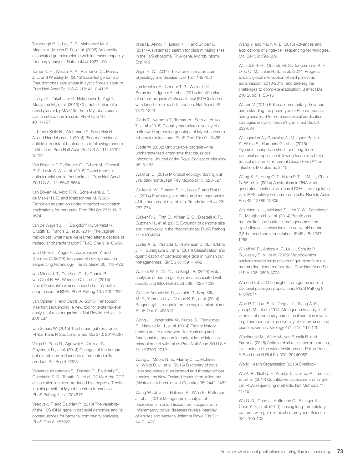Turnbaugh P. J., Ley R. E., Mahowald M. A., Magrini V., Mardis E. R., et al. (2006) An obesityassociated gut microbiome with increased capacity for energy harvest. Nature 444: 1027-1031

Turner K. H., Wessel A. K., Palmer G. C., Murray J. L. and Whiteley M. (2015) Essential genome of Pseudomonas aeruginosa in cystic fibrosis sputum. Proc Natl Acad Sci U S A 112: 4110-4115

Uchiya K., Takahashi H., Nakagawa T., Yagi T., Moriyama M., et al. (2015) Characterization of a novel plasmid, pMAH135, from Mycobacterium avium subsp. hominissuis. PLoS One 10: e0117797

Udikovic-Kolic N., Wichmann F., Broderick N. A. and Handelsman J. (2014) Bloom of resident antibiotic-resistant bacteria in soil following manure fertilization. Proc Natl Acad Sci U S A 111: 15202- 15207

Van Boeckel T. P., Brower C., Gilbert M., Grenfell B. T., Levin S. A., et al. (2015) Global trends in antimicrobial use in food animals. Proc Natl Acad Sci U S A 112: 5649-5654

van Boven M., Mooi F. R., Schellekens J. F., de Melker H. E. and Kretzschmar M. (2005) Pathogen adaptation under imperfect vaccination: implications for pertussis. Proc Biol Sci 272: 1617- 1624

van de Wijgert J. H., Borgdorff H., Verhelst R., Crucitti T., Francis S., et al. (2014) The vaginal microbiota: what have we learned after a decade of molecular characterization? PLoS One 9: e105998

van Dijk E. L., Auger H., Jaszczyszyn Y. and Thermes C. (2014) Ten years of next-generation sequencing technology. Trends Genet 30: 418-426

van Mierlo J. T., Overheul G. J., Obadia B., van Cleef K. W., Webster C. L., et al. (2014) Novel Drosophila viruses encode host-specific suppressors of RNAi. PLoS Pathog 10: e1004256

van Opijnen T. and Camilli A. (2013) Transposon insertion sequencing: a new tool for systems-level analysis of microorganisms. Nat Rev Microbiol 11: 435-442

van Schaik W. (2015) The human gut resistome. Philos Trans R Soc Lond B Biol Sci 370: 20140087

Veiga P., Pons N., Agrawal A., Oozeer R., Guyonnet D., et al. (2014) Changes of the human gut microbiome induced by a fermented milk product. Sci Rep 4: 6328

Venkatasubramanian S., Dhiman R., Paidipally P., Cheekatla S. S., Tripathi D., et al. (2015) A rho GDP dissociation inhibitor produced by apoptotic T-cells inhibits growth of Mycobacterium tuberculosis. PLoS Pathog 11: e1004617

Vetrovsky T. and Baldrian P. (2013) The variability of the 16S rRNA gene in bacterial genomes and its consequences for bacterial community analyses. PLoS One 8: e57923

Vinje H., Almoy T., Liland K. H. and Snipen L. (2014) A systematic search for discriminating sites in the 16S ribosomal RNA gene. Microb Inform Exp 4: 2

Virgin H. W. (2014) The virome in mammalian physiology and disease. Cell 157: 142-150

von Mentzer A., Connor T. R., Wieler L. H., Semmler T., Iguchi A., et al. (2014) Identification of enterotoxigenic *Escherichia coli* (ETEC) clades with long-term global distribution. Nat Genet 46: 1321-1326

Wada T., Iwamoto T., Tamaru A., Seto J., Ahiko T., et al. (2015) Clonality and micro-diversity of a nationwide spreading genotype of Mycobacterium tuberculosis in Japan. PLoS One 10: e0118495

Wade W. (2002) Unculturable bacteria—the uncharacterized organisms that cause oral infections. Journal of the Royal Society of Medicine 95: 81-83

Waldron D. (2015) Microbial ecology: Sorting out viral dark matter. Nat Rev Microbiol 13: 526-527

Walker A. W., Duncan S. H., Louis P. and Flint H. J. (2014) Phylogeny, culturing, and metagenomics of the human gut microbiota. Trends Microbiol 22: 267-274

Walker P. J., Firth C., Widen S. G., Blasdell K. R., Guzman H., et al. (2015) Evolution of genome size and complexity in the rhabdoviridae. PLoS Pathog 11: e1004664

Waller A. S., Yamada T., Kristensen D. M., Kultima J. R., Sunagawa S., et al. (2014) Classification and quantification of bacteriophage taxa in human gut metagenomes. ISME J 8: 1391-1402

Walters W. A., Xu Z. and Knight R. (2014) Metaanalyses of human gut microbes associated with obesity and IBD. FEBS Lett 588: 4223-4233

Walther-Antonio M. R., Jeraldo P., Berg Miller M. E., Yeoman C. J., Nelson K. E., et al. (2014) Pregnancy's stronghold on the vaginal microbiome. PLoS One 9: e98514

Wang J., Linnenbrink M., Kunzel S., Fernandes R., Nadeau M. J., et al. (2014) Dietary history contributes to enterotype-like clustering and functional metagenomic content in the intestinal microbiome of wild mice. Proc Natl Acad Sci U S A 111: E2703-2710

Wang J., Moore N. E., Murray Z. L., McInnes K., White D. J., et al. (2015) Discovery of novel virus sequences in an isolated and threatened bat species, the New Zealand lesser short-tailed bat (Mystacina tuberculata). J Gen Virol 96: 2442-2452

Wang W., Jovel J., Halloran B., Wine E., Patterson J., et al. (2015) Metagenomic analysis of microbiome in colon tissue from subjects with inflammatory bowel diseases reveals interplay of viruses and bacteria. Inflamm Bowel Dis 21: 1419-1427

Wang Y. and Navin N. E. (2015) Advances and applications of single-cell sequencing technologies. Mol Cell 58: 598-609

Wassilak S. G., Oberste M. S., Tangermann R. H., Diop O. M., Jafari H. S., et al. (2014) Progress toward global interruption of wild poliovirus transmission, 2010-2013, and tackling the challenges to complete eradication. J Infect Dis 210 Suppl 1: S5-15

Waters V. (2014) Editorial commentary: how can understanding the phenotype of Pseudomonas aeruginosa lead to more successful eradication strategies in cystic fibrosis? Clin Infect Dis 59: 632-634

Weingarden A., Gonzalez A., Vazquez-Baeza Y., Weiss S., Humphry G., et al. (2015) Dynamic changes in short- and long-term bacterial composition following fecal microbiota transplantation for recurrent *Clostridium difficile* infection. Microbiome 3: 10

Weng K. F., Hung C. T., Hsieh P. T., Li M. L., Chen G. W., et al. (2014) A cytoplasmic RNA virus generates functional viral small RNAs and regulates viral IRES activity in mammalian cells. Nucleic Acids Res 42: 12789-12805

Whiteson K. L., Meinardi S., Lim Y. W., Schmieder R., Maughan H., et al. (2014) Breath gas metabolites and bacterial metagenomes from cystic fibrosis airways indicate active pH neutral 2,3-butanedione fermentation. ISME J 8: 1247- 1258

Wikoff W. R., Anfora A. T., Liu J., Schultz P. G., Lesley S. A., et al. (2009) Metabolomics analysis reveals large effects of gut microflora on mammalian blood metabolites. Proc Natl Acad Sci U S A 106: 3698-3703

Wilson D. J. (2012) Insights from genomics into bacterial pathogen populations. PLoS Pathog 8: e1002874

Woo P. C., Lau S. K., Teng J. L., Tsang A. K., Joseph M., et al. (2014) Metagenomic analysis of viromes of dromedary camel fecal samples reveals large number and high diversity of circoviruses and picobirnaviruses. Virology 471-473: 117-125

Woolhouse M., Ward M., van Bunnik B. and Farrar J. (2015) Antimicrobial resistance in humans, livestock and the wider environment. Philos Trans R Soc Lond B Biol Sci 370: 20140083

World Health Organization (2015) Smallpox.

Wu A. R., Neff N. F., Kalisky T., Dalerba P., Treutlein B., et al. (2014) Quantitative assessment of singlecell RNA-sequencing methods. Nat Methods 11: 41-46

Wu G. D., Chen J., Hoffmann C., Bittinger K., Chen Y. Y., et al. (2011) Linking long-term dietary patterns with gut microbial enterotypes. Science 334: 105-108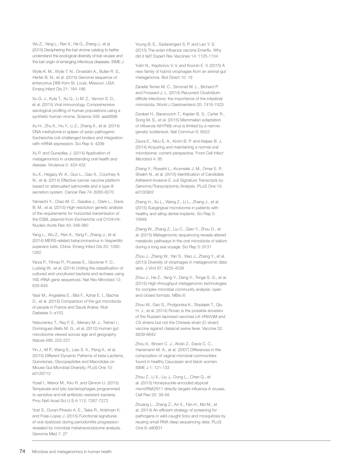Wu Z., Yang L., Ren X., He G., Zhang J., et al. (2015) Deciphering the bat virome catalog to better understand the ecological diversity of bat viruses and the bat origin of emerging infectious diseases. ISME J

Wylie K. M., Wylie T. N., Orvedahl A., Buller R. S., Herter B. N., et al. (2015) Genome sequence of enterovirus D68 from St. Louis, Missouri, USA. Emerg Infect Dis 21: 184-186

Xu G. J., Kula T., Xu Q., Li M. Z., Vernon S. D., et al. (2015) Viral immunology. Comprehensive serological profiling of human populations using a synthetic human virome. Science 348: aaa0698

Xu H., Zhu X., Hu Y., Li Z., Zhang X., et al. (2014) DNA methylome in spleen of avian pathogenic Escherichia coli-challenged broilers and integration with mRNA expression. Sci Rep 4: 4299

Xu P. and Gunsolley J. (2014) Application of metagenomics in understanding oral health and disease. Virulence 5: 424-432

Xu X., Hegazy W. A., Guo L., Gao X., Courtney A. N., et al. (2014) Effective cancer vaccine platform based on attenuated salmonella and a type III secretion system. Cancer Res 74: 6260-6270

Yamaichi Y., Chao M. C., Sasabe J., Clark L., Davis B. M., et al. (2015) High-resolution genetic analysis of the requirements for horizontal transmission of the ESBL plasmid from *Escherichia coli* O104:H4. Nucleic Acids Res 43: 348-360

Yang L., Wu Z., Ren X., Yang F., Zhang J., et al. (2014) MERS-related betacoronavirus in *Vespertilio superans* bats, China. Emerg Infect Dis 20: 1260- 1262

Yarza P., Yilmaz P., Pruesse E., Glockner F. O., Ludwig W., et al. (2014) Uniting the classification of cultured and uncultured bacteria and archaea using 16S rRNA gene sequences. Nat Rev Microbiol 12: 635-645

Yasir M., Angelakis E., Bibi F., Azhar E. I., Bachar D., et al. (2015) Comparison of the gut microbiota of people in France and Saudi Arabia. Nutr Diabetes 5: e153

Yatsunenko T., Rey F. E., Manary M. J., Trehan I., Dominguez-Bello M. G., et al. (2012) Human gut microbiome viewed across age and geography. Nature 486: 222-227

Yin J., M P., Wang S., Liao S. X., Peng X., et al. (2015) Different Dynamic Patterns of beta-Lactams, Quinolones, Glycopeptides and Macrolides on Mouse Gut Microbial Diversity. PLoS One 10: e0126712

Yosef I., Manor M., Kiro R. and Qimron U. (2015) Temperate and lytic bacteriophages programmed to sensitize and kill antibiotic-resistant bacteria. Proc Natl Acad Sci U S A 112: 7267-7272

Yost S., Duran-Pinedo A. E., Teles R., Krishnan K. and Frias-Lopez J. (2015) Functional signatures of oral dysbiosis during periodontitis progression revealed by microbial metatranscriptome analysis. Genome Med 7: 27

Young B. E., Sadarangani S. P. and Leo Y. S. (2015) The avian influenza vaccine Emerflu. Why did it fail? Expert Rev Vaccines 14: 1125-1134

Yutin N., Kapitonov V. V. and Koonin E. V. (2015) A new family of hybrid virophages from an animal gut metagenome. Biol Direct 10: 19

Zanella Terrier M. C., Simonet M. L., Bichard P. and Frossard J. L. (2014) Recurrent Clostridium difficile infections: the importance of the intestinal microbiota. World J Gastroenterol 20: 7416-7423

Zaraket H., Baranovich T., Kaplan B. S., Carter R., Song M. S., et al. (2015) Mammalian adaptation of influenza A(H7N9) virus is limited by a narrow genetic bottleneck. Nat Commun 6: 6553

Zaura E., Nicu E. A., Krom B. P. and Keijser B. J. (2014) Acquiring and maintaining a normal oral microbiome: current perspective. Front Cell Infect Microbiol 4: 85

Zhang Y., Rowehl L., Krumsiek J. M., Orner E. P., Shaikh N., et al. (2015) Identification of Candidate Adherent-Invasive *E. coli* Signature Transcripts by Genomic/Transcriptomic Analysis. PLoS One 10: e0130902

Zheng H., Xu L., Wang Z., Li L., Zhang J., et al. (2015) Subgingival microbiome in patients with healthy and ailing dental implants. Sci Rep 5: 10948

Zheng W., Zhang Z., Liu C., Qiao Y., Zhou D., et al. (2015) Metagenomic sequencing reveals altered metabolic pathways in the oral microbiota of sailors during a long sea voyage. Sci Rep 5: 9131

Zhou J., Zhang W., Yan S., Xiao J., Zhang Y., et al. (2013) Diversity of virophages in metagenomic data sets. J Virol 87: 4225-4236

Zhou J., He Z., Yang Y., Deng Y., Tringe S. G., et al. (2015) High-throughput metagenomic technologies for complex microbial community analysis: open and closed formats. MBio 6:

Zhou W., Gao S., Podgorska K., Stadejek T., Qiu H. J., et al. (2014) Rovac is the possible ancestor of the Russian lapinized vaccines LK-VNIVViM and CS strains but not the Chinese strain (C-strain) vaccine against classical swine fever. Vaccine 32: 6639-6642

Zhou X., Brown C. J., Abdo Z., Davis C. C., Hansmann M. A., et al. (2007) Differences in the composition of vaginal microbial communities found in healthy Caucasian and black women. ISME J 1: 121-133

Zhou Z., Li X., Liu J., Dong L., Chen Q., et al. (2015) Honeysuckle-encoded atypical microRNA2911 directly targets influenza A viruses. Cell Res 25: 39-49

Zhuang L., Zhang Z., An X., Fan H., Ma M., et al. (2014) An efficient strategy of screening for pathogens in wild-caught ticks and mosquitoes by reusing small RNA deep sequencing data. PLoS One 9: e90831